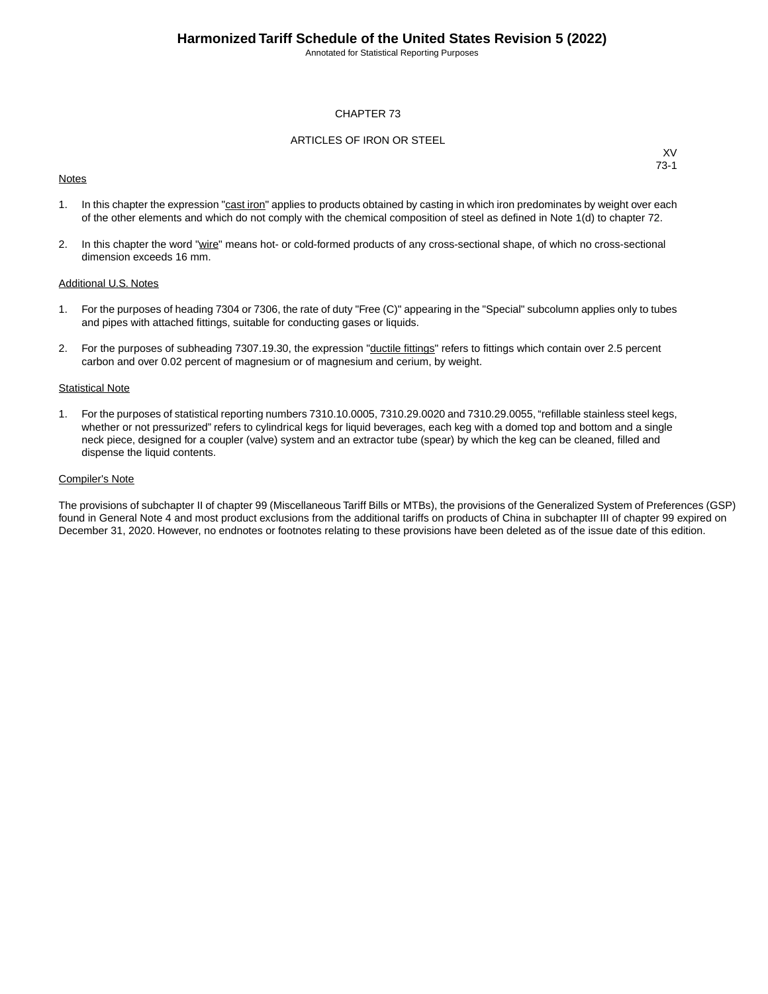Annotated for Statistical Reporting Purposes

#### CHAPTER 73

#### ARTICLES OF IRON OR STEEL

#### **Notes**

XV 73-1

- 1. In this chapter the expression "cast iron" applies to products obtained by casting in which iron predominates by weight over each of the other elements and which do not comply with the chemical composition of steel as defined in Note 1(d) to chapter 72.
- 2. In this chapter the word "wire" means hot- or cold-formed products of any cross-sectional shape, of which no cross-sectional dimension exceeds 16 mm.

#### Additional U.S. Notes

- 1. For the purposes of heading 7304 or 7306, the rate of duty "Free (C)" appearing in the "Special" subcolumn applies only to tubes and pipes with attached fittings, suitable for conducting gases or liquids.
- 2. For the purposes of subheading 7307.19.30, the expression "ductile fittings" refers to fittings which contain over 2.5 percent carbon and over 0.02 percent of magnesium or of magnesium and cerium, by weight.

#### **Statistical Note**

1. For the purposes of statistical reporting numbers 7310.10.0005, 7310.29.0020 and 7310.29.0055, "refillable stainless steel kegs, whether or not pressurized" refers to cylindrical kegs for liquid beverages, each keg with a domed top and bottom and a single neck piece, designed for a coupler (valve) system and an extractor tube (spear) by which the keg can be cleaned, filled and dispense the liquid contents.

#### Compiler's Note

The provisions of subchapter II of chapter 99 (Miscellaneous Tariff Bills or MTBs), the provisions of the Generalized System of Preferences (GSP) found in General Note 4 and most product exclusions from the additional tariffs on products of China in subchapter III of chapter 99 expired on December 31, 2020. However, no endnotes or footnotes relating to these provisions have been deleted as of the issue date of this edition.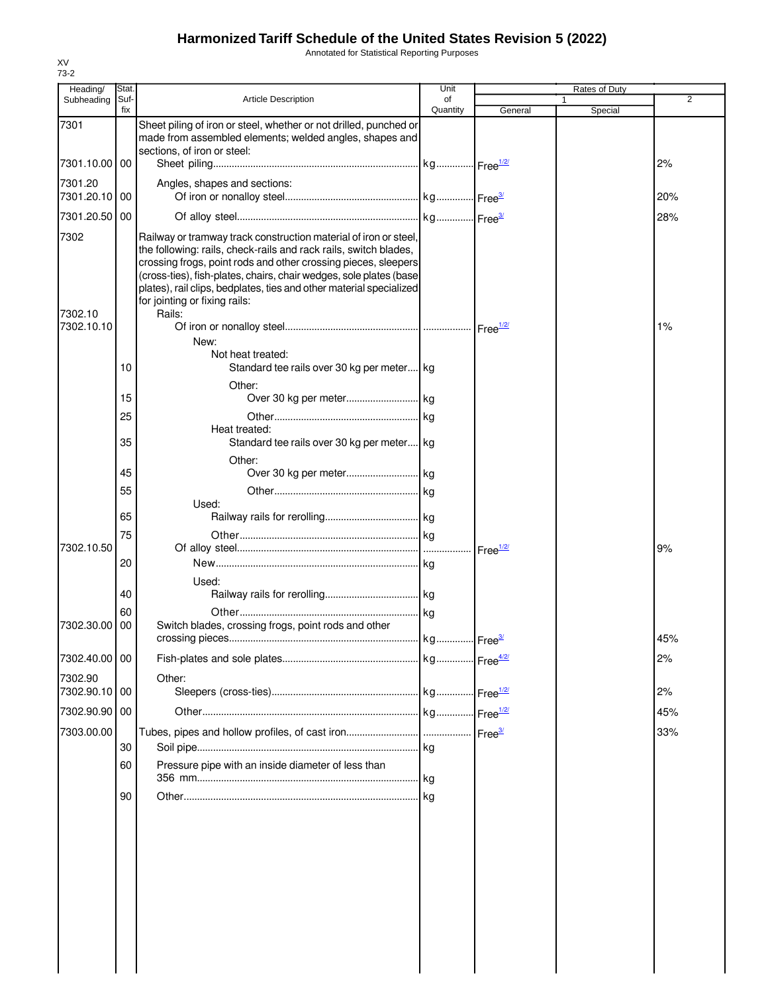Annotated for Statistical Reporting Purposes

| Heading/                      | Stat.       |                                                                                                                                                                                                                                                                                                                                                                                                | Unit           |                    | Rates of Duty |                |
|-------------------------------|-------------|------------------------------------------------------------------------------------------------------------------------------------------------------------------------------------------------------------------------------------------------------------------------------------------------------------------------------------------------------------------------------------------------|----------------|--------------------|---------------|----------------|
| Subheading                    | Suf-<br>fix | <b>Article Description</b>                                                                                                                                                                                                                                                                                                                                                                     | of<br>Quantity | General            | -1<br>Special | $\overline{2}$ |
| 7301                          |             | Sheet piling of iron or steel, whether or not drilled, punched or<br>made from assembled elements; welded angles, shapes and<br>sections, of iron or steel:                                                                                                                                                                                                                                    |                |                    |               |                |
| 7301.10.00 00                 |             |                                                                                                                                                                                                                                                                                                                                                                                                |                |                    |               | 2%             |
| 7301.20<br>7301.20.10 00      |             | Angles, shapes and sections:                                                                                                                                                                                                                                                                                                                                                                   |                |                    |               | 20%            |
| 7301.20.50 00                 |             |                                                                                                                                                                                                                                                                                                                                                                                                |                |                    |               | 28%            |
| 7302<br>7302.10<br>7302.10.10 |             | Railway or tramway track construction material of iron or steel,<br>the following: rails, check-rails and rack rails, switch blades,<br>crossing frogs, point rods and other crossing pieces, sleepers<br>(cross-ties), fish-plates, chairs, chair wedges, sole plates (base<br>plates), rail clips, bedplates, ties and other material specialized<br>for jointing or fixing rails:<br>Rails: |                |                    |               | 1%             |
|                               |             | New:<br>Not heat treated:                                                                                                                                                                                                                                                                                                                                                                      |                |                    |               |                |
|                               | 10          | Standard tee rails over 30 kg per meter kg                                                                                                                                                                                                                                                                                                                                                     |                |                    |               |                |
|                               | 15          | Other:                                                                                                                                                                                                                                                                                                                                                                                         |                |                    |               |                |
|                               | 25          | Heat treated:                                                                                                                                                                                                                                                                                                                                                                                  | kg             |                    |               |                |
|                               | 35          | Standard tee rails over 30 kg per meter kg<br>Other:                                                                                                                                                                                                                                                                                                                                           |                |                    |               |                |
|                               | 45          |                                                                                                                                                                                                                                                                                                                                                                                                |                |                    |               |                |
|                               | 55          | Used:                                                                                                                                                                                                                                                                                                                                                                                          |                |                    |               |                |
|                               | 65          |                                                                                                                                                                                                                                                                                                                                                                                                |                |                    |               |                |
| 7302.10.50                    | 75          |                                                                                                                                                                                                                                                                                                                                                                                                |                | Free $\frac{1}{2}$ |               | 9%             |
|                               | 20          | Used:                                                                                                                                                                                                                                                                                                                                                                                          |                |                    |               |                |
|                               | 40          |                                                                                                                                                                                                                                                                                                                                                                                                |                |                    |               |                |
| 7302.30.00                    | 60<br>00    | Switch blades, crossing frogs, point rods and other                                                                                                                                                                                                                                                                                                                                            |                |                    |               | 45%            |
| 7302.40.00 00                 |             |                                                                                                                                                                                                                                                                                                                                                                                                |                |                    |               | 2%             |
| 7302.90<br>7302.90.10 00      |             | Other:                                                                                                                                                                                                                                                                                                                                                                                         |                |                    |               | 2%             |
| 7302.90.90 00                 |             |                                                                                                                                                                                                                                                                                                                                                                                                |                |                    |               | 45%            |
| 7303.00.00                    | 30          |                                                                                                                                                                                                                                                                                                                                                                                                | kg             |                    |               | 33%            |
|                               | 60          | Pressure pipe with an inside diameter of less than                                                                                                                                                                                                                                                                                                                                             | kg             |                    |               |                |
|                               | 90          |                                                                                                                                                                                                                                                                                                                                                                                                | kg             |                    |               |                |
|                               |             |                                                                                                                                                                                                                                                                                                                                                                                                |                |                    |               |                |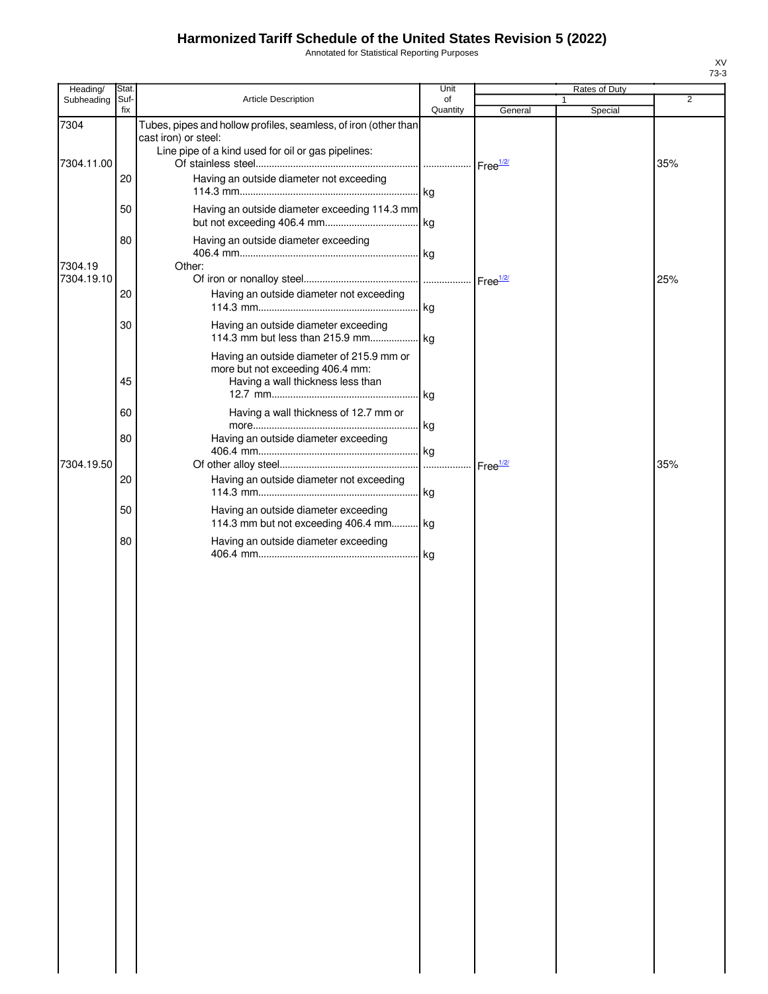Annotated for Statistical Reporting Purposes

| Heading/           | Stat.       |                                                                                                                                               | Unit           |         | Rates of Duty           |     |
|--------------------|-------------|-----------------------------------------------------------------------------------------------------------------------------------------------|----------------|---------|-------------------------|-----|
| Subheading         | Suf-<br>fix | Article Description                                                                                                                           | of<br>Quantity | General | $\mathbf{1}$<br>Special | 2   |
| 7304<br>7304.11.00 |             | Tubes, pipes and hollow profiles, seamless, of iron (other than<br>cast iron) or steel:<br>Line pipe of a kind used for oil or gas pipelines: |                |         |                         | 35% |
|                    | 20          | Having an outside diameter not exceeding                                                                                                      |                |         |                         |     |
|                    | 50          | Having an outside diameter exceeding 114.3 mm                                                                                                 |                |         |                         |     |
| 7304.19            | 80          | Having an outside diameter exceeding<br>Other:                                                                                                |                |         |                         |     |
| 7304.19.10         |             |                                                                                                                                               |                |         |                         | 25% |
|                    | 20          | Having an outside diameter not exceeding                                                                                                      |                |         |                         |     |
|                    | 30          | Having an outside diameter exceeding                                                                                                          |                |         |                         |     |
|                    | 45          | Having an outside diameter of 215.9 mm or<br>more but not exceeding 406.4 mm:<br>Having a wall thickness less than                            |                |         |                         |     |
|                    | 60          | Having a wall thickness of 12.7 mm or                                                                                                         |                |         |                         |     |
|                    | 80          | Having an outside diameter exceeding                                                                                                          |                |         |                         |     |
| 7304.19.50         |             |                                                                                                                                               |                |         |                         | 35% |
|                    | 20          | Having an outside diameter not exceeding                                                                                                      |                |         |                         |     |
|                    | 50          | Having an outside diameter exceeding<br>114.3 mm but not exceeding 406.4 mm kg                                                                |                |         |                         |     |
|                    | 80          | Having an outside diameter exceeding                                                                                                          |                |         |                         |     |
|                    |             |                                                                                                                                               |                |         |                         |     |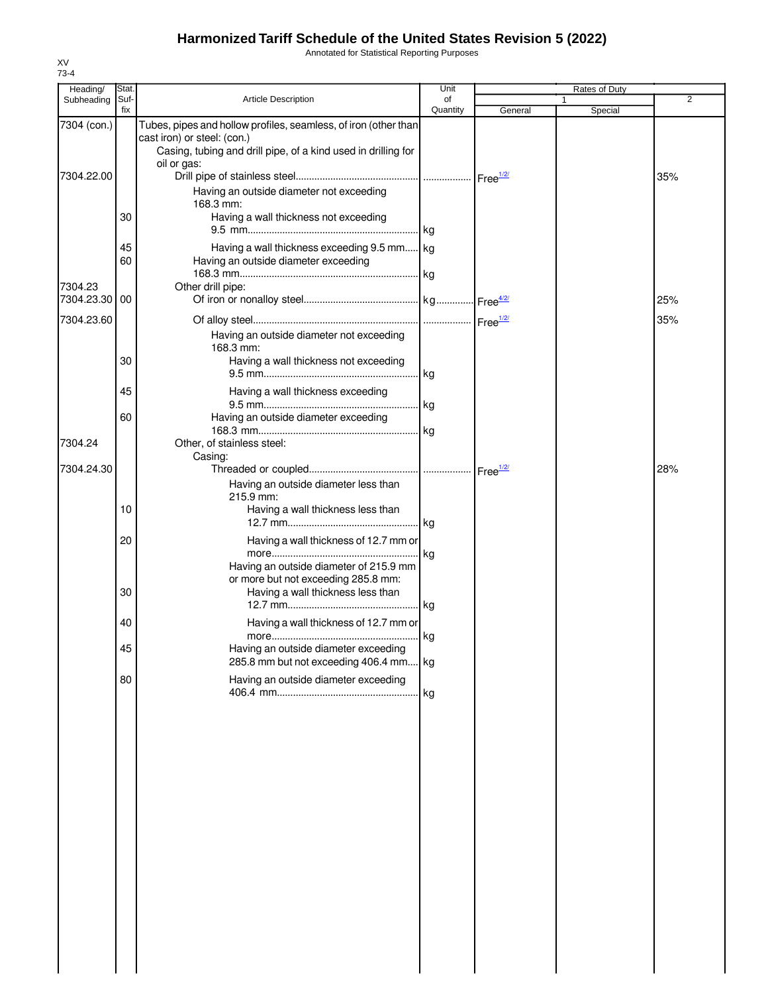Annotated for Statistical Reporting Purposes

| Heading/      | Stat.       |                                                                                                                                                                                | Unit           |         | Rates of Duty |                |
|---------------|-------------|--------------------------------------------------------------------------------------------------------------------------------------------------------------------------------|----------------|---------|---------------|----------------|
| Subheading    | Suf-<br>fix | <b>Article Description</b>                                                                                                                                                     | of<br>Quantity | General | 1<br>Special  | $\overline{2}$ |
| 7304 (con.)   |             | Tubes, pipes and hollow profiles, seamless, of iron (other than<br>cast iron) or steel: (con.)<br>Casing, tubing and drill pipe, of a kind used in drilling for<br>oil or gas: |                |         |               |                |
| 7304.22.00    | 30          | Having an outside diameter not exceeding<br>168.3 mm:<br>Having a wall thickness not exceeding                                                                                 |                |         |               | 35%            |
|               | 45          | Having a wall thickness exceeding 9.5 mm kg                                                                                                                                    |                |         |               |                |
| 7304.23       | 60          | Having an outside diameter exceeding<br>Other drill pipe:                                                                                                                      |                |         |               |                |
| 7304.23.30 00 |             |                                                                                                                                                                                |                |         |               | 25%            |
| 7304.23.60    |             | Having an outside diameter not exceeding<br>168.3 mm:                                                                                                                          |                |         |               | 35%            |
|               | 30          | Having a wall thickness not exceeding                                                                                                                                          |                |         |               |                |
|               | 45          | Having a wall thickness exceeding                                                                                                                                              |                |         |               |                |
| 7304.24       | 60          | Having an outside diameter exceeding<br>Other, of stainless steel:                                                                                                             |                |         |               |                |
| 7304.24.30    |             | Casing:                                                                                                                                                                        |                |         |               | 28%            |
|               | 10          | Having an outside diameter less than<br>215.9 mm:<br>Having a wall thickness less than                                                                                         |                |         |               |                |
|               | 20          | Having a wall thickness of 12.7 mm or                                                                                                                                          |                |         |               |                |
|               | 30          | Having an outside diameter of 215.9 mm<br>or more but not exceeding 285.8 mm:<br>Having a wall thickness less than                                                             | . kg           |         |               |                |
|               | 40          | Having a wall thickness of 12.7 mm or                                                                                                                                          |                |         |               |                |
|               | 45          | Having an outside diameter exceeding<br>285.8 mm but not exceeding 406.4 mm kg                                                                                                 |                |         |               |                |
|               | 80          | Having an outside diameter exceeding                                                                                                                                           |                |         |               |                |
|               |             |                                                                                                                                                                                |                |         |               |                |
|               |             |                                                                                                                                                                                |                |         |               |                |
|               |             |                                                                                                                                                                                |                |         |               |                |
|               |             |                                                                                                                                                                                |                |         |               |                |
|               |             |                                                                                                                                                                                |                |         |               |                |
|               |             |                                                                                                                                                                                |                |         |               |                |
|               |             |                                                                                                                                                                                |                |         |               |                |
|               |             |                                                                                                                                                                                |                |         |               |                |
|               |             |                                                                                                                                                                                |                |         |               |                |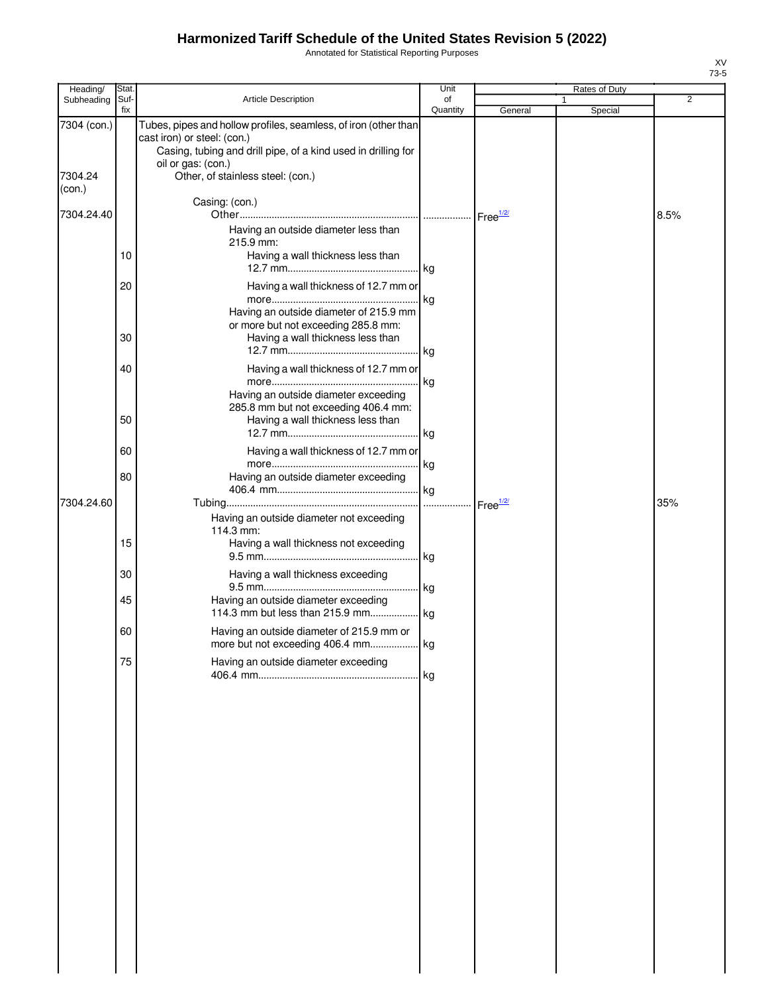Annotated for Statistical Reporting Purposes

| Heading/               | Stat.       |                                                                                                                                                                                                                            | Unit           |                      | Rates of Duty |                |
|------------------------|-------------|----------------------------------------------------------------------------------------------------------------------------------------------------------------------------------------------------------------------------|----------------|----------------------|---------------|----------------|
| Subheading             | Suf-<br>fix | Article Description                                                                                                                                                                                                        | of<br>Quantity | General              | 1<br>Special  | $\overline{2}$ |
| 7304 (con.)<br>7304.24 |             | Tubes, pipes and hollow profiles, seamless, of iron (other than<br>cast iron) or steel: (con.)<br>Casing, tubing and drill pipe, of a kind used in drilling for<br>oil or gas: (con.)<br>Other, of stainless steel: (con.) |                |                      |               |                |
| (con.)                 |             | Casing: (con.)                                                                                                                                                                                                             |                |                      |               |                |
| 7304.24.40             |             |                                                                                                                                                                                                                            |                | Free <sup>1/2/</sup> |               | 8.5%           |
|                        | 10          | Having an outside diameter less than<br>215.9 mm:<br>Having a wall thickness less than                                                                                                                                     |                |                      |               |                |
|                        | 20          | Having a wall thickness of 12.7 mm or                                                                                                                                                                                      |                |                      |               |                |
|                        | 30          | Having an outside diameter of 215.9 mm<br>or more but not exceeding 285.8 mm:<br>Having a wall thickness less than                                                                                                         |                |                      |               |                |
|                        | 40          | Having a wall thickness of 12.7 mm or                                                                                                                                                                                      | kg             |                      |               |                |
|                        | 50          | Having an outside diameter exceeding<br>285.8 mm but not exceeding 406.4 mm:<br>Having a wall thickness less than                                                                                                          |                |                      |               |                |
|                        | 60          | Having a wall thickness of 12.7 mm or                                                                                                                                                                                      |                |                      |               |                |
|                        | 80          | Having an outside diameter exceeding                                                                                                                                                                                       |                |                      |               |                |
| 7304.24.60             |             |                                                                                                                                                                                                                            | .              | Free <sup>1/2/</sup> |               | 35%            |
|                        | 15          | Having an outside diameter not exceeding<br>114.3 mm:<br>Having a wall thickness not exceeding                                                                                                                             |                |                      |               |                |
|                        | 30          | Having a wall thickness exceeding                                                                                                                                                                                          |                |                      |               |                |
|                        | 45          | Having an outside diameter exceeding                                                                                                                                                                                       | . kg           |                      |               |                |
|                        | 60          | Having an outside diameter of 215.9 mm or                                                                                                                                                                                  |                |                      |               |                |
|                        | 75          | Having an outside diameter exceeding                                                                                                                                                                                       |                |                      |               |                |
|                        |             |                                                                                                                                                                                                                            |                |                      |               |                |
|                        |             |                                                                                                                                                                                                                            |                |                      |               |                |
|                        |             |                                                                                                                                                                                                                            |                |                      |               |                |
|                        |             |                                                                                                                                                                                                                            |                |                      |               |                |
|                        |             |                                                                                                                                                                                                                            |                |                      |               |                |
|                        |             |                                                                                                                                                                                                                            |                |                      |               |                |
|                        |             |                                                                                                                                                                                                                            |                |                      |               |                |
|                        |             |                                                                                                                                                                                                                            |                |                      |               |                |
|                        |             |                                                                                                                                                                                                                            |                |                      |               |                |
|                        |             |                                                                                                                                                                                                                            |                |                      |               |                |
|                        |             |                                                                                                                                                                                                                            |                |                      |               |                |
|                        |             |                                                                                                                                                                                                                            |                |                      |               |                |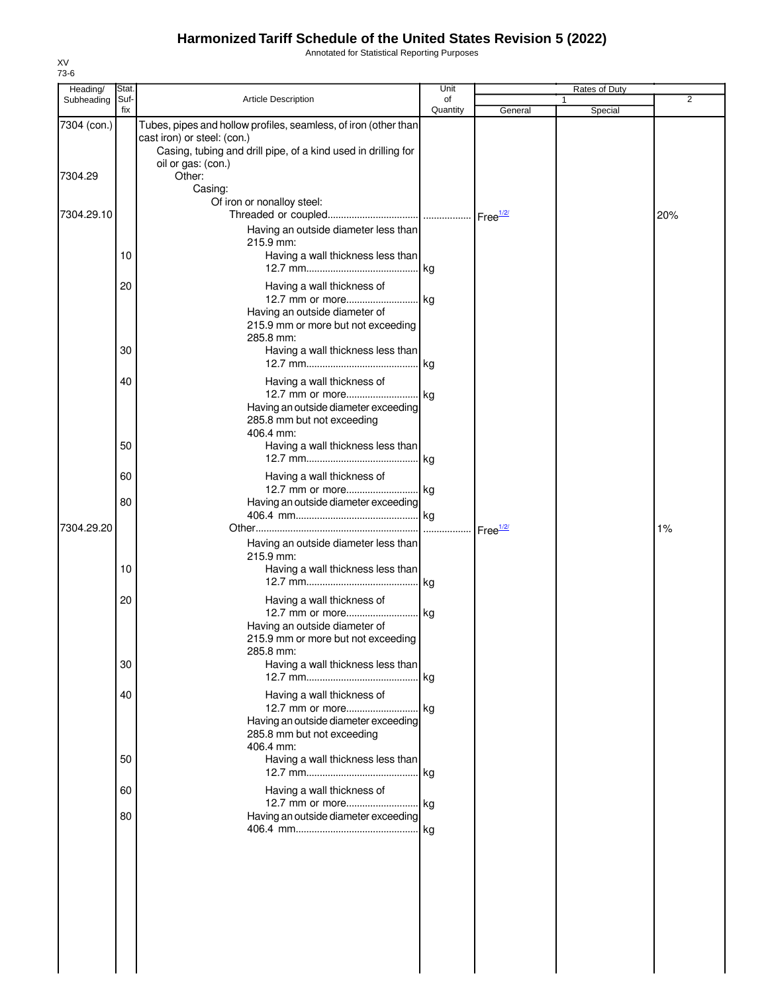Annotated for Statistical Reporting Purposes

| Heading/        | Stat.    |                                                                                                                                                                                       | Unit           |                      | Rates of Duty |                |
|-----------------|----------|---------------------------------------------------------------------------------------------------------------------------------------------------------------------------------------|----------------|----------------------|---------------|----------------|
| Subheading Suf- | fix      | <b>Article Description</b>                                                                                                                                                            | of<br>Quantity | General              | 1<br>Special  | $\overline{2}$ |
| 7304 (con.)     |          | Tubes, pipes and hollow profiles, seamless, of iron (other than<br>cast iron) or steel: (con.)<br>Casing, tubing and drill pipe, of a kind used in drilling for<br>oil or gas: (con.) |                |                      |               |                |
| 7304.29         |          | Other:<br>Casing:<br>Of iron or nonalloy steel:                                                                                                                                       |                |                      |               |                |
| 7304.29.10      |          | Having an outside diameter less than                                                                                                                                                  |                |                      |               | 20%            |
|                 | 10       | 215.9 mm:<br>Having a wall thickness less than                                                                                                                                        |                |                      |               |                |
|                 | 20       | Having a wall thickness of<br>12.7 mm or more kg<br>Having an outside diameter of                                                                                                     |                |                      |               |                |
|                 | 30       | 215.9 mm or more but not exceeding<br>285.8 mm:<br>Having a wall thickness less than                                                                                                  |                |                      |               |                |
|                 | 40       | Having a wall thickness of                                                                                                                                                            |                |                      |               |                |
|                 |          | 12.7 mm or more kg<br>Having an outside diameter exceeding<br>285.8 mm but not exceeding<br>406.4 mm:                                                                                 |                |                      |               |                |
|                 | 50       | Having a wall thickness less than                                                                                                                                                     |                |                      |               |                |
|                 | 60<br>80 | Having a wall thickness of<br>12.7 mm or more kg<br>Having an outside diameter exceeding                                                                                              |                |                      |               |                |
| 7304.29.20      |          |                                                                                                                                                                                       |                | Free <sup>1/2/</sup> |               | 1%             |
|                 | 10       | Having an outside diameter less than<br>215.9 mm:<br>Having a wall thickness less than                                                                                                |                |                      |               |                |
|                 | 20       | Having a wall thickness of<br>12.7 mm or more kg<br>Having an outside diameter of                                                                                                     |                |                      |               |                |
|                 | 30       | 215.9 mm or more but not exceeding<br>285.8 mm:<br>Having a wall thickness less than                                                                                                  | kg             |                      |               |                |
|                 | 40       | Having a wall thickness of<br>12.7 mm or more kg<br>Having an outside diameter exceeding                                                                                              |                |                      |               |                |
|                 | 50       | 285.8 mm but not exceeding<br>406.4 mm:<br>Having a wall thickness less than                                                                                                          |                |                      |               |                |
|                 | 60       | Having a wall thickness of                                                                                                                                                            |                |                      |               |                |
|                 | 80       | 12.7 mm or more kg<br>Having an outside diameter exceeding                                                                                                                            |                |                      |               |                |
|                 |          |                                                                                                                                                                                       |                |                      |               |                |
|                 |          |                                                                                                                                                                                       |                |                      |               |                |
|                 |          |                                                                                                                                                                                       |                |                      |               |                |
|                 |          |                                                                                                                                                                                       |                |                      |               |                |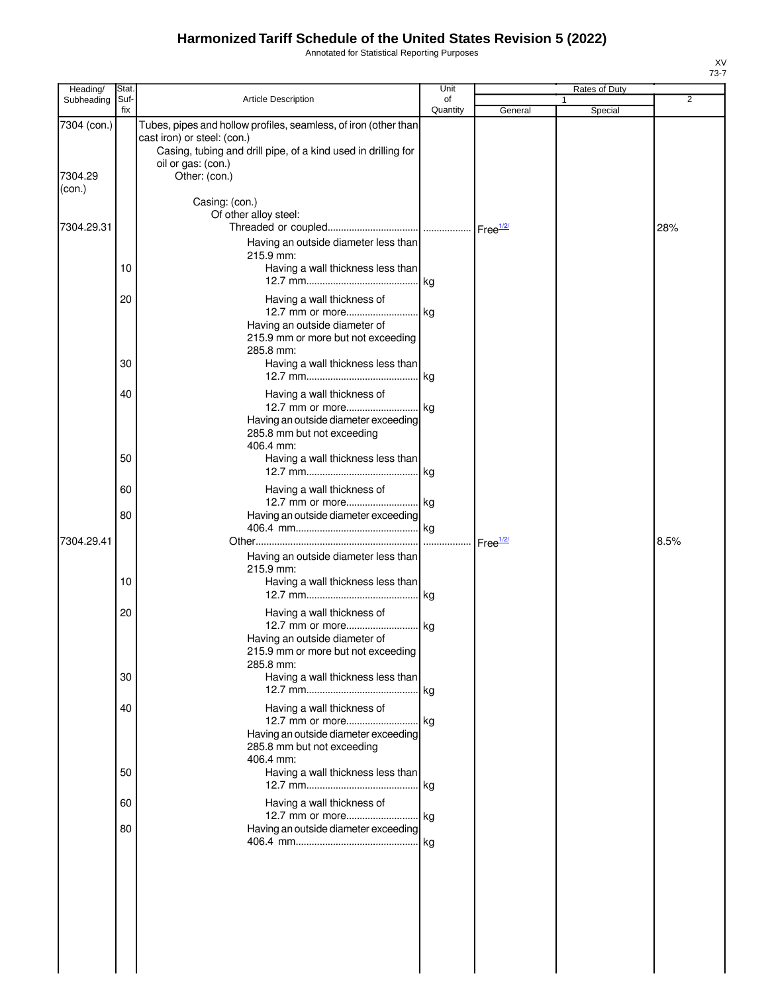Annotated for Statistical Reporting Purposes

| Heading/                         | Stat.       |                                                                                                                                                                                                        | Unit           |                      | Rates of Duty |      |
|----------------------------------|-------------|--------------------------------------------------------------------------------------------------------------------------------------------------------------------------------------------------------|----------------|----------------------|---------------|------|
| Subheading                       | Suf-<br>fix | Article Description                                                                                                                                                                                    | οf<br>Quantity | General              | 1<br>Special  | 2    |
| 7304 (con.)<br>7304.29<br>(con.) |             | Tubes, pipes and hollow profiles, seamless, of iron (other than<br>cast iron) or steel: (con.)<br>Casing, tubing and drill pipe, of a kind used in drilling for<br>oil or gas: (con.)<br>Other: (con.) |                |                      |               |      |
| 7304.29.31                       |             | Casing: (con.)<br>Of other alloy steel:                                                                                                                                                                |                |                      |               | 28%  |
|                                  | 10          | Having an outside diameter less than<br>215.9 mm:<br>Having a wall thickness less than                                                                                                                 |                |                      |               |      |
|                                  | 20          | Having a wall thickness of<br>Having an outside diameter of<br>215.9 mm or more but not exceeding<br>285.8 mm:                                                                                         |                |                      |               |      |
|                                  | 30          | Having a wall thickness less than                                                                                                                                                                      |                |                      |               |      |
|                                  | 40          | Having a wall thickness of<br>12.7 mm or more kg<br>Having an outside diameter exceeding<br>285.8 mm but not exceeding<br>406.4 mm:                                                                    |                |                      |               |      |
|                                  | 50          | Having a wall thickness less than                                                                                                                                                                      |                |                      |               |      |
|                                  | 60          | Having a wall thickness of                                                                                                                                                                             |                |                      |               |      |
| 7304.29.41                       | 80          | Having an outside diameter exceeding                                                                                                                                                                   |                | Free <sup>1/2/</sup> |               | 8.5% |
|                                  | 10          | Having an outside diameter less than<br>215.9 mm:<br>Having a wall thickness less than                                                                                                                 |                |                      |               |      |
|                                  | 20          | Having a wall thickness of<br>12.7 mm or more kg<br>Having an outside diameter of<br>215.9 mm or more but not exceeding<br>285.8 mm:                                                                   |                |                      |               |      |
|                                  | 30          | Having a wall thickness less than                                                                                                                                                                      |                |                      |               |      |
|                                  | 40          | Having a wall thickness of<br>Having an outside diameter exceeding<br>285.8 mm but not exceeding<br>406.4 mm:                                                                                          |                |                      |               |      |
|                                  | 50          | Having a wall thickness less than                                                                                                                                                                      |                |                      |               |      |
|                                  | 60<br>80    | Having a wall thickness of<br>12.7 mm or more kg<br>Having an outside diameter exceeding                                                                                                               |                |                      |               |      |
|                                  |             |                                                                                                                                                                                                        |                |                      |               |      |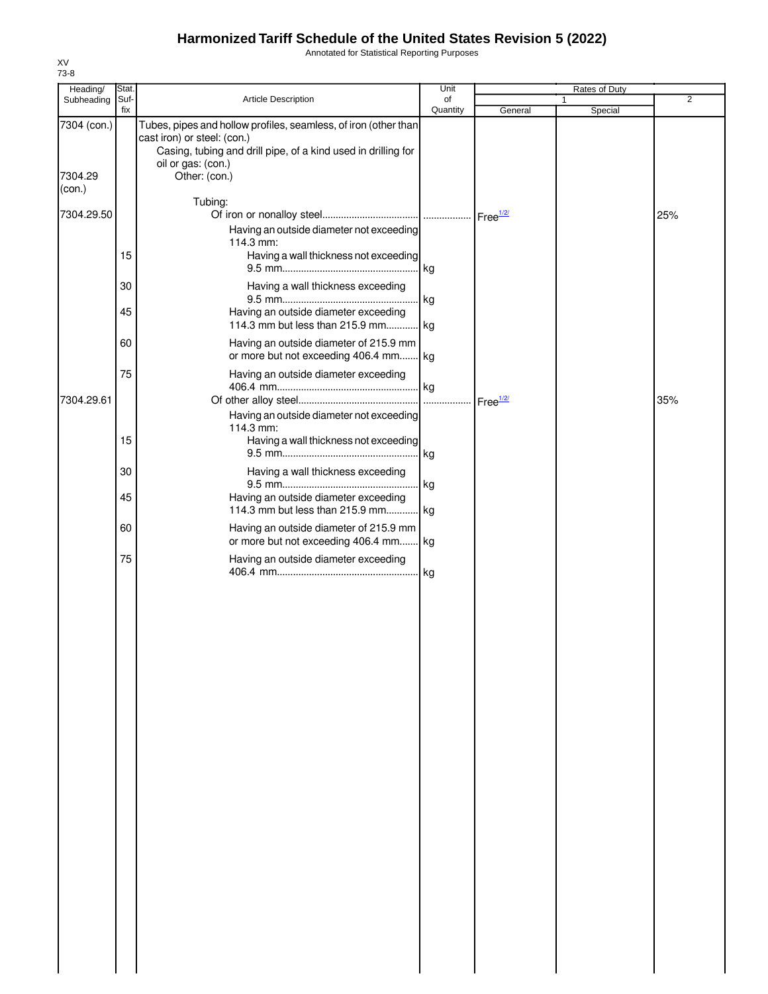Annotated for Statistical Reporting Purposes

| Heading/          | Stat. |                                                                                                                                                                 | Unit     |                      | Rates of Duty |                |
|-------------------|-------|-----------------------------------------------------------------------------------------------------------------------------------------------------------------|----------|----------------------|---------------|----------------|
| Subheading        | Suf-  | Article Description                                                                                                                                             | of       |                      | 1             | $\overline{2}$ |
| 7304 (con.)       | fix   | Tubes, pipes and hollow profiles, seamless, of iron (other than<br>cast iron) or steel: (con.)<br>Casing, tubing and drill pipe, of a kind used in drilling for | Quantity | General              | Special       |                |
| 7304.29<br>(con.) |       | oil or gas: (con.)<br>Other: (con.)                                                                                                                             |          |                      |               |                |
| 7304.29.50        |       | Tubing:<br>Having an outside diameter not exceeding                                                                                                             |          | Free <sup>1/2/</sup> |               | 25%            |
|                   | 15    | 114.3 mm:<br>Having a wall thickness not exceeding                                                                                                              | kg       |                      |               |                |
|                   | 30    | Having a wall thickness exceeding                                                                                                                               | kg       |                      |               |                |
|                   | 45    | Having an outside diameter exceeding<br>114.3 mm but less than 215.9 mm kg                                                                                      |          |                      |               |                |
|                   | 60    | Having an outside diameter of 215.9 mm<br>or more but not exceeding 406.4 mm kg                                                                                 |          |                      |               |                |
| 7304.29.61        | 75    | Having an outside diameter exceeding                                                                                                                            |          | Free <sup>1/2/</sup> |               | 35%            |
|                   | 15    | Having an outside diameter not exceeding<br>114.3 mm:<br>Having a wall thickness not exceeding                                                                  | kg       |                      |               |                |
|                   | 30    | Having a wall thickness exceeding                                                                                                                               | kg       |                      |               |                |
|                   | 45    | Having an outside diameter exceeding<br>114.3 mm but less than 215.9 mm kg                                                                                      |          |                      |               |                |
|                   | 60    | Having an outside diameter of 215.9 mm<br>or more but not exceeding 406.4 mm kg                                                                                 |          |                      |               |                |
|                   | 75    | Having an outside diameter exceeding                                                                                                                            |          |                      |               |                |
|                   |       |                                                                                                                                                                 |          |                      |               |                |
|                   |       |                                                                                                                                                                 |          |                      |               |                |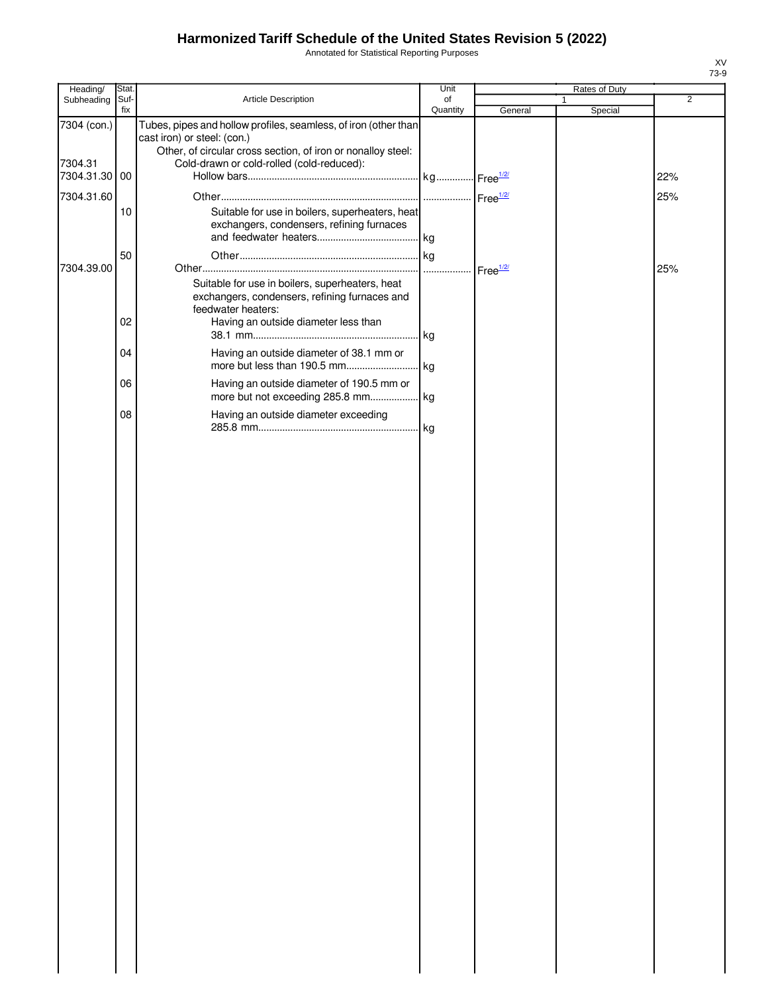Annotated for Statistical Reporting Purposes

| Heading/               | Stat.       |                                                                                                                                                                                                             | Unit           |                    | Rates of Duty |                |
|------------------------|-------------|-------------------------------------------------------------------------------------------------------------------------------------------------------------------------------------------------------------|----------------|--------------------|---------------|----------------|
| Subheading             | Suf-<br>fix | Article Description                                                                                                                                                                                         | of<br>Quantity | General            | 1<br>Special  | $\overline{2}$ |
| 7304 (con.)<br>7304.31 |             | Tubes, pipes and hollow profiles, seamless, of iron (other than<br>cast iron) or steel: (con.)<br>Other, of circular cross section, of iron or nonalloy steel:<br>Cold-drawn or cold-rolled (cold-reduced): |                |                    |               |                |
| 7304.31.30 00          |             |                                                                                                                                                                                                             |                |                    |               | 22%            |
| 7304.31.60             | 10          | Suitable for use in boilers, superheaters, heat<br>exchangers, condensers, refining furnaces                                                                                                                |                |                    |               | 25%            |
| 7304.39.00             | 50          |                                                                                                                                                                                                             |                | Free $\frac{1}{2}$ |               | 25%            |
|                        | 02          | Suitable for use in boilers, superheaters, heat<br>exchangers, condensers, refining furnaces and<br>feedwater heaters:<br>Having an outside diameter less than                                              |                |                    |               |                |
|                        | 04          | Having an outside diameter of 38.1 mm or                                                                                                                                                                    |                |                    |               |                |
|                        | 06          | Having an outside diameter of 190.5 mm or                                                                                                                                                                   |                |                    |               |                |
|                        | 08          | Having an outside diameter exceeding                                                                                                                                                                        |                |                    |               |                |
|                        |             |                                                                                                                                                                                                             |                |                    |               |                |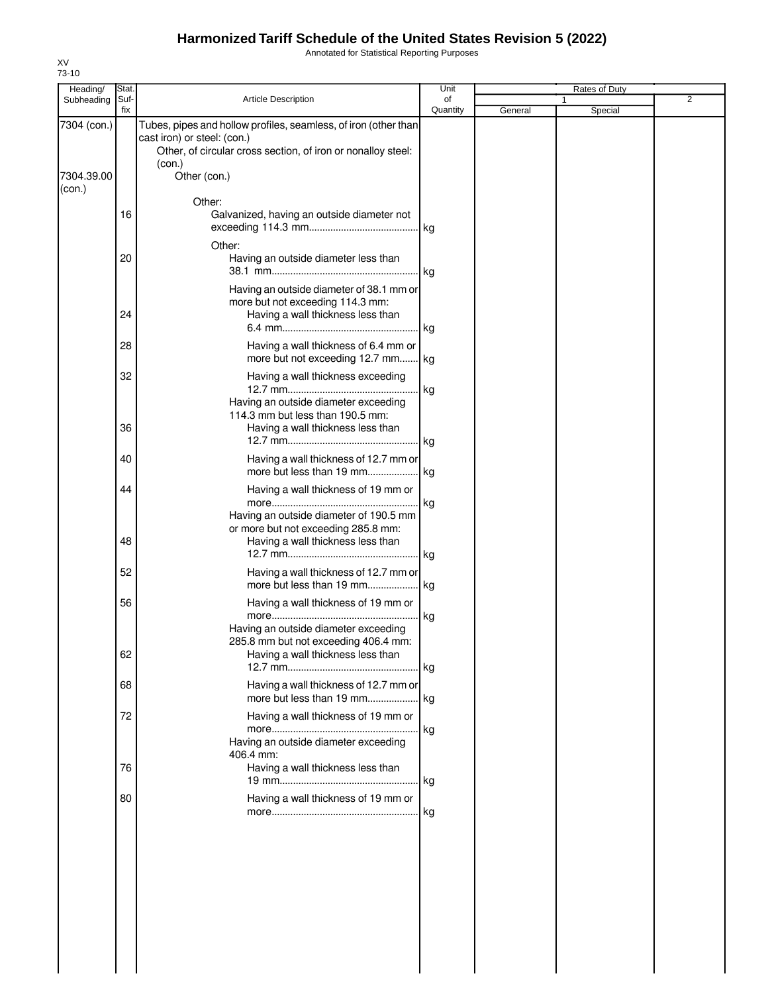Annotated for Statistical Reporting Purposes

| Heading/             | Stat.       |                                                                                                                                                                          | Unit           |         | Rates of Duty |                |
|----------------------|-------------|--------------------------------------------------------------------------------------------------------------------------------------------------------------------------|----------------|---------|---------------|----------------|
| Subheading           | Suf-<br>fix | Article Description                                                                                                                                                      | of<br>Quantity | General | Special       | $\overline{2}$ |
| 7304 (con.)          |             | Tubes, pipes and hollow profiles, seamless, of iron (other than<br>cast iron) or steel: (con.)<br>Other, of circular cross section, of iron or nonalloy steel:<br>(con.) |                |         |               |                |
| 7304.39.00<br>(con.) |             | Other (con.)                                                                                                                                                             |                |         |               |                |
|                      | 16          | Other:<br>Galvanized, having an outside diameter not                                                                                                                     |                |         |               |                |
|                      | 20          | Other:<br>Having an outside diameter less than                                                                                                                           | $\lg$          |         |               |                |
|                      | 24          | Having an outside diameter of 38.1 mm or<br>more but not exceeding 114.3 mm:<br>Having a wall thickness less than                                                        |                |         |               |                |
|                      |             |                                                                                                                                                                          | . kg           |         |               |                |
|                      | 28          | Having a wall thickness of 6.4 mm or<br>more but not exceeding 12.7 mm kg                                                                                                |                |         |               |                |
|                      | 32          | Having a wall thickness exceeding                                                                                                                                        | . kg           |         |               |                |
|                      | 36          | Having an outside diameter exceeding<br>114.3 mm but less than 190.5 mm:<br>Having a wall thickness less than                                                            |                |         |               |                |
|                      |             |                                                                                                                                                                          |                |         |               |                |
|                      | 40          | Having a wall thickness of 12.7 mm or<br>more but less than 19 mm                                                                                                        | kg             |         |               |                |
|                      | 44          | Having a wall thickness of 19 mm or<br>Having an outside diameter of 190.5 mm                                                                                            |                |         |               |                |
|                      | 48          | or more but not exceeding 285.8 mm:<br>Having a wall thickness less than                                                                                                 |                |         |               |                |
|                      | 52          | Having a wall thickness of 12.7 mm or                                                                                                                                    |                |         |               |                |
|                      | 56          | Having a wall thickness of 19 mm or                                                                                                                                      |                |         |               |                |
|                      |             | Having an outside diameter exceeding<br>285.8 mm but not exceeding 406.4 mm:                                                                                             | . Ikg          |         |               |                |
|                      | 62          | Having a wall thickness less than                                                                                                                                        | kg             |         |               |                |
|                      | 68          | Having a wall thickness of 12.7 mm or                                                                                                                                    |                |         |               |                |
|                      | 72          | Having a wall thickness of 19 mm or                                                                                                                                      | . kg           |         |               |                |
|                      |             | Having an outside diameter exceeding<br>406.4 mm:                                                                                                                        |                |         |               |                |
|                      | 76          | Having a wall thickness less than                                                                                                                                        |                |         |               |                |
|                      | 80          | Having a wall thickness of 19 mm or                                                                                                                                      |                |         |               |                |
|                      |             |                                                                                                                                                                          |                |         |               |                |
|                      |             |                                                                                                                                                                          |                |         |               |                |
|                      |             |                                                                                                                                                                          |                |         |               |                |
|                      |             |                                                                                                                                                                          |                |         |               |                |
|                      |             |                                                                                                                                                                          |                |         |               |                |
|                      |             |                                                                                                                                                                          |                |         |               |                |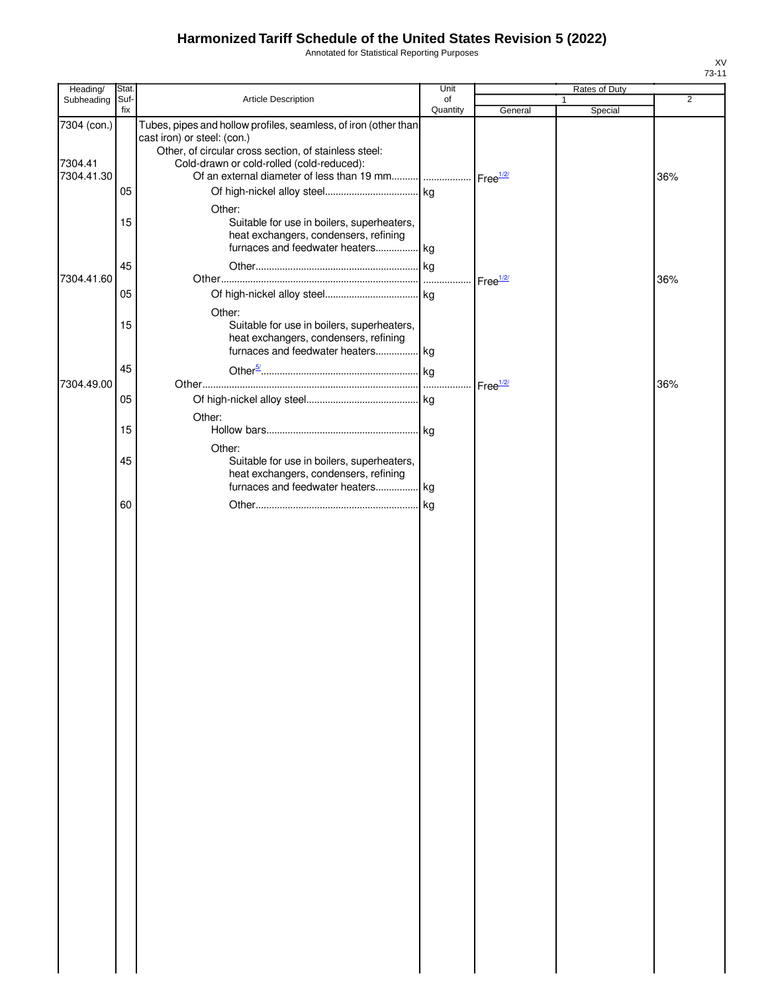Annotated for Statistical Reporting Purposes

| Heading/                             | Stat.       |                                                                                                                                                                                                                                                                           | Unit           |                      | Rates of Duty |     |
|--------------------------------------|-------------|---------------------------------------------------------------------------------------------------------------------------------------------------------------------------------------------------------------------------------------------------------------------------|----------------|----------------------|---------------|-----|
| Subheading                           | Suf-<br>fix | Article Description                                                                                                                                                                                                                                                       | of<br>Quantity | General              | 1<br>Special  | 2   |
| 7304 (con.)<br>7304.41<br>7304.41.30 |             | Tubes, pipes and hollow profiles, seamless, of iron (other than<br>cast iron) or steel: (con.)<br>Other, of circular cross section, of stainless steel:<br>Cold-drawn or cold-rolled (cold-reduced):<br>Of an external diameter of less than 19 mm   Free <sup>1/2/</sup> |                |                      |               | 36% |
|                                      | 05<br>15    | Other:<br>Suitable for use in boilers, superheaters,<br>heat exchangers, condensers, refining<br>furnaces and feedwater heaters kg                                                                                                                                        |                |                      |               |     |
| 7304.41.60                           | 45<br>05    |                                                                                                                                                                                                                                                                           |                |                      |               | 36% |
|                                      | 15          | Other:<br>Suitable for use in boilers, superheaters,<br>heat exchangers, condensers, refining<br>furnaces and feedwater heaters kg                                                                                                                                        |                |                      |               |     |
| 7304.49.00                           | 45          |                                                                                                                                                                                                                                                                           |                | Free <sup>1/2/</sup> |               | 36% |
|                                      | 05<br>15    | Other:                                                                                                                                                                                                                                                                    |                |                      |               |     |
|                                      | 45          | Other:<br>Suitable for use in boilers, superheaters,<br>heat exchangers, condensers, refining<br>furnaces and feedwater heaters kg                                                                                                                                        |                |                      |               |     |
|                                      | 60          |                                                                                                                                                                                                                                                                           |                |                      |               |     |
|                                      |             |                                                                                                                                                                                                                                                                           |                |                      |               |     |
|                                      |             |                                                                                                                                                                                                                                                                           |                |                      |               |     |
|                                      |             |                                                                                                                                                                                                                                                                           |                |                      |               |     |
|                                      |             |                                                                                                                                                                                                                                                                           |                |                      |               |     |
|                                      |             |                                                                                                                                                                                                                                                                           |                |                      |               |     |
|                                      |             |                                                                                                                                                                                                                                                                           |                |                      |               |     |
|                                      |             |                                                                                                                                                                                                                                                                           |                |                      |               |     |
|                                      |             |                                                                                                                                                                                                                                                                           |                |                      |               |     |
|                                      |             |                                                                                                                                                                                                                                                                           |                |                      |               |     |
|                                      |             |                                                                                                                                                                                                                                                                           |                |                      |               |     |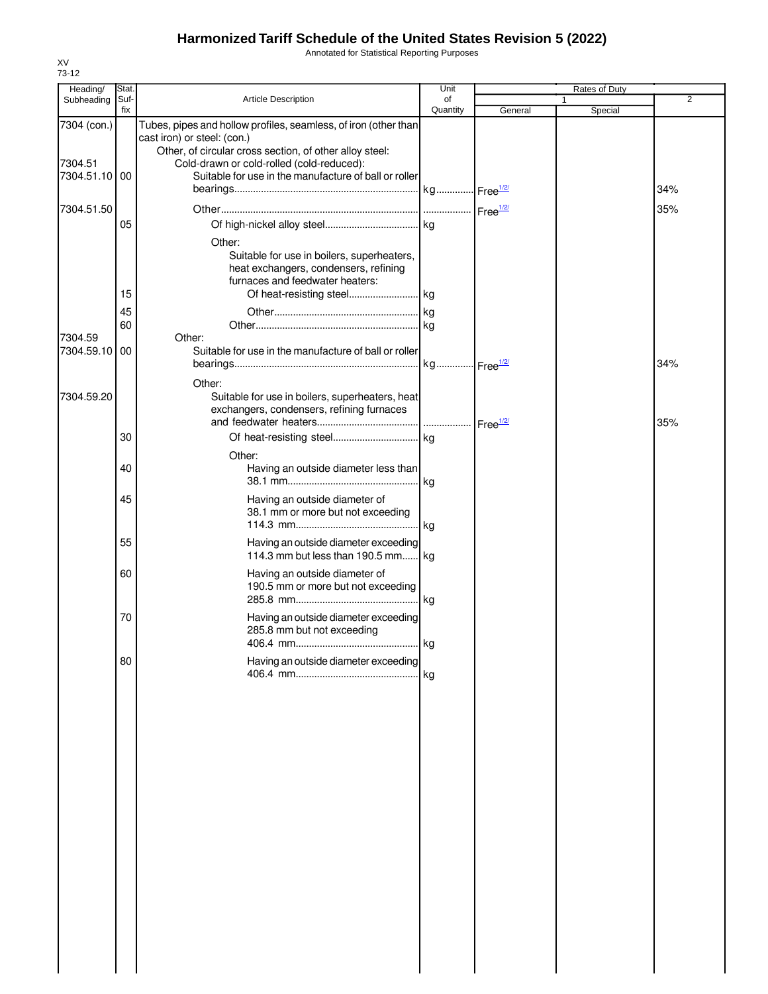Annotated for Statistical Reporting Purposes

| Heading/                 | Stat.       |                                                                                                    | Unit           |         | Rates of Duty           |                |
|--------------------------|-------------|----------------------------------------------------------------------------------------------------|----------------|---------|-------------------------|----------------|
| Subheading               | Suf-<br>fix | <b>Article Description</b>                                                                         | of<br>Quantity | General | $\mathbf{1}$<br>Special | $\overline{2}$ |
| 7304 (con.)              |             | Tubes, pipes and hollow profiles, seamless, of iron (other than                                    |                |         |                         |                |
|                          |             | cast iron) or steel: (con.)                                                                        |                |         |                         |                |
|                          |             | Other, of circular cross section, of other alloy steel:                                            |                |         |                         |                |
| 7304.51<br>7304.51.10 00 |             | Cold-drawn or cold-rolled (cold-reduced):<br>Suitable for use in the manufacture of ball or roller |                |         |                         |                |
|                          |             |                                                                                                    |                |         |                         | 34%            |
| 7304.51.50               |             |                                                                                                    |                |         |                         | 35%            |
|                          | 05          |                                                                                                    |                |         |                         |                |
|                          |             |                                                                                                    |                |         |                         |                |
|                          |             | Other:<br>Suitable for use in boilers, superheaters,                                               |                |         |                         |                |
|                          |             | heat exchangers, condensers, refining                                                              |                |         |                         |                |
|                          |             | furnaces and feedwater heaters:                                                                    |                |         |                         |                |
|                          | 15          |                                                                                                    |                |         |                         |                |
|                          | 45          |                                                                                                    |                |         |                         |                |
| 7304.59                  | 60          | Other:                                                                                             |                |         |                         |                |
| 7304.59.10               | 00          | Suitable for use in the manufacture of ball or roller                                              |                |         |                         |                |
|                          |             |                                                                                                    |                |         |                         | 34%            |
|                          |             | Other:                                                                                             |                |         |                         |                |
| 7304.59.20               |             | Suitable for use in boilers, superheaters, heat                                                    |                |         |                         |                |
|                          |             | exchangers, condensers, refining furnaces                                                          |                |         |                         |                |
|                          |             | exchangers, condensers, remining rurridocolly members.                                             |                |         |                         | 35%            |
|                          | 30          |                                                                                                    |                |         |                         |                |
|                          |             | Other:                                                                                             |                |         |                         |                |
|                          | 40          | Having an outside diameter less than                                                               |                |         |                         |                |
|                          |             |                                                                                                    |                |         |                         |                |
|                          | 45          | Having an outside diameter of<br>38.1 mm or more but not exceeding                                 |                |         |                         |                |
|                          |             |                                                                                                    |                |         |                         |                |
|                          | 55          | Having an outside diameter exceeding                                                               |                |         |                         |                |
|                          |             | 114.3 mm but less than 190.5 mm kg                                                                 |                |         |                         |                |
|                          | 60          | Having an outside diameter of                                                                      |                |         |                         |                |
|                          |             | 190.5 mm or more but not exceeding                                                                 |                |         |                         |                |
|                          |             |                                                                                                    | . kg           |         |                         |                |
|                          | 70          | Having an outside diameter exceeding                                                               |                |         |                         |                |
|                          |             | 285.8 mm but not exceeding<br>406.4 mm                                                             | . kg           |         |                         |                |
|                          |             |                                                                                                    |                |         |                         |                |
|                          | 80          | Having an outside diameter exceeding                                                               | kg             |         |                         |                |
|                          |             |                                                                                                    |                |         |                         |                |
|                          |             |                                                                                                    |                |         |                         |                |
|                          |             |                                                                                                    |                |         |                         |                |
|                          |             |                                                                                                    |                |         |                         |                |
|                          |             |                                                                                                    |                |         |                         |                |
|                          |             |                                                                                                    |                |         |                         |                |
|                          |             |                                                                                                    |                |         |                         |                |
|                          |             |                                                                                                    |                |         |                         |                |
|                          |             |                                                                                                    |                |         |                         |                |
|                          |             |                                                                                                    |                |         |                         |                |
|                          |             |                                                                                                    |                |         |                         |                |
|                          |             |                                                                                                    |                |         |                         |                |
|                          |             |                                                                                                    |                |         |                         |                |
|                          |             |                                                                                                    |                |         |                         |                |
|                          |             |                                                                                                    |                |         |                         |                |
|                          |             |                                                                                                    |                |         |                         |                |
|                          |             |                                                                                                    |                |         |                         |                |
|                          |             |                                                                                                    |                |         |                         |                |
|                          |             |                                                                                                    |                |         |                         |                |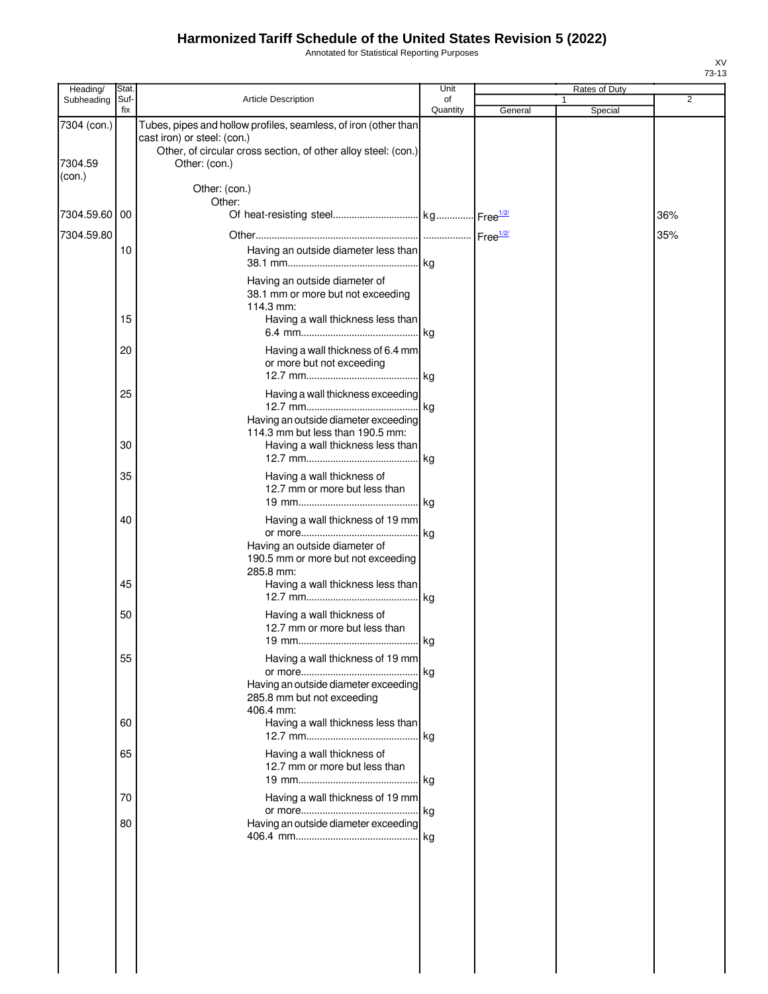Annotated for Statistical Reporting Purposes

| Suf-<br>fix   | <b>Article Description</b>                                                                                                                                                        | of<br>Quantity                                                                                                                                          | General                                                                                                                                                                                                                                                                                                                                                                                                                                              | 1<br>Special | $\overline{2}$ |
|---------------|-----------------------------------------------------------------------------------------------------------------------------------------------------------------------------------|---------------------------------------------------------------------------------------------------------------------------------------------------------|------------------------------------------------------------------------------------------------------------------------------------------------------------------------------------------------------------------------------------------------------------------------------------------------------------------------------------------------------------------------------------------------------------------------------------------------------|--------------|----------------|
|               |                                                                                                                                                                                   |                                                                                                                                                         |                                                                                                                                                                                                                                                                                                                                                                                                                                                      |              |                |
|               | Tubes, pipes and hollow profiles, seamless, of iron (other than<br>cast iron) or steel: (con.)<br>Other, of circular cross section, of other alloy steel: (con.)<br>Other: (con.) |                                                                                                                                                         |                                                                                                                                                                                                                                                                                                                                                                                                                                                      |              |                |
|               | Other: (con.)                                                                                                                                                                     |                                                                                                                                                         |                                                                                                                                                                                                                                                                                                                                                                                                                                                      |              |                |
| 7304.59.60 00 |                                                                                                                                                                                   |                                                                                                                                                         |                                                                                                                                                                                                                                                                                                                                                                                                                                                      |              | 36%            |
|               |                                                                                                                                                                                   |                                                                                                                                                         |                                                                                                                                                                                                                                                                                                                                                                                                                                                      |              | 35%            |
| 10            |                                                                                                                                                                                   |                                                                                                                                                         |                                                                                                                                                                                                                                                                                                                                                                                                                                                      |              |                |
|               | Having an outside diameter of<br>38.1 mm or more but not exceeding<br>114.3 mm:                                                                                                   |                                                                                                                                                         |                                                                                                                                                                                                                                                                                                                                                                                                                                                      |              |                |
|               |                                                                                                                                                                                   |                                                                                                                                                         |                                                                                                                                                                                                                                                                                                                                                                                                                                                      |              |                |
| 20            | or more but not exceeding                                                                                                                                                         |                                                                                                                                                         |                                                                                                                                                                                                                                                                                                                                                                                                                                                      |              |                |
| 25            |                                                                                                                                                                                   |                                                                                                                                                         |                                                                                                                                                                                                                                                                                                                                                                                                                                                      |              |                |
| 30            | 114.3 mm but less than 190.5 mm:                                                                                                                                                  |                                                                                                                                                         |                                                                                                                                                                                                                                                                                                                                                                                                                                                      |              |                |
| 35            | Having a wall thickness of<br>12.7 mm or more but less than                                                                                                                       |                                                                                                                                                         |                                                                                                                                                                                                                                                                                                                                                                                                                                                      |              |                |
| 40            | Having an outside diameter of                                                                                                                                                     |                                                                                                                                                         |                                                                                                                                                                                                                                                                                                                                                                                                                                                      |              |                |
| 45            | 285.8 mm:                                                                                                                                                                         |                                                                                                                                                         |                                                                                                                                                                                                                                                                                                                                                                                                                                                      |              |                |
| 50            | Having a wall thickness of<br>12.7 mm or more but less than                                                                                                                       |                                                                                                                                                         |                                                                                                                                                                                                                                                                                                                                                                                                                                                      |              |                |
| 55            |                                                                                                                                                                                   |                                                                                                                                                         |                                                                                                                                                                                                                                                                                                                                                                                                                                                      |              |                |
|               | 285.8 mm but not exceeding<br>406.4 mm:                                                                                                                                           |                                                                                                                                                         |                                                                                                                                                                                                                                                                                                                                                                                                                                                      |              |                |
|               |                                                                                                                                                                                   |                                                                                                                                                         |                                                                                                                                                                                                                                                                                                                                                                                                                                                      |              |                |
|               | 12.7 mm or more but less than                                                                                                                                                     |                                                                                                                                                         |                                                                                                                                                                                                                                                                                                                                                                                                                                                      |              |                |
| 70            |                                                                                                                                                                                   |                                                                                                                                                         |                                                                                                                                                                                                                                                                                                                                                                                                                                                      |              |                |
| 80            |                                                                                                                                                                                   |                                                                                                                                                         |                                                                                                                                                                                                                                                                                                                                                                                                                                                      |              |                |
|               |                                                                                                                                                                                   |                                                                                                                                                         |                                                                                                                                                                                                                                                                                                                                                                                                                                                      |              |                |
|               | 15<br>60<br>65                                                                                                                                                                    | Other:<br>190.5 mm or more but not exceeding<br>Having an outside diameter exceeding<br>Having a wall thickness less than<br>Having a wall thickness of | Having an outside diameter less than<br>.lkg<br>Having a wall thickness less than<br>Having a wall thickness of 6.4 mm<br>Having a wall thickness exceeding<br>Having an outside diameter exceeding<br>Having a wall thickness less than<br>kg<br>Having a wall thickness of 19 mm<br>Having a wall thickness less than<br>kg<br>Having a wall thickness of 19 mm<br> kg<br>Having a wall thickness of 19 mm<br>Having an outside diameter exceeding |              |                |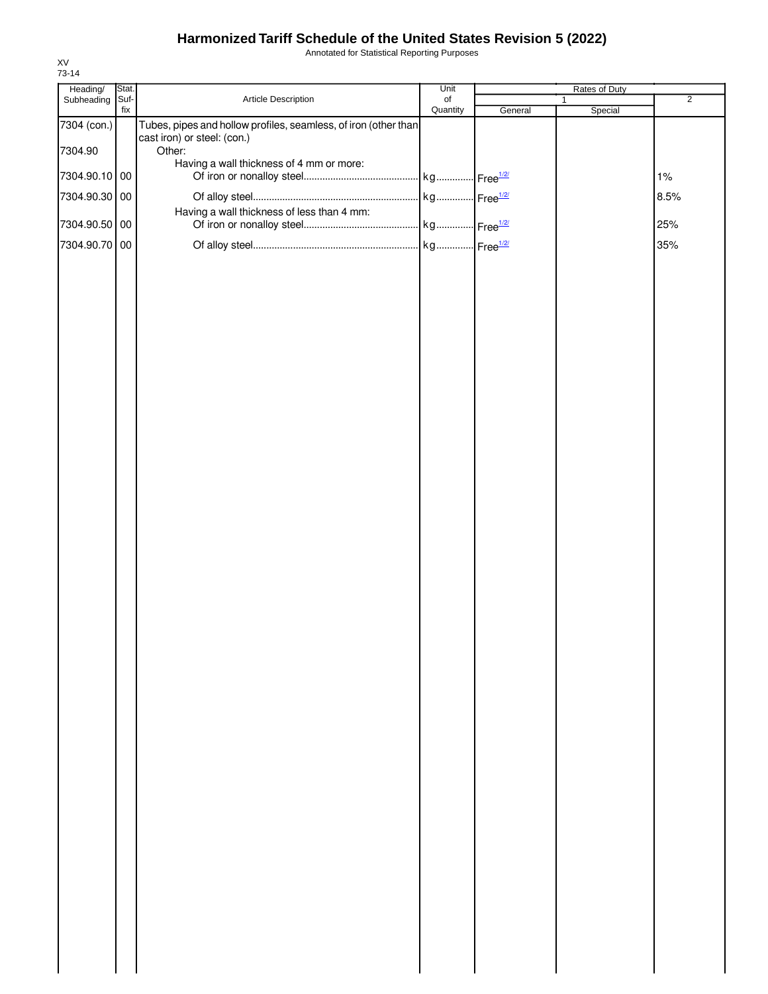Annotated for Statistical Reporting Purposes

| Subheading Suf-<br>Quantity<br>fix<br>General<br>Special<br>7304 (con.)<br>Tubes, pipes and hollow profiles, seamless, of iron (other than<br>cast iron) or steel: (con.)<br>7304.90<br>Other:<br>Having a wall thickness of 4 mm or more:<br>7304.90.10 00<br>1%<br>7304.90.30 00<br>8.5%<br>Having a wall thickness of less than 4 mm:<br>7304.90.50 00<br>25%<br>7304.90.70 00<br>35% | Heading/ | Stat. |                     | Unit      | Rates of Duty |   |                |
|------------------------------------------------------------------------------------------------------------------------------------------------------------------------------------------------------------------------------------------------------------------------------------------------------------------------------------------------------------------------------------------|----------|-------|---------------------|-----------|---------------|---|----------------|
|                                                                                                                                                                                                                                                                                                                                                                                          |          |       | Article Description | $\circ$ f |               | 1 | $\overline{2}$ |
|                                                                                                                                                                                                                                                                                                                                                                                          |          |       |                     |           |               |   |                |
|                                                                                                                                                                                                                                                                                                                                                                                          |          |       |                     |           |               |   |                |
|                                                                                                                                                                                                                                                                                                                                                                                          |          |       |                     |           |               |   |                |
|                                                                                                                                                                                                                                                                                                                                                                                          |          |       |                     |           |               |   |                |
|                                                                                                                                                                                                                                                                                                                                                                                          |          |       |                     |           |               |   |                |
|                                                                                                                                                                                                                                                                                                                                                                                          |          |       |                     |           |               |   |                |
|                                                                                                                                                                                                                                                                                                                                                                                          |          |       |                     |           |               |   |                |
|                                                                                                                                                                                                                                                                                                                                                                                          |          |       |                     |           |               |   |                |
|                                                                                                                                                                                                                                                                                                                                                                                          |          |       |                     |           |               |   |                |
|                                                                                                                                                                                                                                                                                                                                                                                          |          |       |                     |           |               |   |                |
|                                                                                                                                                                                                                                                                                                                                                                                          |          |       |                     |           |               |   |                |
|                                                                                                                                                                                                                                                                                                                                                                                          |          |       |                     |           |               |   |                |
|                                                                                                                                                                                                                                                                                                                                                                                          |          |       |                     |           |               |   |                |
|                                                                                                                                                                                                                                                                                                                                                                                          |          |       |                     |           |               |   |                |
|                                                                                                                                                                                                                                                                                                                                                                                          |          |       |                     |           |               |   |                |
|                                                                                                                                                                                                                                                                                                                                                                                          |          |       |                     |           |               |   |                |
|                                                                                                                                                                                                                                                                                                                                                                                          |          |       |                     |           |               |   |                |
|                                                                                                                                                                                                                                                                                                                                                                                          |          |       |                     |           |               |   |                |
|                                                                                                                                                                                                                                                                                                                                                                                          |          |       |                     |           |               |   |                |
|                                                                                                                                                                                                                                                                                                                                                                                          |          |       |                     |           |               |   |                |
|                                                                                                                                                                                                                                                                                                                                                                                          |          |       |                     |           |               |   |                |
|                                                                                                                                                                                                                                                                                                                                                                                          |          |       |                     |           |               |   |                |
|                                                                                                                                                                                                                                                                                                                                                                                          |          |       |                     |           |               |   |                |
|                                                                                                                                                                                                                                                                                                                                                                                          |          |       |                     |           |               |   |                |
|                                                                                                                                                                                                                                                                                                                                                                                          |          |       |                     |           |               |   |                |
|                                                                                                                                                                                                                                                                                                                                                                                          |          |       |                     |           |               |   |                |
|                                                                                                                                                                                                                                                                                                                                                                                          |          |       |                     |           |               |   |                |
|                                                                                                                                                                                                                                                                                                                                                                                          |          |       |                     |           |               |   |                |
|                                                                                                                                                                                                                                                                                                                                                                                          |          |       |                     |           |               |   |                |
|                                                                                                                                                                                                                                                                                                                                                                                          |          |       |                     |           |               |   |                |
|                                                                                                                                                                                                                                                                                                                                                                                          |          |       |                     |           |               |   |                |
|                                                                                                                                                                                                                                                                                                                                                                                          |          |       |                     |           |               |   |                |
|                                                                                                                                                                                                                                                                                                                                                                                          |          |       |                     |           |               |   |                |
|                                                                                                                                                                                                                                                                                                                                                                                          |          |       |                     |           |               |   |                |
|                                                                                                                                                                                                                                                                                                                                                                                          |          |       |                     |           |               |   |                |
|                                                                                                                                                                                                                                                                                                                                                                                          |          |       |                     |           |               |   |                |
|                                                                                                                                                                                                                                                                                                                                                                                          |          |       |                     |           |               |   |                |
|                                                                                                                                                                                                                                                                                                                                                                                          |          |       |                     |           |               |   |                |
|                                                                                                                                                                                                                                                                                                                                                                                          |          |       |                     |           |               |   |                |
|                                                                                                                                                                                                                                                                                                                                                                                          |          |       |                     |           |               |   |                |
|                                                                                                                                                                                                                                                                                                                                                                                          |          |       |                     |           |               |   |                |
|                                                                                                                                                                                                                                                                                                                                                                                          |          |       |                     |           |               |   |                |
|                                                                                                                                                                                                                                                                                                                                                                                          |          |       |                     |           |               |   |                |
|                                                                                                                                                                                                                                                                                                                                                                                          |          |       |                     |           |               |   |                |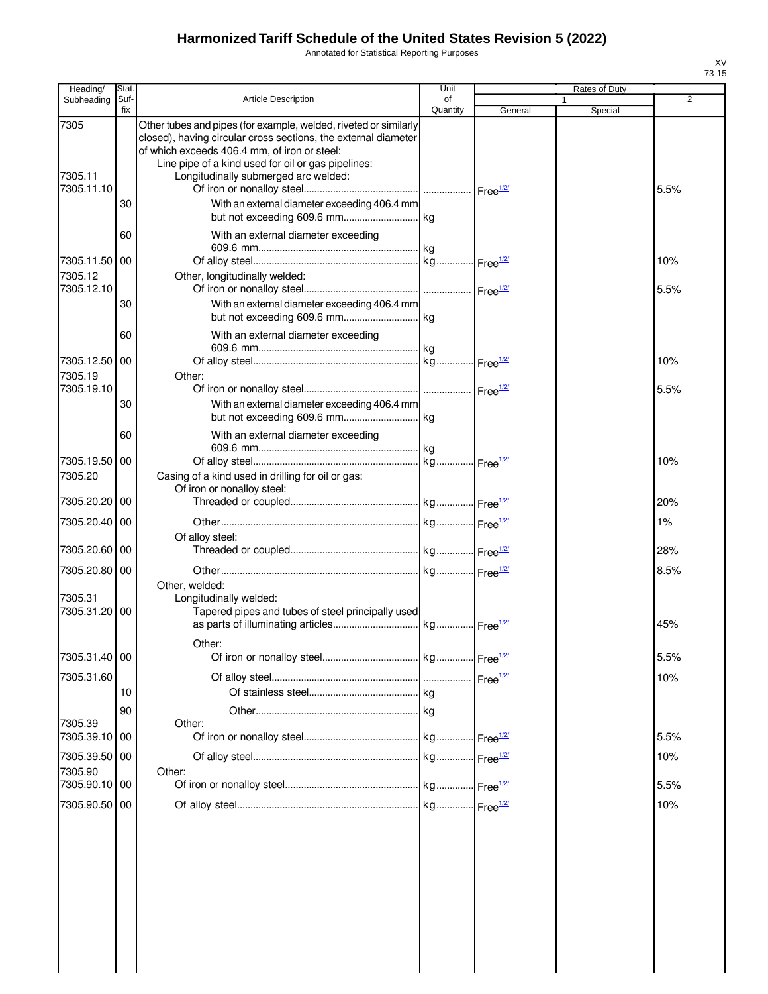Annotated for Statistical Reporting Purposes

| Heading/                               | Stat.       |                                                                                                                                                                                                                                                                                  | Unit           |         | Rates of Duty |             |
|----------------------------------------|-------------|----------------------------------------------------------------------------------------------------------------------------------------------------------------------------------------------------------------------------------------------------------------------------------|----------------|---------|---------------|-------------|
| Subheading                             | Suf-<br>fix | <b>Article Description</b>                                                                                                                                                                                                                                                       | of<br>Quantity | General | Special       | 2           |
| 7305<br>7305.11<br>7305.11.10          |             | Other tubes and pipes (for example, welded, riveted or similarly<br>closed), having circular cross sections, the external diameter<br>of which exceeds 406.4 mm, of iron or steel:<br>Line pipe of a kind used for oil or gas pipelines:<br>Longitudinally submerged arc welded: |                |         |               | 5.5%        |
|                                        | 30          | With an external diameter exceeding 406.4 mm                                                                                                                                                                                                                                     |                |         |               |             |
|                                        | 60          | With an external diameter exceeding                                                                                                                                                                                                                                              |                |         |               |             |
| 7305.11.50 00<br>7305.12               |             | Other, longitudinally welded:                                                                                                                                                                                                                                                    |                |         |               | 10%         |
| 7305.12.10                             | 30          | With an external diameter exceeding 406.4 mm                                                                                                                                                                                                                                     |                |         |               | 5.5%        |
|                                        | 60          | With an external diameter exceeding                                                                                                                                                                                                                                              |                |         |               |             |
| 7305.12.50 00<br>7305.19<br>7305.19.10 |             | Other:                                                                                                                                                                                                                                                                           |                |         |               | 10%<br>5.5% |
|                                        | 30          | With an external diameter exceeding 406.4 mm                                                                                                                                                                                                                                     |                |         |               |             |
|                                        | 60          | With an external diameter exceeding                                                                                                                                                                                                                                              |                |         |               |             |
| 7305.19.50 00<br>7305.20               |             | Casing of a kind used in drilling for oil or gas:<br>Of iron or nonalloy steel:                                                                                                                                                                                                  |                |         |               | 10%         |
| 7305.20.20                             | 00          |                                                                                                                                                                                                                                                                                  |                |         |               | 20%         |
| 7305.20.40 00                          |             | Of alloy steel:                                                                                                                                                                                                                                                                  |                |         |               | 1%          |
| 7305.20.60 00                          |             |                                                                                                                                                                                                                                                                                  |                |         |               | 28%         |
| 7305.20.80 00<br>7305.31               |             | Other, welded:<br>Longitudinally welded:                                                                                                                                                                                                                                         |                |         |               | 8.5%        |
| 7305.31.20 00                          |             | Tapered pipes and tubes of steel principally used                                                                                                                                                                                                                                |                |         |               | 45%         |
| 7305.31.40 00                          |             | Other:                                                                                                                                                                                                                                                                           |                |         |               | 5.5%        |
| 7305.31.60                             | 10<br>90    |                                                                                                                                                                                                                                                                                  |                |         |               | 10%         |
| 7305.39<br>7305.39.10                  | 00          | Other:                                                                                                                                                                                                                                                                           |                |         |               | 5.5%        |
| 7305.39.50 00<br>7305.90               |             | Other:                                                                                                                                                                                                                                                                           |                |         |               | 10%         |
| 7305.90.10 00                          |             |                                                                                                                                                                                                                                                                                  |                |         |               | 5.5%        |
| 7305.90.50                             | l 00        |                                                                                                                                                                                                                                                                                  |                |         |               | 10%         |
|                                        |             |                                                                                                                                                                                                                                                                                  |                |         |               |             |

 $\begin{array}{c} \hline \end{array}$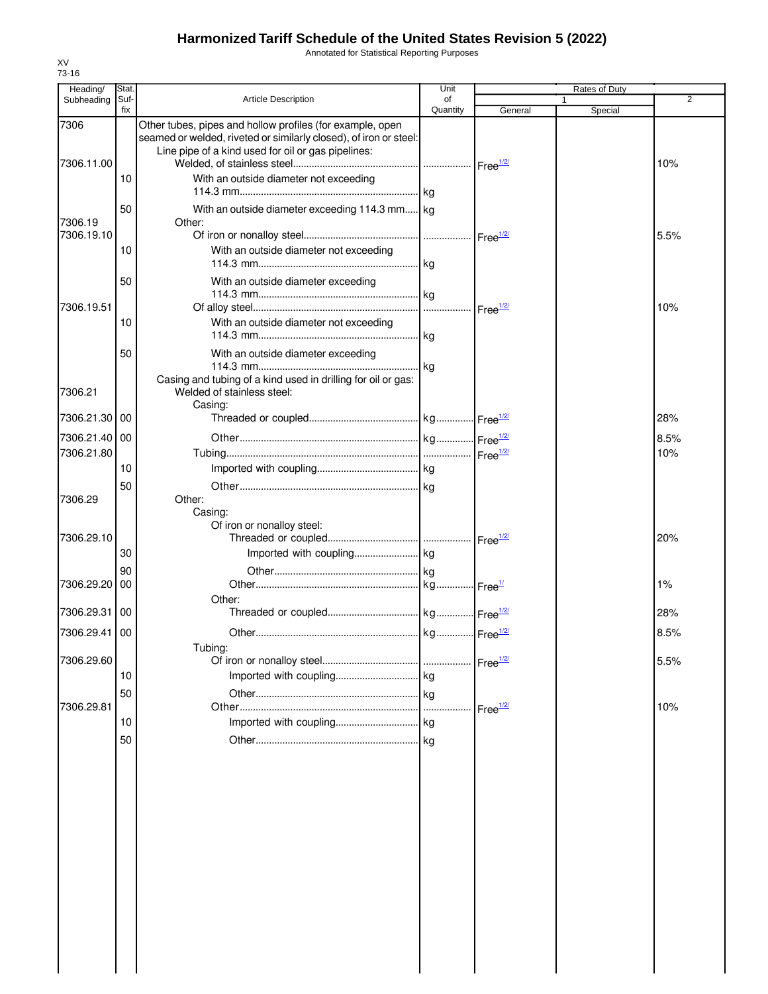Annotated for Statistical Reporting Purposes

| Heading/              | Stat.       |                                                                                                                                                                                      | Unit           |                      | Rates of Duty |                |
|-----------------------|-------------|--------------------------------------------------------------------------------------------------------------------------------------------------------------------------------------|----------------|----------------------|---------------|----------------|
| Subheading            | Suf-<br>fix | <b>Article Description</b>                                                                                                                                                           | of<br>Quantity | General              | 1<br>Special  | $\overline{2}$ |
| 7306<br>7306.11.00    |             | Other tubes, pipes and hollow profiles (for example, open<br>seamed or welded, riveted or similarly closed), of iron or steel:<br>Line pipe of a kind used for oil or gas pipelines: |                |                      |               | 10%            |
|                       | 10          | With an outside diameter not exceeding                                                                                                                                               |                |                      |               |                |
| 7306.19<br>7306.19.10 | 50          | With an outside diameter exceeding 114.3 mm kg<br>Other:                                                                                                                             |                |                      |               | 5.5%           |
|                       | 10          | With an outside diameter not exceeding                                                                                                                                               |                |                      |               |                |
| 7306.19.51            | 50          | With an outside diameter exceeding                                                                                                                                                   |                |                      |               | 10%            |
|                       | 10          | With an outside diameter not exceeding                                                                                                                                               |                |                      |               |                |
|                       | 50          | With an outside diameter exceeding<br>Casing and tubing of a kind used in drilling for oil or gas:                                                                                   |                |                      |               |                |
| 7306.21<br>7306.21.30 | 00          | Welded of stainless steel:<br>Casing:                                                                                                                                                |                |                      |               | 28%            |
| 7306.21.40 00         |             |                                                                                                                                                                                      |                |                      |               | 8.5%           |
| 7306.21.80            |             |                                                                                                                                                                                      |                |                      |               | 10%            |
|                       | 10          |                                                                                                                                                                                      |                |                      |               |                |
|                       | 50          |                                                                                                                                                                                      |                |                      |               |                |
| 7306.29               |             | Other:<br>Casing:<br>Of iron or nonalloy steel:                                                                                                                                      |                |                      |               |                |
| 7306.29.10            |             |                                                                                                                                                                                      |                |                      |               | 20%            |
|                       | 30          |                                                                                                                                                                                      |                |                      |               |                |
| 7306.29.20            | 90<br>00    |                                                                                                                                                                                      |                |                      |               | 1%             |
|                       |             | Other:                                                                                                                                                                               |                |                      |               |                |
| 7306.29.31            | 00          |                                                                                                                                                                                      |                |                      |               | 28%            |
| 7306.29.41 00         |             | Tubing:                                                                                                                                                                              |                |                      |               | 8.5%           |
| 7306.29.60            |             |                                                                                                                                                                                      |                | Free <sup>1/2/</sup> |               | 5.5%           |
|                       | 10          |                                                                                                                                                                                      |                |                      |               |                |
| 7306.29.81            | 50          |                                                                                                                                                                                      |                | Free $\frac{1}{2}$   |               | 10%            |
|                       | 10          |                                                                                                                                                                                      |                |                      |               |                |
|                       | 50          |                                                                                                                                                                                      |                |                      |               |                |
|                       |             |                                                                                                                                                                                      |                |                      |               |                |
|                       |             |                                                                                                                                                                                      |                |                      |               |                |
|                       |             |                                                                                                                                                                                      |                |                      |               |                |
|                       |             |                                                                                                                                                                                      |                |                      |               |                |
|                       |             |                                                                                                                                                                                      |                |                      |               |                |
|                       |             |                                                                                                                                                                                      |                |                      |               |                |
|                       |             |                                                                                                                                                                                      |                |                      |               |                |
|                       |             |                                                                                                                                                                                      |                |                      |               |                |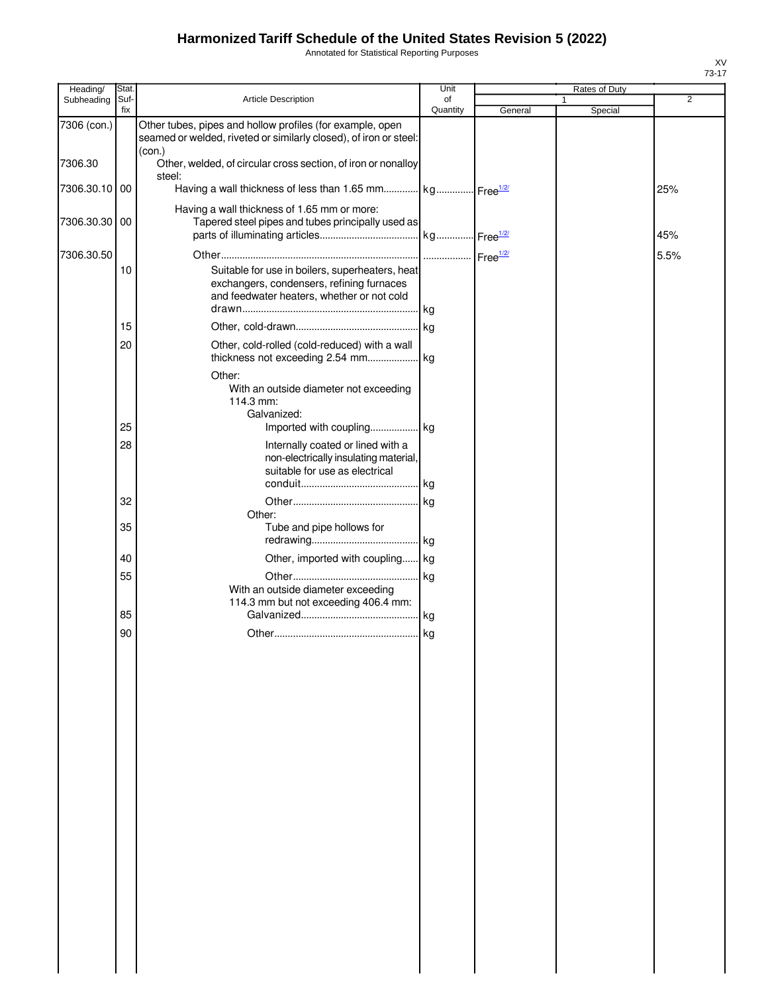Annotated for Statistical Reporting Purposes

| Heading/      | Stat.       |                                                                                                                                            | Unit           |         | Rates of Duty |         |                |
|---------------|-------------|--------------------------------------------------------------------------------------------------------------------------------------------|----------------|---------|---------------|---------|----------------|
| Subheading    | Suf-<br>fix | Article Description                                                                                                                        | of<br>Quantity | General | 1             | Special | $\overline{2}$ |
| 7306 (con.)   |             | Other tubes, pipes and hollow profiles (for example, open<br>seamed or welded, riveted or similarly closed), of iron or steel:             |                |         |               |         |                |
| 7306.30       |             | (con.)<br>Other, welded, of circular cross section, of iron or nonalloy<br>steel:                                                          |                |         |               |         |                |
| 7306.30.10    | 00          | Having a wall thickness of less than 1.65 mm kg Free <sup>1/2/</sup>                                                                       |                |         |               |         | 25%            |
| 7306.30.30 00 |             | Having a wall thickness of 1.65 mm or more:<br>Tapered steel pipes and tubes principally used as                                           |                |         |               |         | 45%            |
| 7306.30.50    |             |                                                                                                                                            |                |         |               |         | 5.5%           |
|               | 10          | Suitable for use in boilers, superheaters, heat<br>exchangers, condensers, refining furnaces<br>and feedwater heaters, whether or not cold |                |         |               |         |                |
|               | 15          |                                                                                                                                            |                |         |               |         |                |
|               | 20          | Other, cold-rolled (cold-reduced) with a wall                                                                                              |                |         |               |         |                |
|               |             | Other:<br>With an outside diameter not exceeding<br>114.3 mm:<br>Galvanized:                                                               |                |         |               |         |                |
|               | 25          |                                                                                                                                            |                |         |               |         |                |
|               | 28          | Internally coated or lined with a<br>non-electrically insulating material,<br>suitable for use as electrical                               |                |         |               |         |                |
|               | 32          |                                                                                                                                            |                |         |               |         |                |
|               |             | Other:                                                                                                                                     |                |         |               |         |                |
|               | 35          | Tube and pipe hollows for                                                                                                                  |                |         |               |         |                |
|               | 40          | Other, imported with coupling kg                                                                                                           |                |         |               |         |                |
|               | 55          | With an outside diameter exceeding<br>114.3 mm but not exceeding 406.4 mm:                                                                 |                |         |               |         |                |
|               | 85          |                                                                                                                                            |                |         |               |         |                |
|               | 90          |                                                                                                                                            |                |         |               |         |                |
|               |             |                                                                                                                                            |                |         |               |         |                |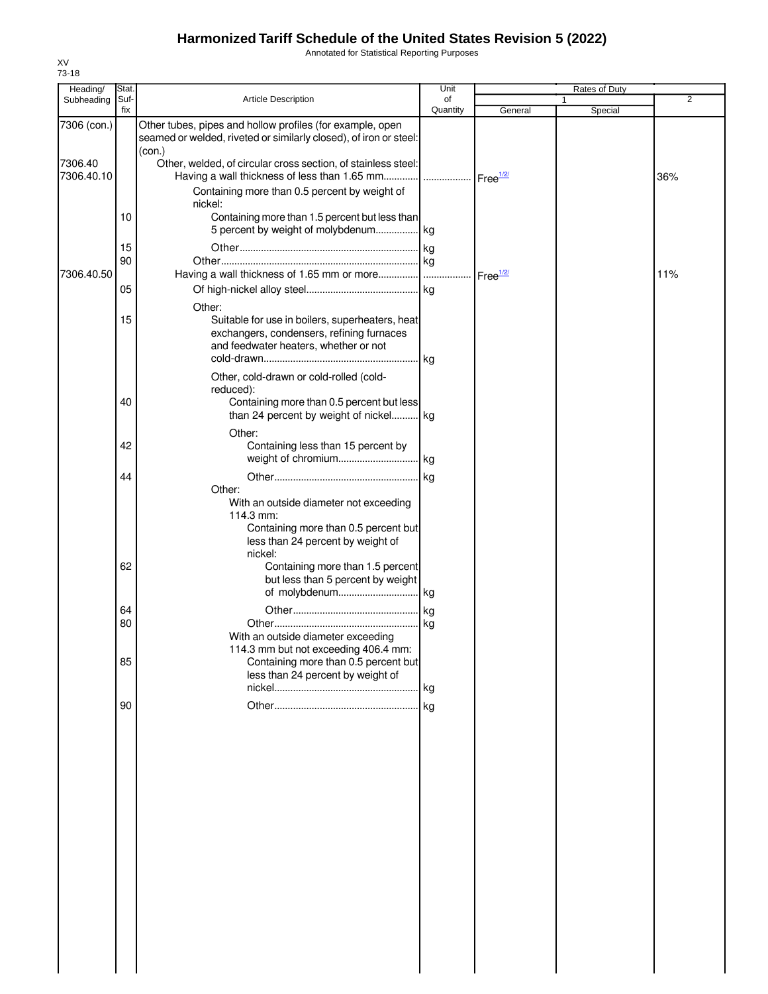Annotated for Statistical Reporting Purposes

| Heading/              | Stat.       |                                                                                                                                                       | Unit           |                    |   | Rates of Duty |                |
|-----------------------|-------------|-------------------------------------------------------------------------------------------------------------------------------------------------------|----------------|--------------------|---|---------------|----------------|
| Subheading            | Suf-<br>fix | <b>Article Description</b>                                                                                                                            | of<br>Quantity | General            | 1 | Special       | $\overline{2}$ |
| 7306 (con.)           |             | Other tubes, pipes and hollow profiles (for example, open<br>seamed or welded, riveted or similarly closed), of iron or steel:<br>(con.)              |                |                    |   |               |                |
| 7306.40<br>7306.40.10 |             | Other, welded, of circular cross section, of stainless steel:<br>Having a wall thickness of less than 1.65 mm    Free <sup>1/2/</sup>                 |                |                    |   |               | 36%            |
|                       |             | Containing more than 0.5 percent by weight of<br>nickel:                                                                                              |                |                    |   |               |                |
|                       | 10          | Containing more than 1.5 percent but less than<br>5 percent by weight of molybdenum kg                                                                |                |                    |   |               |                |
|                       | 15<br>90    |                                                                                                                                                       |                |                    |   |               |                |
| 7306.40.50            | 05          |                                                                                                                                                       |                | Free $\frac{1}{2}$ |   |               | 11%            |
|                       |             | Other:                                                                                                                                                |                |                    |   |               |                |
|                       | 15          | Suitable for use in boilers, superheaters, heat<br>exchangers, condensers, refining furnaces<br>and feedwater heaters, whether or not                 |                |                    |   |               |                |
|                       | 40          | Other, cold-drawn or cold-rolled (cold-<br>reduced):<br>Containing more than 0.5 percent but less<br>than 24 percent by weight of nickel kg           |                |                    |   |               |                |
|                       |             | Other:                                                                                                                                                |                |                    |   |               |                |
|                       | 42          | Containing less than 15 percent by                                                                                                                    |                |                    |   |               |                |
|                       | 44          |                                                                                                                                                       |                |                    |   |               |                |
|                       |             | Other:<br>With an outside diameter not exceeding<br>114.3 mm:<br>Containing more than 0.5 percent but<br>less than 24 percent by weight of<br>nickel: |                |                    |   |               |                |
|                       | 62          | Containing more than 1.5 percent<br>but less than 5 percent by weight                                                                                 |                |                    |   |               |                |
|                       |             |                                                                                                                                                       |                |                    |   |               |                |
|                       | 64          |                                                                                                                                                       |                |                    |   |               |                |
|                       | 80          | With an outside diameter exceeding<br>114.3 mm but not exceeding 406.4 mm:                                                                            |                |                    |   |               |                |
|                       | 85          | Containing more than 0.5 percent but<br>less than 24 percent by weight of                                                                             |                |                    |   |               |                |
|                       |             |                                                                                                                                                       |                |                    |   |               |                |
|                       | 90          |                                                                                                                                                       |                |                    |   |               |                |
|                       |             |                                                                                                                                                       |                |                    |   |               |                |
|                       |             |                                                                                                                                                       |                |                    |   |               |                |
|                       |             |                                                                                                                                                       |                |                    |   |               |                |
|                       |             |                                                                                                                                                       |                |                    |   |               |                |
|                       |             |                                                                                                                                                       |                |                    |   |               |                |
|                       |             |                                                                                                                                                       |                |                    |   |               |                |
|                       |             |                                                                                                                                                       |                |                    |   |               |                |
|                       |             |                                                                                                                                                       |                |                    |   |               |                |
|                       |             |                                                                                                                                                       |                |                    |   |               |                |
|                       |             |                                                                                                                                                       |                |                    |   |               |                |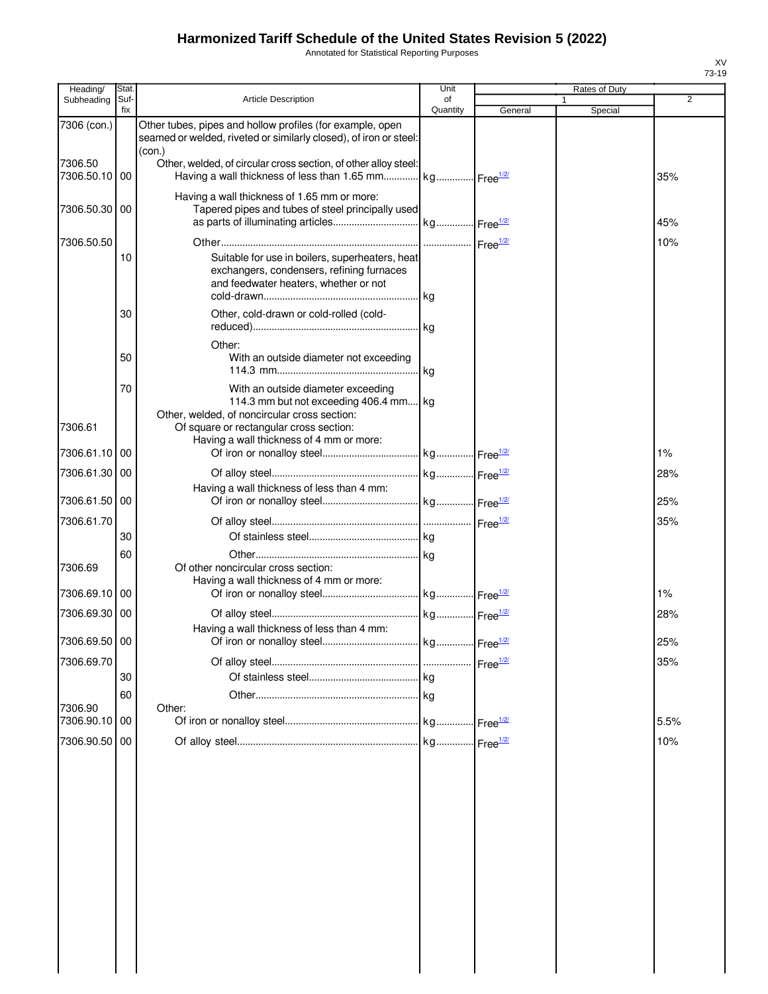Annotated for Statistical Reporting Purposes

| Heading/              | Stat.       |                                                                                                                                          | Unit           |         | Rates of Duty |      |
|-----------------------|-------------|------------------------------------------------------------------------------------------------------------------------------------------|----------------|---------|---------------|------|
| Subheading            | Suf-<br>fix | <b>Article Description</b>                                                                                                               | of<br>Quantity | General | Special       | 2    |
| 7306 (con.)           |             | Other tubes, pipes and hollow profiles (for example, open<br>seamed or welded, riveted or similarly closed), of iron or steel:<br>(con.) |                |         |               |      |
| 7306.50<br>7306.50.10 | 00          | Other, welded, of circular cross section, of other alloy steel:<br>Having a wall thickness of less than 1.65 mm kg Free <sup>1/2/</sup>  |                |         |               | 35%  |
| 7306.50.30 00         |             | Having a wall thickness of 1.65 mm or more:<br>Tapered pipes and tubes of steel principally used                                         |                |         |               | 45%  |
| 7306.50.50            |             |                                                                                                                                          |                |         |               | 10%  |
|                       | 10          | Suitable for use in boilers, superheaters, heat<br>exchangers, condensers, refining furnaces<br>and feedwater heaters, whether or not    |                |         |               |      |
|                       | 30          | Other, cold-drawn or cold-rolled (cold-                                                                                                  |                |         |               |      |
|                       | 50          | Other:<br>With an outside diameter not exceeding                                                                                         |                |         |               |      |
|                       | 70          | With an outside diameter exceeding<br>114.3 mm but not exceeding 406.4 mm kg                                                             |                |         |               |      |
| 7306.61               |             | Other, welded, of noncircular cross section:<br>Of square or rectangular cross section:<br>Having a wall thickness of 4 mm or more:      |                |         |               |      |
| 7306.61.10 00         |             |                                                                                                                                          |                |         |               | 1%   |
| 7306.61.30            | 00          |                                                                                                                                          |                |         |               | 28%  |
| 7306.61.50            | 00          | Having a wall thickness of less than 4 mm:                                                                                               |                |         |               | 25%  |
| 7306.61.70            |             |                                                                                                                                          |                |         |               | 35%  |
|                       | 30          |                                                                                                                                          |                |         |               |      |
| 7306.69               | 60          | Of other noncircular cross section:<br>Having a wall thickness of 4 mm or more:                                                          |                |         |               |      |
| 7306.69.10            | 00          |                                                                                                                                          |                |         |               | 1%   |
| 7306.69.30 00         |             | Having a wall thickness of less than 4 mm:                                                                                               |                |         |               | 28%  |
| 7306.69.50 00         |             |                                                                                                                                          |                |         |               | 25%  |
| 7306.69.70            |             |                                                                                                                                          |                |         |               | 35%  |
|                       | 30          |                                                                                                                                          |                |         |               |      |
| 7306.90               | 60          | Other:                                                                                                                                   |                |         |               |      |
| 7306.90.10            | 00          |                                                                                                                                          |                |         |               | 5.5% |
| 7306.90.50            | 00          |                                                                                                                                          |                |         |               | 10%  |
|                       |             |                                                                                                                                          |                |         |               |      |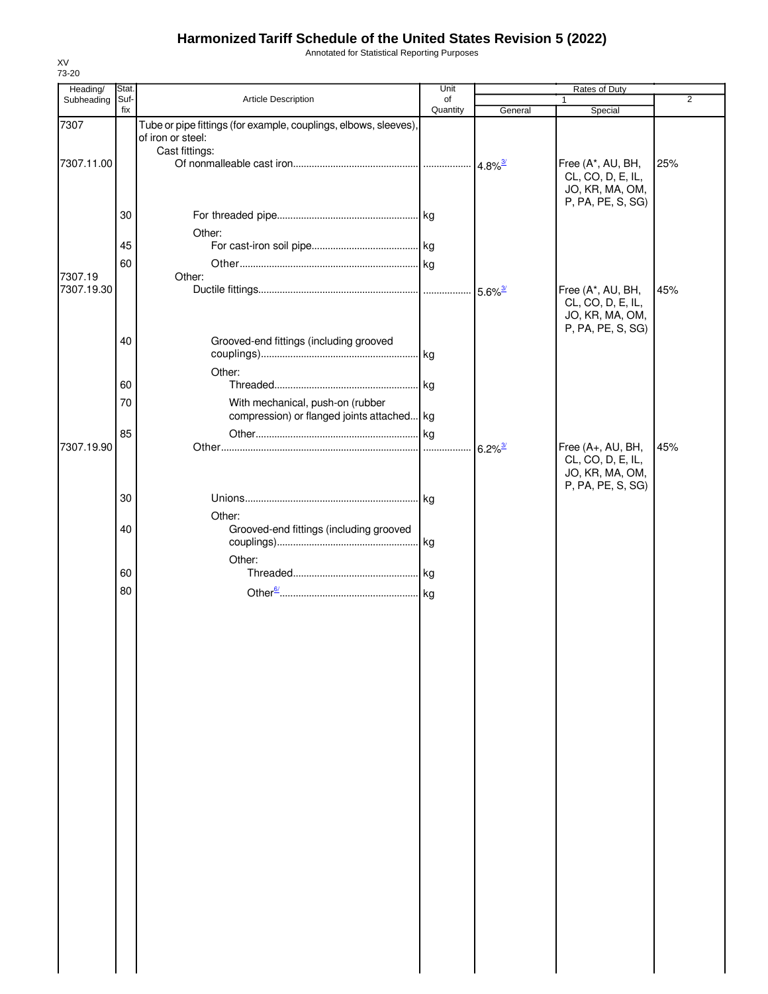Annotated for Statistical Reporting Purposes

| Heading/   | Stat. |                                                                  | Unit     |                            |                                      |                |
|------------|-------|------------------------------------------------------------------|----------|----------------------------|--------------------------------------|----------------|
| Subheading | Suf-  | Article Description                                              | of       |                            | 1                                    | $\overline{2}$ |
| 7307       | fix   | Tube or pipe fittings (for example, couplings, elbows, sleeves), | Quantity | General                    | Special                              |                |
|            |       | of iron or steel:                                                |          |                            |                                      |                |
|            |       | Cast fittings:                                                   |          |                            |                                      |                |
| 7307.11.00 |       |                                                                  |          |                            | Free (A*, AU, BH,                    | 25%            |
|            |       |                                                                  |          |                            | CL, CO, D, E, IL,                    |                |
|            |       |                                                                  |          |                            | JO, KR, MA, OM,<br>P, PA, PE, S, SG) |                |
|            | 30    |                                                                  |          |                            |                                      |                |
|            |       |                                                                  |          |                            |                                      |                |
|            | 45    | Other:                                                           |          |                            |                                      |                |
|            |       |                                                                  |          |                            |                                      |                |
| 7307.19    | 60    | Other:                                                           |          |                            |                                      |                |
| 7307.19.30 |       |                                                                  |          |                            | Free (A*, AU, BH,                    | 45%            |
|            |       |                                                                  |          |                            | CL, CO, D, E, IL,                    |                |
|            |       |                                                                  |          |                            | JO, KR, MA, OM,                      |                |
|            |       |                                                                  |          |                            | P, PA, PE, S, SG)                    |                |
|            | 40    | Grooved-end fittings (including grooved                          |          |                            |                                      |                |
|            |       |                                                                  |          |                            |                                      |                |
|            |       | Other:                                                           |          |                            |                                      |                |
|            | 60    |                                                                  |          |                            |                                      |                |
|            | 70    | With mechanical, push-on (rubber                                 |          |                            |                                      |                |
|            |       | compression) or flanged joints attached kg                       |          |                            |                                      |                |
|            | 85    |                                                                  |          |                            |                                      |                |
| 7307.19.90 |       |                                                                  |          | $\cdot$ 6.2% $\frac{3}{2}$ | Free (A+, AU, BH,                    | 45%            |
|            |       |                                                                  |          |                            | CL, CO, D, E, IL,                    |                |
|            |       |                                                                  |          |                            | JO, KR, MA, OM,                      |                |
|            |       |                                                                  |          |                            | P, PA, PE, S, SG)                    |                |
|            | 30    |                                                                  |          |                            |                                      |                |
|            |       | Other:                                                           |          |                            |                                      |                |
|            | 40    | Grooved-end fittings (including grooved                          |          |                            |                                      |                |
|            |       |                                                                  |          |                            |                                      |                |
|            |       | Other:                                                           |          |                            |                                      |                |
|            | 60    |                                                                  |          |                            |                                      |                |
|            | 80    |                                                                  |          |                            |                                      |                |
|            |       |                                                                  |          |                            |                                      |                |
|            |       |                                                                  |          |                            |                                      |                |
|            |       |                                                                  |          |                            |                                      |                |
|            |       |                                                                  |          |                            |                                      |                |
|            |       |                                                                  |          |                            |                                      |                |
|            |       |                                                                  |          |                            |                                      |                |
|            |       |                                                                  |          |                            |                                      |                |
|            |       |                                                                  |          |                            |                                      |                |
|            |       |                                                                  |          |                            |                                      |                |
|            |       |                                                                  |          |                            |                                      |                |
|            |       |                                                                  |          |                            |                                      |                |
|            |       |                                                                  |          |                            |                                      |                |
|            |       |                                                                  |          |                            |                                      |                |
|            |       |                                                                  |          |                            |                                      |                |
|            |       |                                                                  |          |                            |                                      |                |
|            |       |                                                                  |          |                            |                                      |                |
|            |       |                                                                  |          |                            |                                      |                |
|            |       |                                                                  |          |                            |                                      |                |
|            |       |                                                                  |          |                            |                                      |                |
|            |       |                                                                  |          |                            |                                      |                |
|            |       |                                                                  |          |                            |                                      |                |
|            |       |                                                                  |          |                            |                                      |                |
|            |       |                                                                  |          |                            |                                      |                |
|            |       |                                                                  |          |                            |                                      |                |
|            |       |                                                                  |          |                            |                                      |                |
|            |       |                                                                  |          |                            |                                      |                |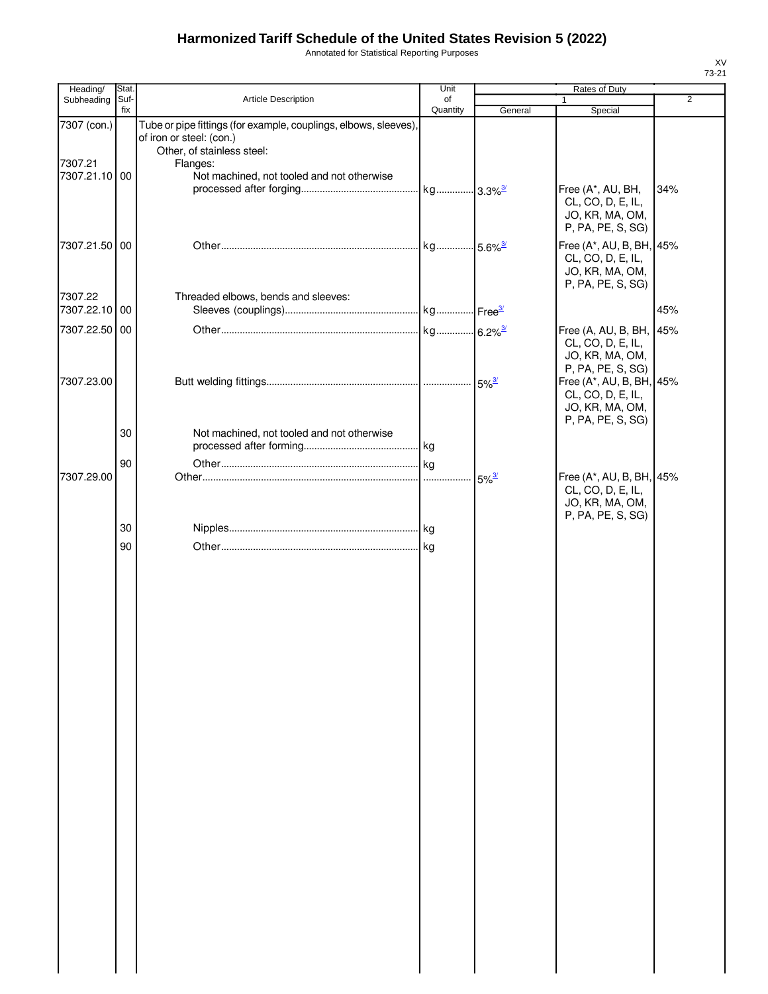Annotated for Statistical Reporting Purposes

| Heading/                 | Stat.       |                                                                                                                                        | Unit           |                     |                                                                                                            |                |
|--------------------------|-------------|----------------------------------------------------------------------------------------------------------------------------------------|----------------|---------------------|------------------------------------------------------------------------------------------------------------|----------------|
| Subheading               | Suf-<br>fix | Article Description                                                                                                                    | of<br>Quantity | General             | 1<br>Special                                                                                               | $\overline{2}$ |
| 7307 (con.)<br>7307.21   |             | Tube or pipe fittings (for example, couplings, elbows, sleeves),<br>of iron or steel: (con.)<br>Other, of stainless steel:<br>Flanges: |                |                     |                                                                                                            |                |
| 7307.21.10 00            |             | Not machined, not tooled and not otherwise                                                                                             |                |                     | Free (A*, AU, BH,<br>CL, CO, D, E, IL,<br>JO, KR, MA, OM,<br>P, PA, PE, S, SG)                             | 34%            |
| 7307.21.50 00            |             |                                                                                                                                        |                |                     | Free (A*, AU, B, BH, 45%<br>CL, CO, D, E, IL,<br>JO, KR, MA, OM,<br>P, PA, PE, S, SG)                      |                |
| 7307.22<br>7307.22.10 00 |             | Threaded elbows, bends and sleeves:                                                                                                    |                |                     |                                                                                                            | 45%            |
| 7307.22.50 00            |             |                                                                                                                                        |                |                     | Free (A, AU, B, BH,                                                                                        | 45%            |
| 7307.23.00               |             |                                                                                                                                        |                |                     | CL, CO, D, E, IL,<br>JO, KR, MA, OM,<br>P, PA, PE, S, SG)<br>Free (A*, AU, B, BH, 45%<br>CL, CO, D, E, IL, |                |
|                          | 30          | Not machined, not tooled and not otherwise                                                                                             |                |                     | JO, KR, MA, OM,<br>P, PA, PE, S, SG)                                                                       |                |
|                          | 90          |                                                                                                                                        |                |                     |                                                                                                            |                |
| 7307.29.00               |             |                                                                                                                                        |                | $5\%$ <sup>3/</sup> | Free (A*, AU, B, BH, 45%<br>CL, CO, D, E, IL,<br>JO, KR, MA, OM,<br>P, PA, PE, S, SG)                      |                |
|                          | 30          |                                                                                                                                        |                |                     |                                                                                                            |                |
|                          | 90          |                                                                                                                                        |                |                     |                                                                                                            |                |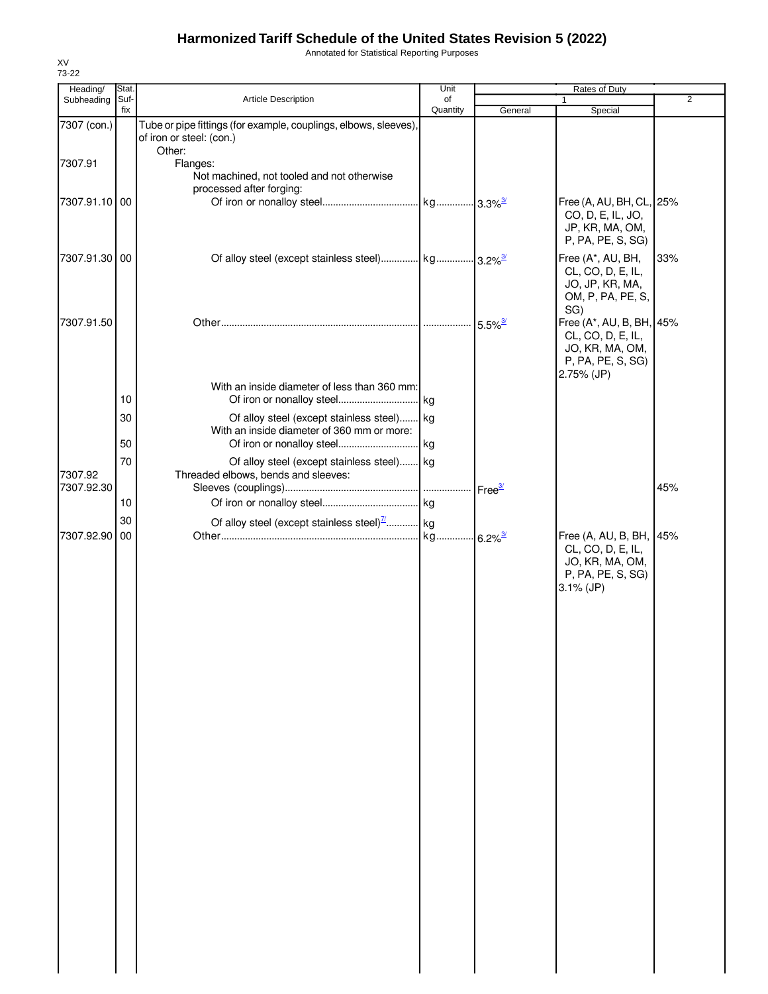Annotated for Statistical Reporting Purposes

| Heading/      | Stat. |                                                                                          | Unit     |         |                                                                                                     |     |
|---------------|-------|------------------------------------------------------------------------------------------|----------|---------|-----------------------------------------------------------------------------------------------------|-----|
| Subheading    | Suf-  | Article Description                                                                      | of       |         | Rates of Duty                                                                                       | 2   |
| 7307 (con.)   | fix   | Tube or pipe fittings (for example, couplings, elbows, sleeves),                         | Quantity | General | Special                                                                                             |     |
|               |       | of iron or steel: (con.)<br>Other:                                                       |          |         |                                                                                                     |     |
| 7307.91       |       | Flanges:<br>Not machined, not tooled and not otherwise                                   |          |         |                                                                                                     |     |
| 7307.91.10 00 |       | processed after forging:                                                                 |          |         | Free (A, AU, BH, CL, 25%                                                                            |     |
|               |       |                                                                                          |          |         | CO, D, E, IL, JO,<br>JP, KR, MA, OM,<br>P, PA, PE, S, SG)                                           |     |
| 7307.91.30 00 |       |                                                                                          |          |         | Free (A*, AU, BH,<br>CL, CO, D, E, IL,<br>JO, JP, KR, MA,<br>OM, P, PA, PE, S,<br>SG)               | 33% |
| 7307.91.50    |       |                                                                                          |          |         | Free (A*, AU, B, BH, 45%<br>CL, CO, D, E, IL,<br>JO, KR, MA, OM,<br>P, PA, PE, S, SG)<br>2.75% (JP) |     |
|               |       | With an inside diameter of less than 360 mm:                                             |          |         |                                                                                                     |     |
|               | 10    |                                                                                          |          |         |                                                                                                     |     |
|               | 30    | Of alloy steel (except stainless steel) kg<br>With an inside diameter of 360 mm or more: |          |         |                                                                                                     |     |
|               | 50    |                                                                                          |          |         |                                                                                                     |     |
|               | 70    | Of alloy steel (except stainless steel) kg                                               |          |         |                                                                                                     |     |
| 7307.92       |       | Threaded elbows, bends and sleeves:                                                      |          |         |                                                                                                     |     |
| 7307.92.30    | 10    |                                                                                          |          |         |                                                                                                     | 45% |
|               | 30    |                                                                                          |          |         |                                                                                                     |     |
| 7307.92.90    | 00    | Of alloy steel (except stainless steel) $\frac{7}{1}$ kg                                 |          |         | Free (A, AU, B, BH, 45%                                                                             |     |
|               |       |                                                                                          |          |         | CL, CO, D, E, IL,<br>JO, KR, MA, OM,<br>P, PA, PE, S, SG)<br>$3.1\%$ (JP)                           |     |
|               |       |                                                                                          |          |         |                                                                                                     |     |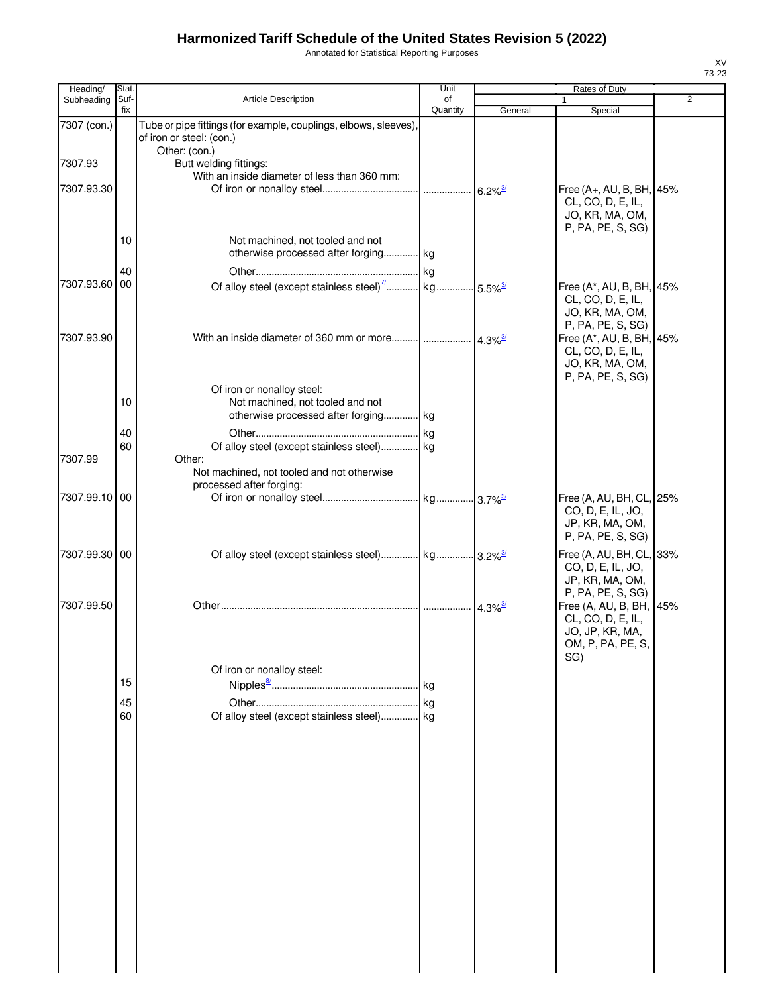Annotated for Statistical Reporting Purposes

| Heading/              | Stat.       |                                                                                                                                | Unit           |                       | Rates of Duty                                                                                              |   |
|-----------------------|-------------|--------------------------------------------------------------------------------------------------------------------------------|----------------|-----------------------|------------------------------------------------------------------------------------------------------------|---|
| Subheading            | Suf-<br>fix | Article Description                                                                                                            | οf<br>Quantity | General               | 1<br>Special                                                                                               | 2 |
| 7307 (con.)           |             | Tube or pipe fittings (for example, couplings, elbows, sleeves),<br>of iron or steel: (con.)                                   |                |                       |                                                                                                            |   |
| 7307.93<br>7307.93.30 |             | Other: (con.)<br>Butt welding fittings:<br>With an inside diameter of less than 360 mm:                                        |                |                       | Free (A+, AU, B, BH, 45%<br>CL, CO, D, E, IL,<br>JO, KR, MA, OM,                                           |   |
|                       | 10          | Not machined, not tooled and not<br>otherwise processed after forging kg                                                       |                |                       | P, PA, PE, S, SG)                                                                                          |   |
| 7307.93.60            | 40<br>00    |                                                                                                                                |                |                       | Free (A*, AU, B, BH, 45%<br>CL, CO, D, E, IL,<br>JO, KR, MA, OM,                                           |   |
| 7307.93.90            |             | With an inside diameter of 360 mm or more $\frac{1}{4.3\%^{3/2}}$                                                              |                |                       | P, PA, PE, S, SG)<br>Free (A*, AU, B, BH, 45%<br>CL, CO, D, E, IL,<br>JO, KR, MA, OM,<br>P, PA, PE, S, SG) |   |
|                       | 10<br>40    | Of iron or nonalloy steel:<br>Not machined, not tooled and not<br>otherwise processed after forging kg                         |                |                       |                                                                                                            |   |
| 7307.99               | 60          | Of alloy steel (except stainless steel) kg<br>Other:<br>Not machined, not tooled and not otherwise<br>processed after forging: |                |                       |                                                                                                            |   |
| 7307.99.10 00         |             |                                                                                                                                |                |                       | Free (A, AU, BH, CL, 25%<br>CO, D, E, IL, JO,<br>JP, KR, MA, OM,<br>P, PA, PE, S, SG)                      |   |
| 7307.99.30 00         |             |                                                                                                                                |                |                       | Free (A, AU, BH, CL, 33%<br>CO, D, E, IL, JO,<br>JP, KR, MA, OM,                                           |   |
| 7307.99.50            |             |                                                                                                                                |                | $4.3\%$ <sup>3/</sup> | P, PA, PE, S, SG)<br>Free (A, AU, B, BH, 45%<br>CL, CO, D, E, IL,<br>JO, JP, KR, MA,<br>OM, P, PA, PE, S,  |   |
|                       |             | Of iron or nonalloy steel:                                                                                                     |                |                       | SG)                                                                                                        |   |
|                       | 15<br>45    |                                                                                                                                |                |                       |                                                                                                            |   |
|                       | 60          | Of alloy steel (except stainless steel) kg                                                                                     |                |                       |                                                                                                            |   |
|                       |             |                                                                                                                                |                |                       |                                                                                                            |   |
|                       |             |                                                                                                                                |                |                       |                                                                                                            |   |
|                       |             |                                                                                                                                |                |                       |                                                                                                            |   |
|                       |             |                                                                                                                                |                |                       |                                                                                                            |   |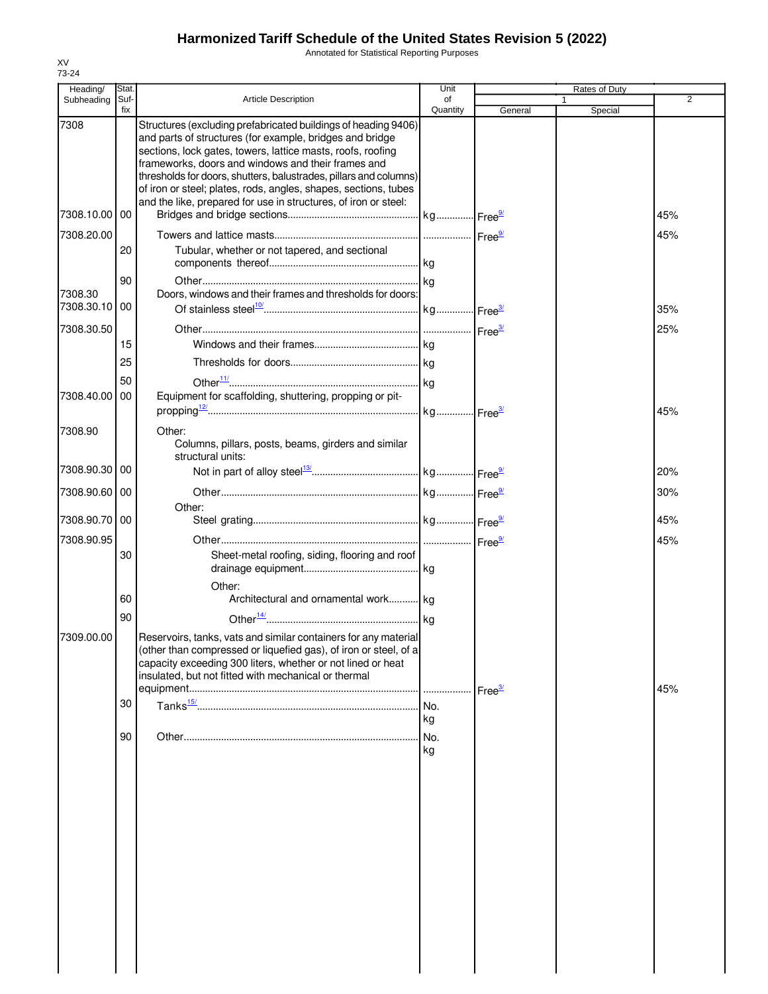Annotated for Statistical Reporting Purposes

| Heading/              | Stat.       |                                                                                                                                                                                                                                                                                                                                                                                                                                                            | Unit           |                    | Rates of Duty |                |
|-----------------------|-------------|------------------------------------------------------------------------------------------------------------------------------------------------------------------------------------------------------------------------------------------------------------------------------------------------------------------------------------------------------------------------------------------------------------------------------------------------------------|----------------|--------------------|---------------|----------------|
| Subheading            | Suf-<br>fix | <b>Article Description</b>                                                                                                                                                                                                                                                                                                                                                                                                                                 | of<br>Quantity | General            | 1<br>Special  | $\overline{2}$ |
| 7308                  |             | Structures (excluding prefabricated buildings of heading 9406)<br>and parts of structures (for example, bridges and bridge<br>sections, lock gates, towers, lattice masts, roofs, roofing<br>frameworks, doors and windows and their frames and<br>thresholds for doors, shutters, balustrades, pillars and columns)<br>of iron or steel; plates, rods, angles, shapes, sections, tubes<br>and the like, prepared for use in structures, of iron or steel: |                |                    |               |                |
| 7308.10.00 00         |             |                                                                                                                                                                                                                                                                                                                                                                                                                                                            |                |                    |               | 45%            |
| 7308.20.00            | 20          | Tubular, whether or not tapered, and sectional                                                                                                                                                                                                                                                                                                                                                                                                             |                |                    |               | 45%            |
| 7308.30<br>7308.30.10 | 90<br>00    | Doors, windows and their frames and thresholds for doors:                                                                                                                                                                                                                                                                                                                                                                                                  |                |                    |               | 35%            |
| 7308.30.50            |             |                                                                                                                                                                                                                                                                                                                                                                                                                                                            |                |                    |               | 25%            |
|                       | 15          |                                                                                                                                                                                                                                                                                                                                                                                                                                                            |                |                    |               |                |
|                       | 25          |                                                                                                                                                                                                                                                                                                                                                                                                                                                            |                |                    |               |                |
|                       | 50          |                                                                                                                                                                                                                                                                                                                                                                                                                                                            |                |                    |               |                |
| 7308.40.00            | 00          | Equipment for scaffolding, shuttering, propping or pit-                                                                                                                                                                                                                                                                                                                                                                                                    |                |                    |               | 45%            |
| 7308.90               |             | Other:<br>Columns, pillars, posts, beams, girders and similar<br>structural units:                                                                                                                                                                                                                                                                                                                                                                         |                |                    |               |                |
| 7308.90.30 00         |             |                                                                                                                                                                                                                                                                                                                                                                                                                                                            |                |                    |               | 20%            |
| 7308.90.60 00         |             |                                                                                                                                                                                                                                                                                                                                                                                                                                                            |                |                    |               | 30%            |
|                       |             | Other:                                                                                                                                                                                                                                                                                                                                                                                                                                                     |                |                    |               |                |
| 7308.90.70 00         |             |                                                                                                                                                                                                                                                                                                                                                                                                                                                            |                |                    |               | 45%            |
| 7308.90.95            | 30          | Sheet-metal roofing, siding, flooring and roof                                                                                                                                                                                                                                                                                                                                                                                                             |                |                    |               | 45%            |
|                       | 60          | Other:<br>Architectural and ornamental work kg                                                                                                                                                                                                                                                                                                                                                                                                             |                |                    |               |                |
| 7309.00.00            | 90          | Reservoirs, tanks, vats and similar containers for any material<br>(other than compressed or liquefied gas), of iron or steel, of a<br>capacity exceeding 300 liters, whether or not lined or heat<br>insulated, but not fitted with mechanical or thermal                                                                                                                                                                                                 |                | Free <sup>3/</sup> |               | 45%            |
|                       | 30          |                                                                                                                                                                                                                                                                                                                                                                                                                                                            | kg             |                    |               |                |
|                       | 90          |                                                                                                                                                                                                                                                                                                                                                                                                                                                            | No.<br>kg      |                    |               |                |
|                       |             |                                                                                                                                                                                                                                                                                                                                                                                                                                                            |                |                    |               |                |
|                       |             |                                                                                                                                                                                                                                                                                                                                                                                                                                                            |                |                    |               |                |
|                       |             |                                                                                                                                                                                                                                                                                                                                                                                                                                                            |                |                    |               |                |
|                       |             |                                                                                                                                                                                                                                                                                                                                                                                                                                                            |                |                    |               |                |
|                       |             |                                                                                                                                                                                                                                                                                                                                                                                                                                                            |                |                    |               |                |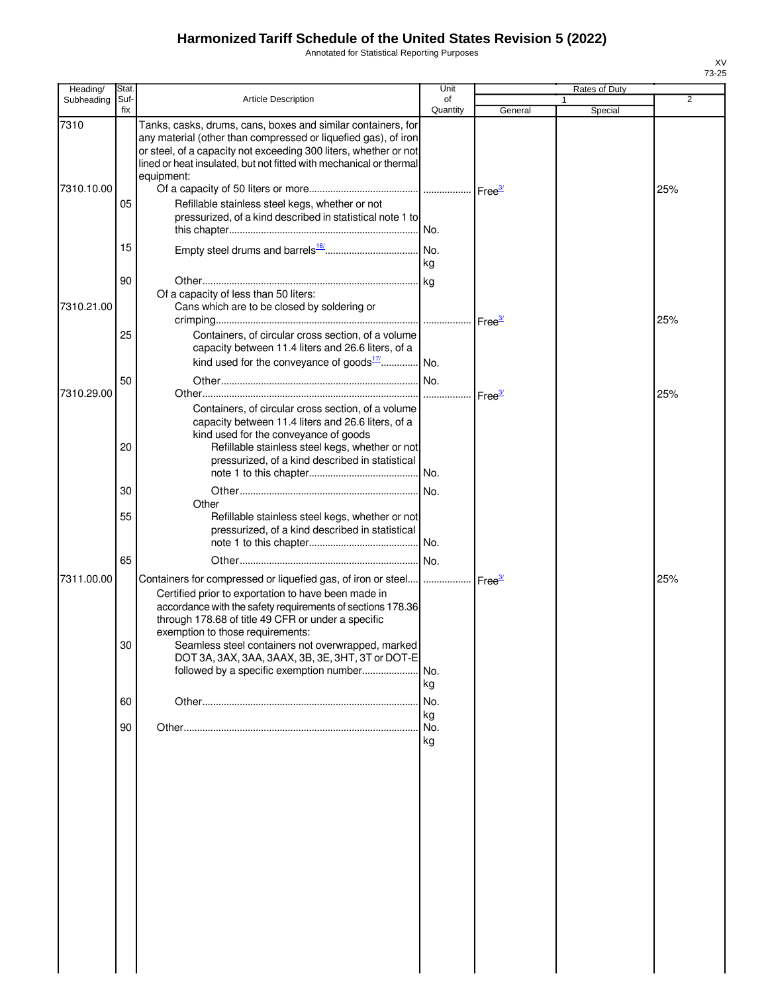Annotated for Statistical Reporting Purposes

| Heading/           | Stat.       |                                                                                                                                                                                                                                                                                                                                                                                                                                                         | Unit               |              | Rates of Duty |     |
|--------------------|-------------|---------------------------------------------------------------------------------------------------------------------------------------------------------------------------------------------------------------------------------------------------------------------------------------------------------------------------------------------------------------------------------------------------------------------------------------------------------|--------------------|--------------|---------------|-----|
| Subheading         | Suf-<br>fix | <b>Article Description</b>                                                                                                                                                                                                                                                                                                                                                                                                                              | of<br>Quantity     | General      | Special       | 2   |
| 7310<br>7310.10.00 | 05          | Tanks, casks, drums, cans, boxes and similar containers, for<br>any material (other than compressed or liquefied gas), of iron<br>or steel, of a capacity not exceeding 300 liters, whether or not<br>lined or heat insulated, but not fitted with mechanical or thermal<br>equipment:<br>Refillable stainless steel kegs, whether or not<br>pressurized, of a kind described in statistical note 1 to                                                  |                    |              |               | 25% |
|                    | 15          |                                                                                                                                                                                                                                                                                                                                                                                                                                                         |                    |              |               |     |
| 7310.21.00         | 90          | Of a capacity of less than 50 liters:<br>Cans which are to be closed by soldering or                                                                                                                                                                                                                                                                                                                                                                    | kg                 | $r = e^{3t}$ |               | 25% |
|                    | 25          | Containers, of circular cross section, of a volume<br>capacity between 11.4 liters and 26.6 liters, of a<br>kind used for the conveyance of goods $17/$ No.                                                                                                                                                                                                                                                                                             |                    |              |               |     |
| 7310.29.00         | 50          |                                                                                                                                                                                                                                                                                                                                                                                                                                                         |                    |              |               | 25% |
|                    | 20          | Containers, of circular cross section, of a volume<br>capacity between 11.4 liters and 26.6 liters, of a<br>kind used for the conveyance of goods<br>Refillable stainless steel kegs, whether or not<br>pressurized, of a kind described in statistical                                                                                                                                                                                                 |                    |              |               |     |
|                    | 30          |                                                                                                                                                                                                                                                                                                                                                                                                                                                         |                    |              |               |     |
|                    | 55          | Other<br>Refillable stainless steel kegs, whether or not<br>pressurized, of a kind described in statistical                                                                                                                                                                                                                                                                                                                                             |                    |              |               |     |
| 7311.00.00         | 65<br>30    | Containers for compressed or liquefied gas, of iron or steel      Free <sup>3/</sup><br>Certified prior to exportation to have been made in<br>accordance with the safety requirements of sections 178.36<br>through 178.68 of title 49 CFR or under a specific<br>exemption to those requirements:<br>Seamless steel containers not overwrapped, marked<br>DOT 3A, 3AX, 3AA, 3AAX, 3B, 3E, 3HT, 3T or DOT-E<br>followed by a specific exemption number | I No.<br>No.<br>kg |              |               | 25% |
|                    | 60          |                                                                                                                                                                                                                                                                                                                                                                                                                                                         | No.                |              |               |     |
|                    | 90          |                                                                                                                                                                                                                                                                                                                                                                                                                                                         | kg<br>No.<br>kg    |              |               |     |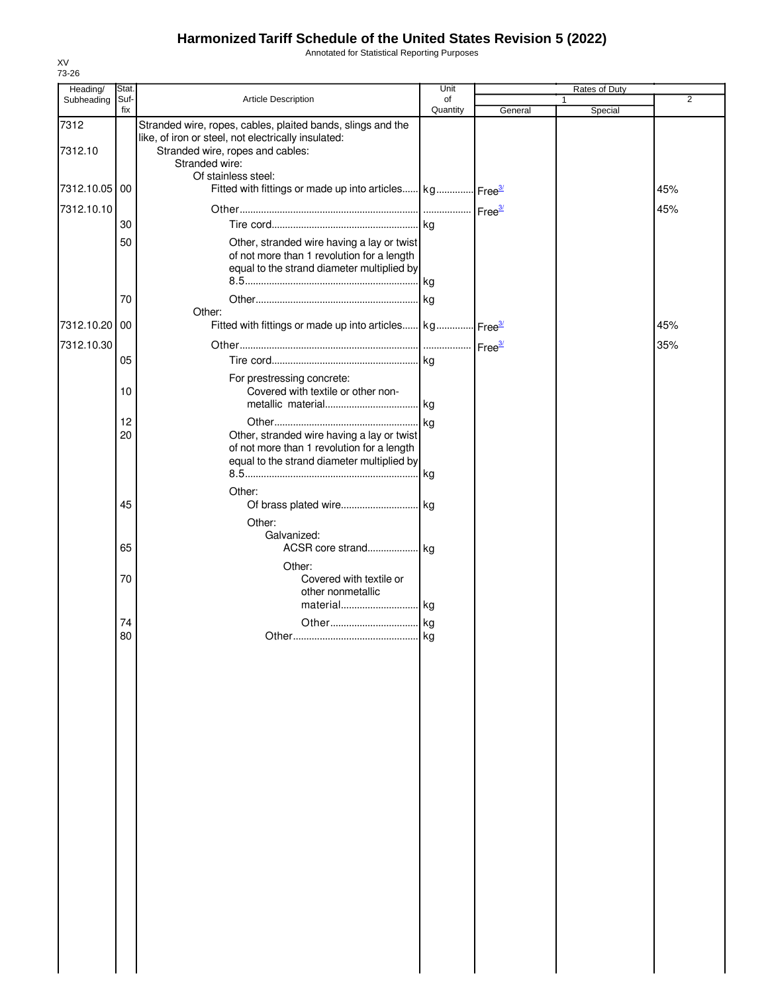Annotated for Statistical Reporting Purposes

| Heading/        | Stat.       |                                                                                                                                                                          | Unit           |         | Rates of Duty |                |
|-----------------|-------------|--------------------------------------------------------------------------------------------------------------------------------------------------------------------------|----------------|---------|---------------|----------------|
| Subheading      | Suf-<br>fix | Article Description                                                                                                                                                      | of<br>Quantity | General | 1<br>Special  | $\overline{2}$ |
| 7312<br>7312.10 |             | Stranded wire, ropes, cables, plaited bands, slings and the<br>like, of iron or steel, not electrically insulated:<br>Stranded wire, ropes and cables:<br>Stranded wire: |                |         |               |                |
| 7312.10.05      | 00          | Of stainless steel:<br>Fitted with fittings or made up into articles kg Free <sup>3/</sup>                                                                               |                |         |               | 45%            |
| 7312.10.10      | 30          |                                                                                                                                                                          |                |         |               | 45%            |
|                 | 50          | Other, stranded wire having a lay or twist<br>of not more than 1 revolution for a length<br>equal to the strand diameter multiplied by                                   |                |         |               |                |
|                 | 70          | Other:                                                                                                                                                                   |                |         |               |                |
| 7312.10.20      | 00          | Fitted with fittings or made up into articles kg Free <sup>3/</sup>                                                                                                      |                |         |               | 45%            |
| 7312.10.30      | 05          |                                                                                                                                                                          |                |         |               | 35%            |
|                 | 10          | For prestressing concrete:<br>Covered with textile or other non-                                                                                                         |                |         |               |                |
|                 | 12<br>20    | Other, stranded wire having a lay or twist<br>of not more than 1 revolution for a length<br>equal to the strand diameter multiplied by                                   | kg             |         |               |                |
|                 | 45          | Other:                                                                                                                                                                   |                |         |               |                |
|                 | 65          | Other:<br>Galvanized:                                                                                                                                                    |                |         |               |                |
|                 | 70          | Other:<br>Covered with textile or<br>other nonmetallic<br>material kg                                                                                                    |                |         |               |                |
|                 | 74<br>80    |                                                                                                                                                                          |                |         |               |                |
|                 |             |                                                                                                                                                                          |                |         |               |                |
|                 |             |                                                                                                                                                                          |                |         |               |                |
|                 |             |                                                                                                                                                                          |                |         |               |                |
|                 |             |                                                                                                                                                                          |                |         |               |                |
|                 |             |                                                                                                                                                                          |                |         |               |                |
|                 |             |                                                                                                                                                                          |                |         |               |                |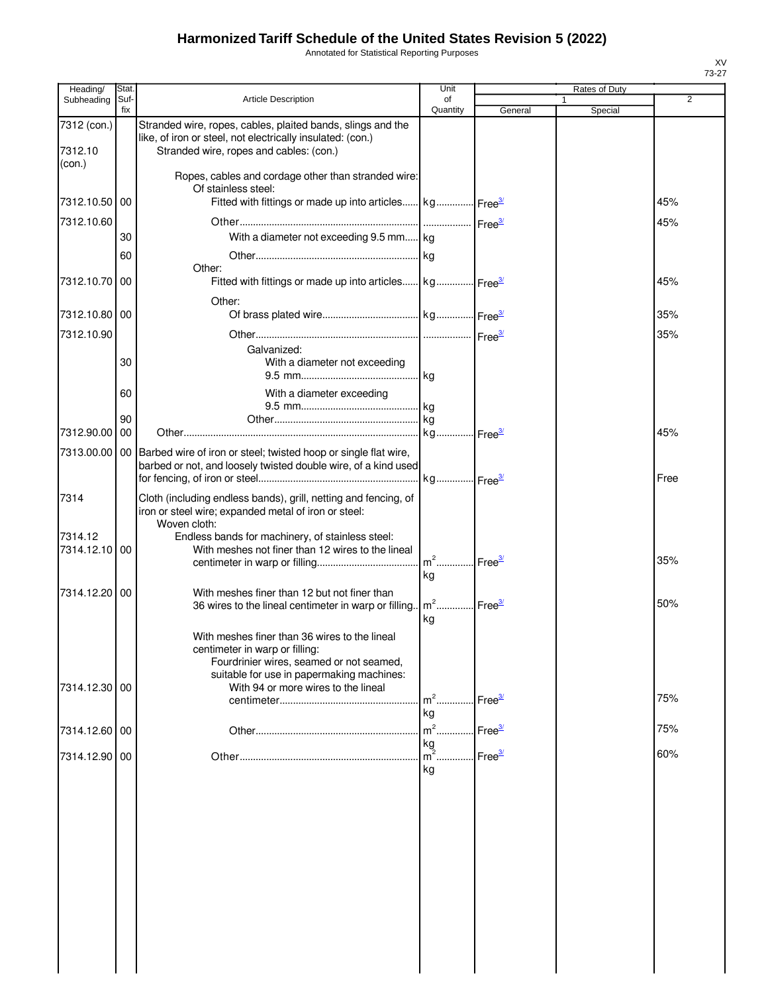Annotated for Statistical Reporting Purposes

| Heading/      | Stat.       |                                                                                                                                                     | Unit                              |                    | Rates of Duty |      |
|---------------|-------------|-----------------------------------------------------------------------------------------------------------------------------------------------------|-----------------------------------|--------------------|---------------|------|
| Subheading    | Suf-<br>fix | Article Description                                                                                                                                 | οf<br>Quantity                    | General            | Special       | 2    |
| 7312 (con.)   |             | Stranded wire, ropes, cables, plaited bands, slings and the                                                                                         |                                   |                    |               |      |
|               |             | like, of iron or steel, not electrically insulated: (con.)                                                                                          |                                   |                    |               |      |
| 7312.10       |             | Stranded wire, ropes and cables: (con.)                                                                                                             |                                   |                    |               |      |
| (con.)        |             | Ropes, cables and cordage other than stranded wire:                                                                                                 |                                   |                    |               |      |
|               |             | Of stainless steel:                                                                                                                                 |                                   |                    |               |      |
| 7312.10.50    | 00          | Fitted with fittings or made up into articles kg Free <sup>37</sup>                                                                                 |                                   |                    |               | 45%  |
| 7312.10.60    |             |                                                                                                                                                     |                                   |                    |               | 45%  |
|               | 30          | With a diameter not exceeding 9.5 mm kg                                                                                                             |                                   |                    |               |      |
|               | 60          |                                                                                                                                                     |                                   |                    |               |      |
| 7312.10.70 00 |             | Other:<br>Fitted with fittings or made up into articles kg Free <sup>3/</sup>                                                                       |                                   |                    |               | 45%  |
|               |             |                                                                                                                                                     |                                   |                    |               |      |
| 7312.10.80 00 |             | Other:                                                                                                                                              |                                   |                    |               | 35%  |
|               |             |                                                                                                                                                     |                                   |                    |               |      |
| 7312.10.90    |             | Galvanized:                                                                                                                                         |                                   |                    |               | 35%  |
|               | 30          | With a diameter not exceeding                                                                                                                       |                                   |                    |               |      |
|               |             |                                                                                                                                                     |                                   |                    |               |      |
|               | 60          | With a diameter exceeding                                                                                                                           |                                   |                    |               |      |
|               |             |                                                                                                                                                     |                                   |                    |               |      |
| 7312.90.00    | 90<br>00    |                                                                                                                                                     |                                   |                    |               | 45%  |
|               |             |                                                                                                                                                     |                                   |                    |               |      |
|               |             | 7313.00.00   00   Barbed wire of iron or steel; twisted hoop or single flat wire,<br>barbed or not, and loosely twisted double wire, of a kind used |                                   |                    |               |      |
|               |             |                                                                                                                                                     | kg Free <sup>3/</sup>             |                    |               | Free |
| 7314          |             | Cloth (including endless bands), grill, netting and fencing, of                                                                                     |                                   |                    |               |      |
|               |             | iron or steel wire; expanded metal of iron or steel:                                                                                                |                                   |                    |               |      |
| 7314.12       |             | Woven cloth:                                                                                                                                        |                                   |                    |               |      |
| 7314.12.10    | 00          | Endless bands for machinery, of stainless steel:<br>With meshes not finer than 12 wires to the lineal                                               |                                   |                    |               |      |
|               |             |                                                                                                                                                     | m <sup>2</sup> Free <sup>3/</sup> |                    |               | 35%  |
|               |             |                                                                                                                                                     | kg                                |                    |               |      |
| 7314.12.20    | 00          | With meshes finer than 12 but not finer than                                                                                                        | m <sup>2</sup> Free <sup>3/</sup> |                    |               | 50%  |
|               |             | 36 wires to the lineal centimeter in warp or filling                                                                                                | kg                                |                    |               |      |
|               |             | With meshes finer than 36 wires to the lineal                                                                                                       |                                   |                    |               |      |
|               |             | centimeter in warp or filling:                                                                                                                      |                                   |                    |               |      |
|               |             | Fourdrinier wires, seamed or not seamed,                                                                                                            |                                   |                    |               |      |
| 7314.12.30 00 |             | suitable for use in papermaking machines:<br>With 94 or more wires to the lineal                                                                    |                                   |                    |               |      |
|               |             |                                                                                                                                                     | $m2$ .                            | Free <sup>3/</sup> |               | 75%  |
|               |             |                                                                                                                                                     | kg                                |                    |               |      |
| 7314.12.60 00 |             |                                                                                                                                                     | $m^2$                             | Free <sup>3/</sup> |               | 75%  |
| 7314.12.90 00 |             |                                                                                                                                                     | kg<br>$\overline{m}^2$ .          | Free $\frac{3}{2}$ |               | 60%  |
|               |             |                                                                                                                                                     | kg                                |                    |               |      |
|               |             |                                                                                                                                                     |                                   |                    |               |      |
|               |             |                                                                                                                                                     |                                   |                    |               |      |
|               |             |                                                                                                                                                     |                                   |                    |               |      |
|               |             |                                                                                                                                                     |                                   |                    |               |      |
|               |             |                                                                                                                                                     |                                   |                    |               |      |
|               |             |                                                                                                                                                     |                                   |                    |               |      |
|               |             |                                                                                                                                                     |                                   |                    |               |      |
|               |             |                                                                                                                                                     |                                   |                    |               |      |
|               |             |                                                                                                                                                     |                                   |                    |               |      |
|               |             |                                                                                                                                                     |                                   |                    |               |      |
|               |             |                                                                                                                                                     |                                   |                    |               |      |
|               |             |                                                                                                                                                     |                                   |                    |               |      |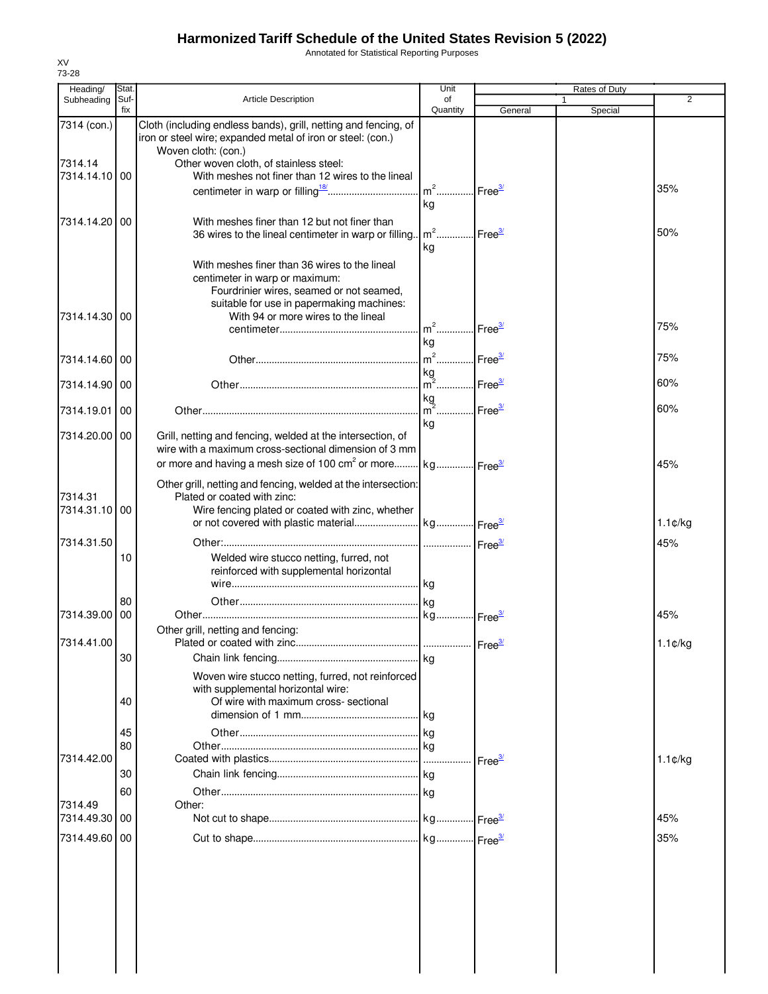Annotated for Statistical Reporting Purposes

| Heading/                 | Stat. |                                                                                                                                | Unit                              |                    | Rates of Duty |                   |
|--------------------------|-------|--------------------------------------------------------------------------------------------------------------------------------|-----------------------------------|--------------------|---------------|-------------------|
| Subheading               | Suf-  | <b>Article Description</b>                                                                                                     | of                                |                    |               | 2                 |
| 7314 (con.)              | fix   | Cloth (including endless bands), grill, netting and fencing, of<br>iron or steel wire; expanded metal of iron or steel: (con.) | Quantity                          | General            | Special       |                   |
|                          |       | Woven cloth: (con.)                                                                                                            |                                   |                    |               |                   |
| 7314.14<br>7314.14.10 00 |       | Other woven cloth, of stainless steel:<br>With meshes not finer than 12 wires to the lineal                                    |                                   |                    |               |                   |
|                          |       |                                                                                                                                | $m2$                              | Free <sup>3/</sup> |               | 35%               |
|                          |       |                                                                                                                                | kg                                |                    |               |                   |
|                          |       |                                                                                                                                |                                   |                    |               |                   |
| 7314.14.20 00            |       | With meshes finer than 12 but not finer than                                                                                   | $m2$                              | Free <sup>3/</sup> |               | 50%               |
|                          |       | 36 wires to the lineal centimeter in warp or filling.                                                                          | kg                                |                    |               |                   |
|                          |       |                                                                                                                                |                                   |                    |               |                   |
|                          |       | With meshes finer than 36 wires to the lineal                                                                                  |                                   |                    |               |                   |
|                          |       | centimeter in warp or maximum:<br>Fourdrinier wires, seamed or not seamed,                                                     |                                   |                    |               |                   |
|                          |       | suitable for use in papermaking machines:                                                                                      |                                   |                    |               |                   |
| 7314.14.30 00            |       | With 94 or more wires to the lineal                                                                                            |                                   |                    |               |                   |
|                          |       |                                                                                                                                | $m^2$                             | Free <sup>3/</sup> |               | 75%               |
|                          |       |                                                                                                                                | kg                                |                    |               |                   |
| 7314.14.60 00            |       |                                                                                                                                | m <sup>2</sup> Free <sup>3/</sup> |                    |               | 75%               |
|                          |       |                                                                                                                                | kg                                |                    |               |                   |
| 7314.14.90 00            |       |                                                                                                                                | $m^2$                             | Free $\frac{3}{2}$ |               | 60%               |
|                          |       |                                                                                                                                | kg                                |                    |               |                   |
| 7314.19.01               | 00    |                                                                                                                                | m <sup>2</sup> Free <sup>3/</sup> |                    |               | 60%               |
|                          |       |                                                                                                                                | kg                                |                    |               |                   |
| 7314.20.00 00            |       | Grill, netting and fencing, welded at the intersection, of<br>wire with a maximum cross-sectional dimension of 3 mm            |                                   |                    |               |                   |
|                          |       | or more and having a mesh size of 100 cm <sup>2</sup> or more $\left  \text{kg} \dots \text{m} \right $ Free $\frac{3}{2}$     |                                   |                    |               | 45%               |
|                          |       |                                                                                                                                |                                   |                    |               |                   |
|                          |       | Other grill, netting and fencing, welded at the intersection:                                                                  |                                   |                    |               |                   |
| 7314.31                  |       | Plated or coated with zinc:                                                                                                    |                                   |                    |               |                   |
| 7314.31.10 00            |       | Wire fencing plated or coated with zinc, whether                                                                               |                                   |                    |               |                   |
|                          |       |                                                                                                                                |                                   |                    |               | $1.1 \text{C/kg}$ |
| 7314.31.50               |       |                                                                                                                                | Free <sup>3/</sup>                |                    |               | 45%               |
|                          | 10    | Welded wire stucco netting, furred, not                                                                                        |                                   |                    |               |                   |
|                          |       | reinforced with supplemental horizontal                                                                                        |                                   |                    |               |                   |
|                          |       |                                                                                                                                |                                   |                    |               |                   |
|                          | 80    |                                                                                                                                |                                   |                    |               |                   |
| 7314.39.00 00            |       |                                                                                                                                |                                   |                    |               | 45%               |
|                          |       | Other grill, netting and fencing:                                                                                              |                                   |                    |               |                   |
| 7314.41.00               |       | Plated or coated with zinc.                                                                                                    |                                   | Free <sup>3/</sup> |               | $1.1 \text{C/kg}$ |
|                          | 30    |                                                                                                                                |                                   |                    |               |                   |
|                          |       | Woven wire stucco netting, furred, not reinforced                                                                              |                                   |                    |               |                   |
|                          |       | with supplemental horizontal wire:                                                                                             |                                   |                    |               |                   |
|                          | 40    | Of wire with maximum cross- sectional                                                                                          |                                   |                    |               |                   |
|                          |       |                                                                                                                                |                                   |                    |               |                   |
|                          | 45    |                                                                                                                                |                                   |                    |               |                   |
|                          | 80    |                                                                                                                                |                                   |                    |               |                   |
| 7314.42.00               |       |                                                                                                                                |                                   | Free <sup>3/</sup> |               | $1.1 \text{C/kg}$ |
|                          | 30    |                                                                                                                                |                                   |                    |               |                   |
|                          | 60    |                                                                                                                                |                                   |                    |               |                   |
| 7314.49                  |       | Other:                                                                                                                         |                                   |                    |               |                   |
| 7314.49.30 00            |       |                                                                                                                                |                                   |                    |               | 45%               |
| 7314.49.60 00            |       |                                                                                                                                |                                   |                    |               | 35%               |
|                          |       |                                                                                                                                |                                   |                    |               |                   |
|                          |       |                                                                                                                                |                                   |                    |               |                   |
|                          |       |                                                                                                                                |                                   |                    |               |                   |
|                          |       |                                                                                                                                |                                   |                    |               |                   |
|                          |       |                                                                                                                                |                                   |                    |               |                   |
|                          |       |                                                                                                                                |                                   |                    |               |                   |
|                          |       |                                                                                                                                |                                   |                    |               |                   |
|                          |       |                                                                                                                                |                                   |                    |               |                   |

XV 73-28

 $\overline{\phantom{a}}$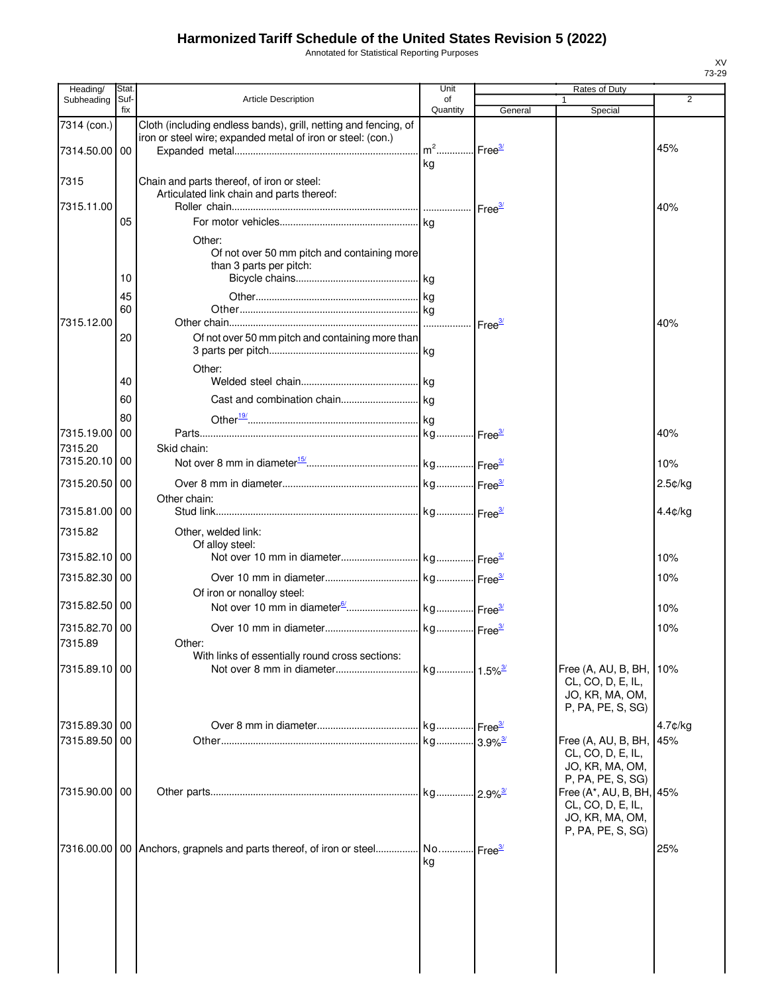Annotated for Statistical Reporting Purposes

| Heading/      | Stat.       |                                                                            | Unit           |                    | Rates of Duty                                 |                |
|---------------|-------------|----------------------------------------------------------------------------|----------------|--------------------|-----------------------------------------------|----------------|
| Subheading    | Suf-<br>fix | <b>Article Description</b>                                                 | of<br>Quantity | General            | $\mathbf{1}$<br>Special                       | 2              |
| 7314 (con.)   |             | Cloth (including endless bands), grill, netting and fencing, of            |                |                    |                                               |                |
|               |             | iron or steel wire; expanded metal of iron or steel: (con.)                |                |                    |                                               |                |
| 7314.50.00 00 |             |                                                                            |                |                    |                                               | 45%            |
|               |             |                                                                            | kg             |                    |                                               |                |
| 7315          |             | Chain and parts thereof, of iron or steel:                                 |                |                    |                                               |                |
| 7315.11.00    |             | Articulated link chain and parts thereof:                                  |                |                    |                                               | 40%            |
|               | 05          |                                                                            |                |                    |                                               |                |
|               |             | Other:                                                                     |                |                    |                                               |                |
|               |             | Of not over 50 mm pitch and containing more                                |                |                    |                                               |                |
|               |             | than 3 parts per pitch:                                                    |                |                    |                                               |                |
|               | 10          |                                                                            |                |                    |                                               |                |
|               | 45          |                                                                            |                |                    |                                               |                |
|               | 60          |                                                                            |                |                    |                                               |                |
| 7315.12.00    |             |                                                                            |                |                    |                                               | 40%            |
|               | 20          | Of not over 50 mm pitch and containing more than                           |                |                    |                                               |                |
|               |             | Other:                                                                     |                |                    |                                               |                |
|               | 40          |                                                                            |                |                    |                                               |                |
|               | 60          |                                                                            |                |                    |                                               |                |
|               |             |                                                                            |                |                    |                                               |                |
| 7315.19.00    | 80<br>00    |                                                                            |                |                    |                                               | 40%            |
| 7315.20       |             | Skid chain:                                                                |                |                    |                                               |                |
| 7315.20.10    | 00          |                                                                            |                |                    |                                               | 10%            |
|               |             |                                                                            |                |                    |                                               |                |
| 7315.20.50    | 00          |                                                                            |                |                    |                                               | 2.5¢/kg        |
| 7315.81.00 00 |             | Other chain:                                                               |                |                    |                                               | 4.4¢/kg        |
|               |             |                                                                            |                |                    |                                               |                |
| 7315.82       |             | Other, welded link:<br>Of alloy steel:                                     |                |                    |                                               |                |
| 7315.82.10 00 |             |                                                                            |                |                    |                                               | 10%            |
| 7315.82.30 00 |             |                                                                            |                |                    |                                               | 10%            |
|               |             | Of iron or nonalloy steel:                                                 |                |                    |                                               |                |
| 7315.82.50 00 |             |                                                                            |                |                    |                                               | 10%            |
| 7315.82.70 00 |             |                                                                            |                |                    |                                               | 10%            |
| 7315.89       |             | Other:                                                                     |                |                    |                                               |                |
|               |             | With links of essentially round cross sections:                            |                |                    |                                               |                |
| 7315.89.10 00 |             |                                                                            |                |                    | Free (A, AU, B, BH,                           | 10%            |
|               |             |                                                                            |                |                    | CL, CO, D, E, IL,                             |                |
|               |             |                                                                            |                |                    | JO, KR, MA, OM,<br>P, PA, PE, S, SG)          |                |
| 7315.89.30 00 |             |                                                                            |                |                    |                                               |                |
| 7315.89.50 00 |             |                                                                            |                |                    | Free (A, AU, B, BH,                           | 4.7¢/kg<br>45% |
|               |             |                                                                            |                |                    | CL, CO, D, E, IL,                             |                |
|               |             |                                                                            |                |                    | JO, KR, MA, OM,                               |                |
|               |             |                                                                            |                |                    | P, PA, PE, S, SG)                             |                |
| 7315.90.00 00 |             |                                                                            |                |                    | Free (A*, AU, B, BH, 45%<br>CL, CO, D, E, IL, |                |
|               |             |                                                                            |                |                    | JO, KR, MA, OM,                               |                |
|               |             |                                                                            |                |                    | P, PA, PE, S, SG)                             |                |
|               |             | 7316.00.00   00   Anchors, grapnels and parts thereof, of iron or steel No |                | Free <sup>3/</sup> |                                               | 25%            |
|               |             |                                                                            | ka             |                    |                                               |                |
|               |             |                                                                            |                |                    |                                               |                |
|               |             |                                                                            |                |                    |                                               |                |
|               |             |                                                                            |                |                    |                                               |                |
|               |             |                                                                            |                |                    |                                               |                |
|               |             |                                                                            |                |                    |                                               |                |
|               |             |                                                                            |                |                    |                                               |                |
|               |             |                                                                            |                |                    |                                               |                |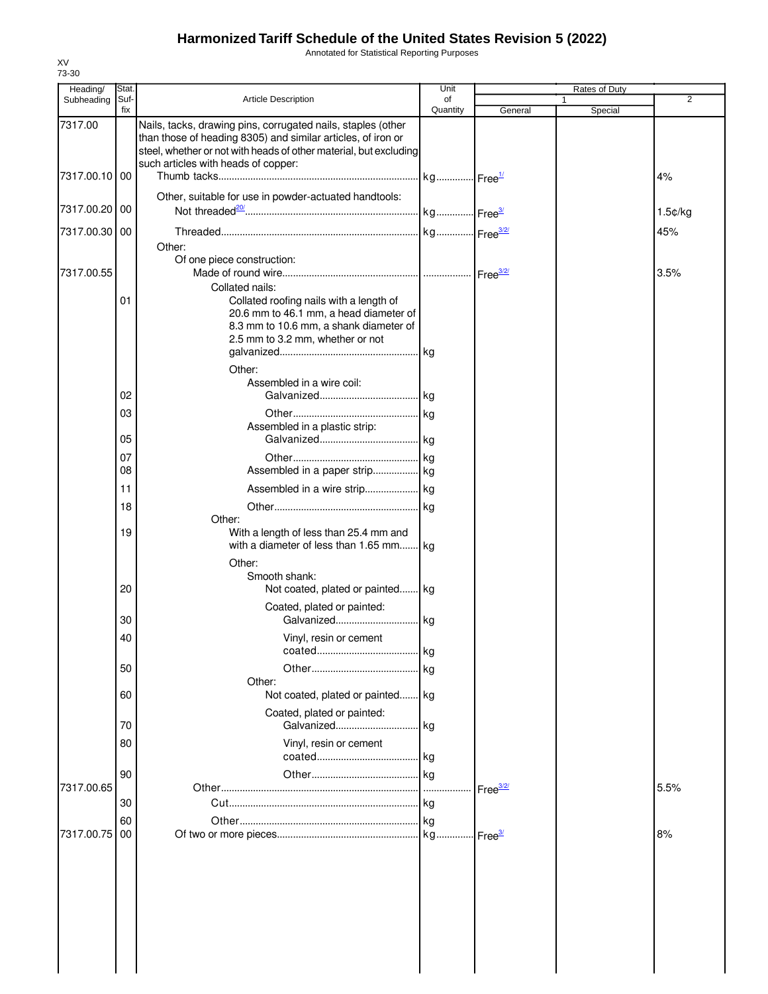Annotated for Statistical Reporting Purposes

| Heading/      | Stat.    |                                                                                                                                                                                                   | Unit     |                      | Rates of Duty |                  |
|---------------|----------|---------------------------------------------------------------------------------------------------------------------------------------------------------------------------------------------------|----------|----------------------|---------------|------------------|
| Subheading    | Suf-     | <b>Article Description</b>                                                                                                                                                                        | of       |                      |               | $\overline{2}$   |
| 7317.00       | fix      | Nails, tacks, drawing pins, corrugated nails, staples (other<br>than those of heading 8305) and similar articles, of iron or<br>steel, whether or not with heads of other material, but excluding | Quantity | General              | Special       |                  |
| 7317.00.10 00 |          | such articles with heads of copper:                                                                                                                                                               |          |                      |               | 4%               |
| 7317.00.20 00 |          | Other, suitable for use in powder-actuated handtools:                                                                                                                                             |          |                      |               | $1.5$ $¢$ / $kg$ |
| 7317.00.30    | 00       |                                                                                                                                                                                                   |          |                      |               | 45%              |
| 7317.00.55    |          | Other:<br>Of one piece construction:                                                                                                                                                              |          |                      |               | 3.5%             |
|               |          |                                                                                                                                                                                                   |          |                      |               |                  |
|               | 01       | Collated nails:<br>Collated roofing nails with a length of<br>20.6 mm to 46.1 mm, a head diameter of<br>8.3 mm to 10.6 mm, a shank diameter of<br>2.5 mm to 3.2 mm, whether or not<br>Other:      |          |                      |               |                  |
|               |          | Assembled in a wire coil:                                                                                                                                                                         |          |                      |               |                  |
|               | 02       |                                                                                                                                                                                                   |          |                      |               |                  |
|               | 03       | Assembled in a plastic strip:                                                                                                                                                                     | kg       |                      |               |                  |
|               | 05       |                                                                                                                                                                                                   |          |                      |               |                  |
|               | 07       |                                                                                                                                                                                                   |          |                      |               |                  |
|               | 08       | Assembled in a paper strip kg                                                                                                                                                                     |          |                      |               |                  |
|               |          |                                                                                                                                                                                                   |          |                      |               |                  |
|               | 11<br>18 |                                                                                                                                                                                                   |          |                      |               |                  |
|               |          | Other:                                                                                                                                                                                            |          |                      |               |                  |
|               | 19       | With a length of less than 25.4 mm and<br>with a diameter of less than 1.65 mm kg<br>Other:<br>Smooth shank:                                                                                      |          |                      |               |                  |
|               | 20       | Not coated, plated or painted kg<br>Coated, plated or painted:                                                                                                                                    |          |                      |               |                  |
|               | 30       |                                                                                                                                                                                                   |          |                      |               |                  |
|               | 40       | Vinyl, resin or cement                                                                                                                                                                            | kg       |                      |               |                  |
|               | 50       |                                                                                                                                                                                                   |          |                      |               |                  |
|               | 60       | Other:<br>Not coated, plated or painted kg                                                                                                                                                        |          |                      |               |                  |
|               | 70       | Coated, plated or painted:<br>Galvanized                                                                                                                                                          | kg       |                      |               |                  |
|               | 80       | Vinyl, resin or cement                                                                                                                                                                            |          |                      |               |                  |
| 7317.00.65    | 90       |                                                                                                                                                                                                   | kg       | Free $\frac{3/2}{2}$ |               | 5.5%             |
|               | 30       |                                                                                                                                                                                                   | kg       |                      |               |                  |
|               | 60       |                                                                                                                                                                                                   |          |                      |               |                  |
| 7317.00.75    | 00       |                                                                                                                                                                                                   | kg       | - Free <sup>3/</sup> |               | 8%               |
|               |          |                                                                                                                                                                                                   |          |                      |               |                  |

XV 73-30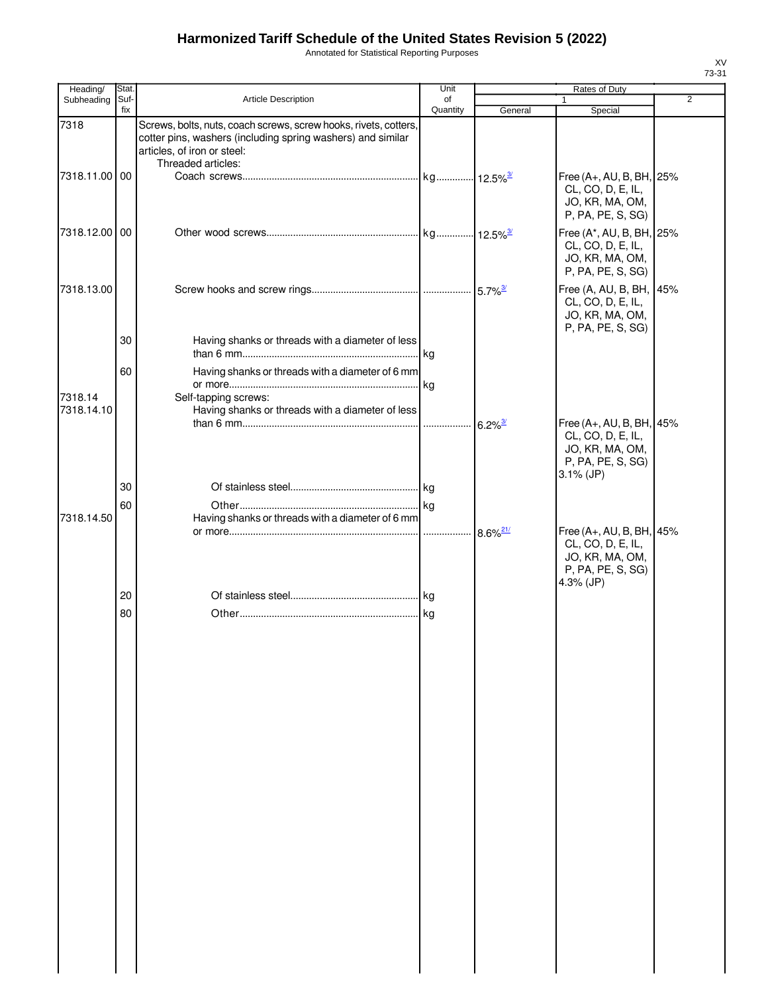Annotated for Statistical Reporting Purposes

| Heading/              | Stat. |                                                                                                                  | Unit     |         | Rates of Duty                                                                                         | ا د-د ۱        |
|-----------------------|-------|------------------------------------------------------------------------------------------------------------------|----------|---------|-------------------------------------------------------------------------------------------------------|----------------|
| Subheading            | Suf-  | Article Description                                                                                              | of       |         | 1                                                                                                     | $\overline{2}$ |
| 7318                  | fix   | Screws, bolts, nuts, coach screws, screw hooks, rivets, cotters,                                                 | Quantity | General | Special                                                                                               |                |
|                       |       | cotter pins, washers (including spring washers) and similar<br>articles, of iron or steel:<br>Threaded articles: |          |         |                                                                                                       |                |
| 7318.11.00 00         |       |                                                                                                                  |          |         | Free (A+, AU, B, BH, 25%<br>CL, CO, D, E, IL,<br>JO, KR, MA, OM,<br>P, PA, PE, S, SG)                 |                |
| 7318.12.00 00         |       |                                                                                                                  |          |         | Free (A*, AU, B, BH, 25%<br>CL, CO, D, E, IL,<br>JO, KR, MA, OM,<br>P, PA, PE, S, SG)                 |                |
| 7318.13.00            |       |                                                                                                                  |          |         | Free (A, AU, B, BH, 45%<br>CL, CO, D, E, IL,<br>JO, KR, MA, OM,<br>P, PA, PE, S, SG)                  |                |
|                       | 30    | Having shanks or threads with a diameter of less                                                                 |          |         |                                                                                                       |                |
|                       | 60    | Having shanks or threads with a diameter of 6 mm                                                                 |          |         |                                                                                                       |                |
| 7318.14<br>7318.14.10 |       | Self-tapping screws:<br>Having shanks or threads with a diameter of less                                         |          |         |                                                                                                       |                |
|                       |       |                                                                                                                  |          |         | Free (A+, AU, B, BH, 45%<br>CL, CO, D, E, IL,<br>JO, KR, MA, OM,<br>P, PA, PE, S, SG)<br>$3.1\%$ (JP) |                |
|                       | 30    |                                                                                                                  |          |         |                                                                                                       |                |
| 7318.14.50            | 60    | Having shanks or threads with a diameter of 6 mm                                                                 |          |         | Free (A+, AU, B, BH, 45%                                                                              |                |
|                       |       |                                                                                                                  |          |         | CL, CO, D, E, IL,<br>JO, KR, MA, OM,<br>P, PA, PE, S, SG)<br>4.3% (JP)                                |                |
|                       | 20    |                                                                                                                  |          |         |                                                                                                       |                |
|                       | 80    |                                                                                                                  |          |         |                                                                                                       |                |
|                       |       |                                                                                                                  |          |         |                                                                                                       |                |
|                       |       |                                                                                                                  |          |         |                                                                                                       |                |
|                       |       |                                                                                                                  |          |         |                                                                                                       |                |
|                       |       |                                                                                                                  |          |         |                                                                                                       |                |
|                       |       |                                                                                                                  |          |         |                                                                                                       |                |
|                       |       |                                                                                                                  |          |         |                                                                                                       |                |
|                       |       |                                                                                                                  |          |         |                                                                                                       |                |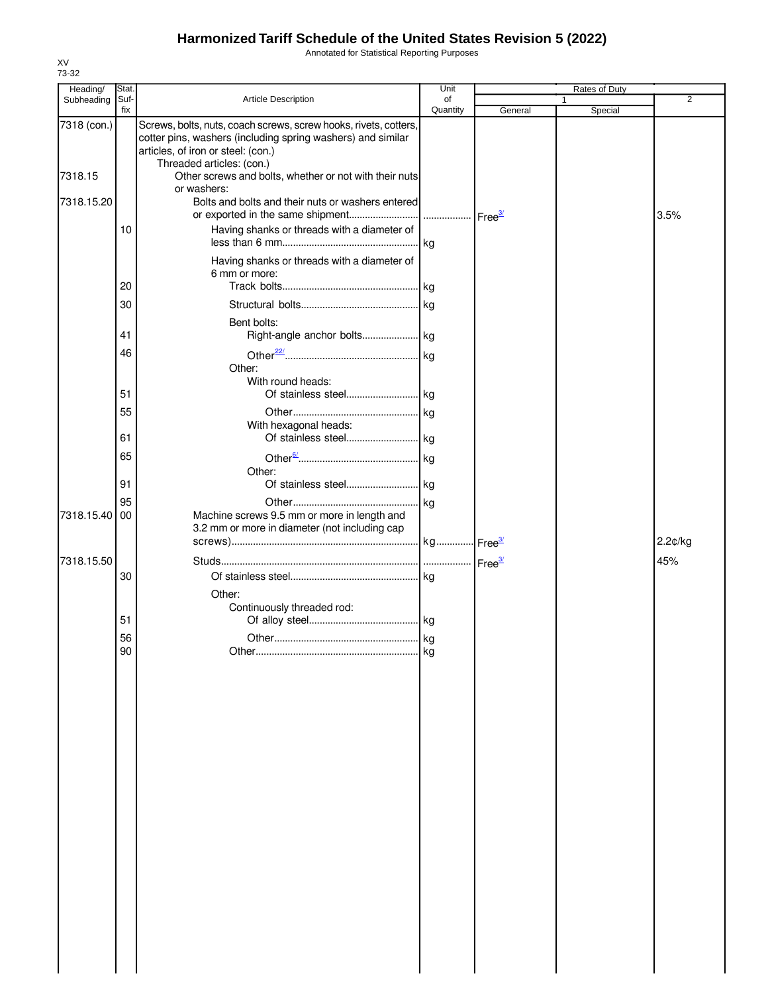Annotated for Statistical Reporting Purposes

| Heading/    | Stat. |                                                                                                                                                                                                    | Unit     |         | Rates of Duty |         |
|-------------|-------|----------------------------------------------------------------------------------------------------------------------------------------------------------------------------------------------------|----------|---------|---------------|---------|
| Subheading  | Suf-  | Article Description                                                                                                                                                                                | of       |         |               | 2       |
| 7318 (con.) | fix   | Screws, bolts, nuts, coach screws, screw hooks, rivets, cotters,<br>cotter pins, washers (including spring washers) and similar<br>articles, of iron or steel: (con.)<br>Threaded articles: (con.) | Quantity | General | Special       |         |
| 7318.15     |       | Other screws and bolts, whether or not with their nuts<br>or washers:                                                                                                                              |          |         |               |         |
| 7318.15.20  |       | Bolts and bolts and their nuts or washers entered                                                                                                                                                  |          |         |               | 3.5%    |
|             | 10    | Having shanks or threads with a diameter of                                                                                                                                                        |          |         |               |         |
|             | 20    | Having shanks or threads with a diameter of<br>6 mm or more:                                                                                                                                       |          |         |               |         |
|             | 30    |                                                                                                                                                                                                    |          |         |               |         |
|             | 41    | Bent bolts:                                                                                                                                                                                        |          |         |               |         |
|             | 46    | Other:<br>With round heads:                                                                                                                                                                        |          |         |               |         |
|             | 51    |                                                                                                                                                                                                    |          |         |               |         |
|             | 55    | With hexagonal heads:                                                                                                                                                                              |          |         |               |         |
|             | 61    |                                                                                                                                                                                                    |          |         |               |         |
|             | 65    | Other:                                                                                                                                                                                             |          |         |               |         |
|             | 91    |                                                                                                                                                                                                    |          |         |               |         |
|             | 95    |                                                                                                                                                                                                    |          |         |               |         |
| 7318.15.40  | 00    | Machine screws 9.5 mm or more in length and<br>3.2 mm or more in diameter (not including cap                                                                                                       |          |         |               | 2.2¢/kg |
|             |       |                                                                                                                                                                                                    |          |         |               |         |
| 7318.15.50  |       |                                                                                                                                                                                                    |          |         |               | 45%     |
|             | 30    | Other:                                                                                                                                                                                             |          |         |               |         |
|             | 51    | Continuously threaded rod:                                                                                                                                                                         |          |         |               |         |
|             | 56    |                                                                                                                                                                                                    |          |         |               |         |
|             | 90    |                                                                                                                                                                                                    | kg       |         |               |         |
|             |       |                                                                                                                                                                                                    |          |         |               |         |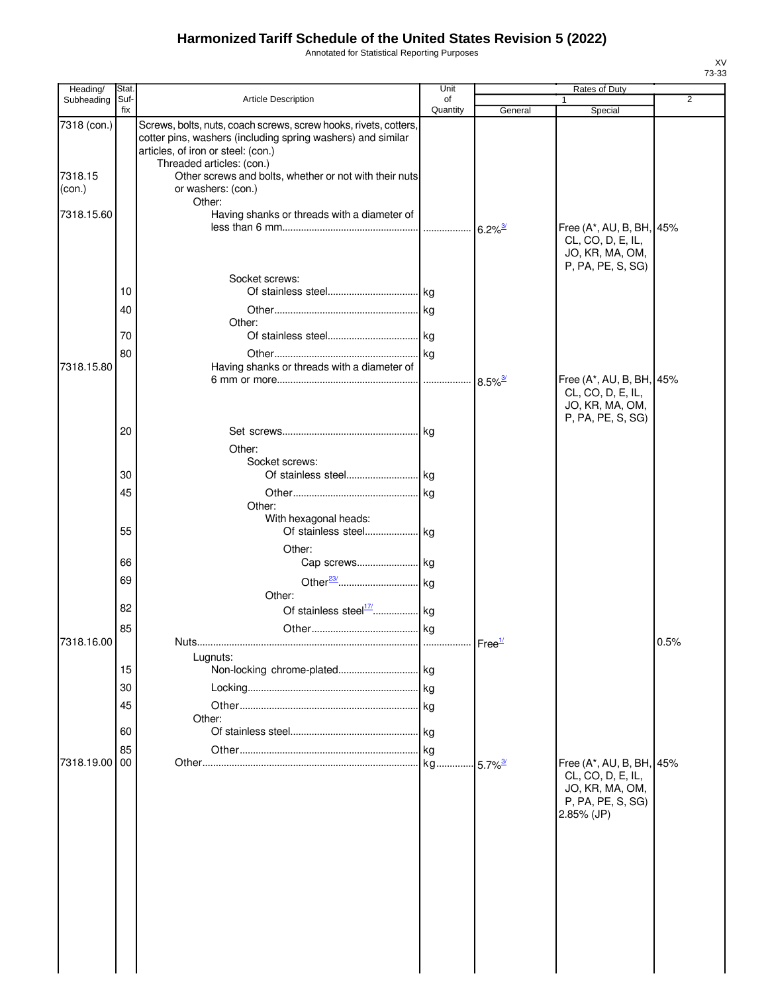Annotated for Statistical Reporting Purposes

| Suf-<br><b>Article Description</b><br>$\overline{2}$<br>Subheading<br>of<br>fix<br>Quantity<br>General<br>Special<br>7318 (con.)<br>Screws, bolts, nuts, coach screws, screw hooks, rivets, cotters,<br>cotter pins, washers (including spring washers) and similar<br>articles, of iron or steel: (con.)<br>Threaded articles: (con.)<br>7318.15<br>Other screws and bolts, whether or not with their nuts<br>or washers: (con.)<br>(con.)<br>Other:<br>7318.15.60<br>Having shanks or threads with a diameter of<br>Free (A*, AU, B, BH, 45%<br>$6.2\%$ <sup>3/</sup><br>CL, CO, D, E, IL,<br>JO, KR, MA, OM,<br>P, PA, PE, S, SG)<br>Socket screws:<br>10<br>40<br>Other:<br>70<br>80<br>7318.15.80<br>Having shanks or threads with a diameter of<br>Free (A*, AU, B, BH, 45%<br>$8.5\%$ <sup>3/</sup><br>CL, CO, D, E, IL,<br>JO, KR, MA, OM,<br>P, PA, PE, S, SG)<br>20<br>Other:<br>Socket screws: | Heading/ | Stat. | Unit | Rates of Duty |  |
|-----------------------------------------------------------------------------------------------------------------------------------------------------------------------------------------------------------------------------------------------------------------------------------------------------------------------------------------------------------------------------------------------------------------------------------------------------------------------------------------------------------------------------------------------------------------------------------------------------------------------------------------------------------------------------------------------------------------------------------------------------------------------------------------------------------------------------------------------------------------------------------------------------------|----------|-------|------|---------------|--|
|                                                                                                                                                                                                                                                                                                                                                                                                                                                                                                                                                                                                                                                                                                                                                                                                                                                                                                           |          |       |      |               |  |
|                                                                                                                                                                                                                                                                                                                                                                                                                                                                                                                                                                                                                                                                                                                                                                                                                                                                                                           |          |       |      |               |  |
|                                                                                                                                                                                                                                                                                                                                                                                                                                                                                                                                                                                                                                                                                                                                                                                                                                                                                                           |          |       |      |               |  |
|                                                                                                                                                                                                                                                                                                                                                                                                                                                                                                                                                                                                                                                                                                                                                                                                                                                                                                           |          |       |      |               |  |
|                                                                                                                                                                                                                                                                                                                                                                                                                                                                                                                                                                                                                                                                                                                                                                                                                                                                                                           |          |       |      |               |  |
|                                                                                                                                                                                                                                                                                                                                                                                                                                                                                                                                                                                                                                                                                                                                                                                                                                                                                                           |          |       |      |               |  |
|                                                                                                                                                                                                                                                                                                                                                                                                                                                                                                                                                                                                                                                                                                                                                                                                                                                                                                           |          |       |      |               |  |
|                                                                                                                                                                                                                                                                                                                                                                                                                                                                                                                                                                                                                                                                                                                                                                                                                                                                                                           |          |       |      |               |  |
|                                                                                                                                                                                                                                                                                                                                                                                                                                                                                                                                                                                                                                                                                                                                                                                                                                                                                                           |          |       |      |               |  |
|                                                                                                                                                                                                                                                                                                                                                                                                                                                                                                                                                                                                                                                                                                                                                                                                                                                                                                           |          |       |      |               |  |
|                                                                                                                                                                                                                                                                                                                                                                                                                                                                                                                                                                                                                                                                                                                                                                                                                                                                                                           |          |       |      |               |  |
|                                                                                                                                                                                                                                                                                                                                                                                                                                                                                                                                                                                                                                                                                                                                                                                                                                                                                                           |          |       |      |               |  |
|                                                                                                                                                                                                                                                                                                                                                                                                                                                                                                                                                                                                                                                                                                                                                                                                                                                                                                           |          |       |      |               |  |
| 30                                                                                                                                                                                                                                                                                                                                                                                                                                                                                                                                                                                                                                                                                                                                                                                                                                                                                                        |          |       |      |               |  |
| 45<br>.  kg                                                                                                                                                                                                                                                                                                                                                                                                                                                                                                                                                                                                                                                                                                                                                                                                                                                                                               |          |       |      |               |  |
| Other:                                                                                                                                                                                                                                                                                                                                                                                                                                                                                                                                                                                                                                                                                                                                                                                                                                                                                                    |          |       |      |               |  |
| With hexagonal heads:<br>55                                                                                                                                                                                                                                                                                                                                                                                                                                                                                                                                                                                                                                                                                                                                                                                                                                                                               |          |       |      |               |  |
| Other:<br>66                                                                                                                                                                                                                                                                                                                                                                                                                                                                                                                                                                                                                                                                                                                                                                                                                                                                                              |          |       |      |               |  |
| 69                                                                                                                                                                                                                                                                                                                                                                                                                                                                                                                                                                                                                                                                                                                                                                                                                                                                                                        |          |       |      |               |  |
| Other:                                                                                                                                                                                                                                                                                                                                                                                                                                                                                                                                                                                                                                                                                                                                                                                                                                                                                                    |          |       |      |               |  |
| 82<br>85                                                                                                                                                                                                                                                                                                                                                                                                                                                                                                                                                                                                                                                                                                                                                                                                                                                                                                  |          |       |      |               |  |
| 7318.16.00<br>0.5%<br>Nuts                                                                                                                                                                                                                                                                                                                                                                                                                                                                                                                                                                                                                                                                                                                                                                                                                                                                                |          |       |      |               |  |
| Lugnuts:                                                                                                                                                                                                                                                                                                                                                                                                                                                                                                                                                                                                                                                                                                                                                                                                                                                                                                  |          |       |      |               |  |
| 15                                                                                                                                                                                                                                                                                                                                                                                                                                                                                                                                                                                                                                                                                                                                                                                                                                                                                                        |          |       |      |               |  |
| 30                                                                                                                                                                                                                                                                                                                                                                                                                                                                                                                                                                                                                                                                                                                                                                                                                                                                                                        |          |       |      |               |  |
| 45<br>Other:                                                                                                                                                                                                                                                                                                                                                                                                                                                                                                                                                                                                                                                                                                                                                                                                                                                                                              |          |       |      |               |  |
| 60                                                                                                                                                                                                                                                                                                                                                                                                                                                                                                                                                                                                                                                                                                                                                                                                                                                                                                        |          |       |      |               |  |
| 85                                                                                                                                                                                                                                                                                                                                                                                                                                                                                                                                                                                                                                                                                                                                                                                                                                                                                                        |          |       |      |               |  |
| Free (A*, AU, B, BH, 45%<br>7318.19.00 00<br>$5.7\%$ <sup>3/</sup>                                                                                                                                                                                                                                                                                                                                                                                                                                                                                                                                                                                                                                                                                                                                                                                                                                        |          |       |      |               |  |
| CL, CO, D, E, IL,<br>JO, KR, MA, OM,<br>P, PA, PE, S, SG)<br>2.85% (JP)                                                                                                                                                                                                                                                                                                                                                                                                                                                                                                                                                                                                                                                                                                                                                                                                                                   |          |       |      |               |  |
|                                                                                                                                                                                                                                                                                                                                                                                                                                                                                                                                                                                                                                                                                                                                                                                                                                                                                                           |          |       |      |               |  |
|                                                                                                                                                                                                                                                                                                                                                                                                                                                                                                                                                                                                                                                                                                                                                                                                                                                                                                           |          |       |      |               |  |
|                                                                                                                                                                                                                                                                                                                                                                                                                                                                                                                                                                                                                                                                                                                                                                                                                                                                                                           |          |       |      |               |  |
|                                                                                                                                                                                                                                                                                                                                                                                                                                                                                                                                                                                                                                                                                                                                                                                                                                                                                                           |          |       |      |               |  |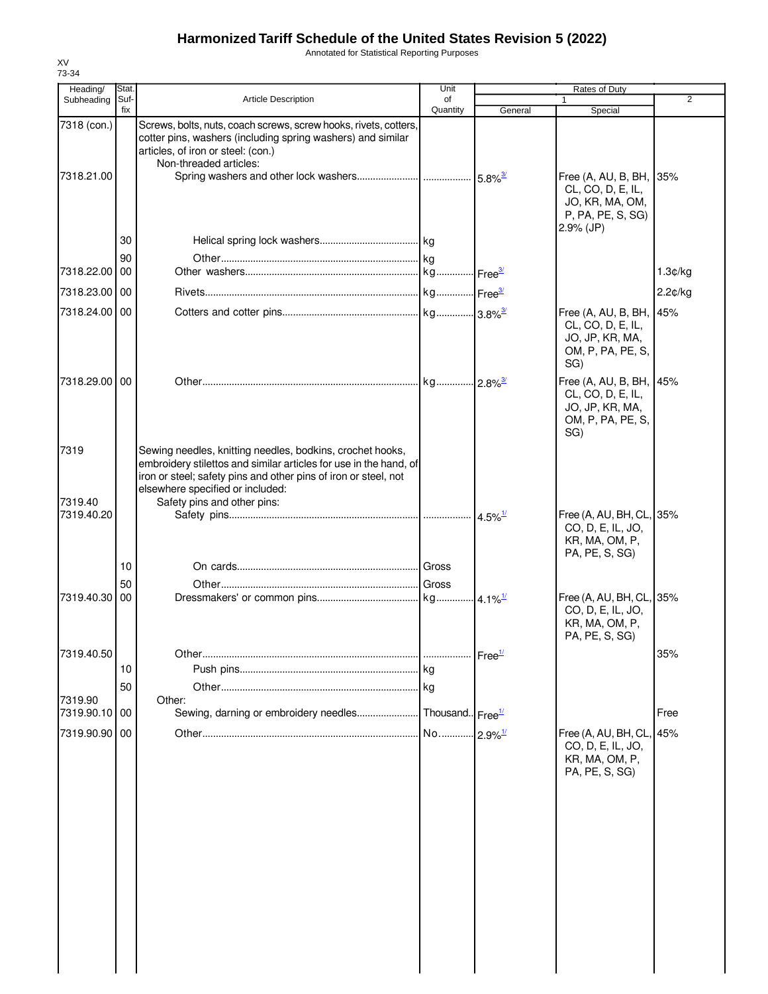Annotated for Statistical Reporting Purposes

| Heading/                 | Stat        |                                                                                                                                                                                                                                       | Unit                  |                               | Rates of Duty                                                                                        |                |
|--------------------------|-------------|---------------------------------------------------------------------------------------------------------------------------------------------------------------------------------------------------------------------------------------|-----------------------|-------------------------------|------------------------------------------------------------------------------------------------------|----------------|
| Subheading               | Suf-<br>fix | <b>Article Description</b>                                                                                                                                                                                                            | οf<br>Quantity        | General                       | $\mathbf{1}$<br>Special                                                                              | $\overline{2}$ |
| 7318 (con.)              |             | Screws, bolts, nuts, coach screws, screw hooks, rivets, cotters,<br>cotter pins, washers (including spring washers) and similar<br>articles, of iron or steel: (con.)<br>Non-threaded articles:                                       |                       |                               |                                                                                                      |                |
| 7318.21.00               |             |                                                                                                                                                                                                                                       |                       |                               | Free (A, AU, B, BH, 35%<br>CL, CO, D, E, IL,<br>JO, KR, MA, OM,<br>P, PA, PE, S, SG)<br>$2.9\%$ (JP) |                |
|                          | 30          |                                                                                                                                                                                                                                       |                       |                               |                                                                                                      |                |
| 7318.22.00               | 90<br>00    |                                                                                                                                                                                                                                       |                       |                               |                                                                                                      |                |
|                          |             |                                                                                                                                                                                                                                       |                       |                               |                                                                                                      | 1.3¢/kg        |
| 7318.23.00 00            |             |                                                                                                                                                                                                                                       |                       |                               |                                                                                                      | 2.2¢/kg        |
| 7318.24.00 00            |             |                                                                                                                                                                                                                                       |                       |                               | Free (A, AU, B, BH, 45%<br>CL, CO, D, E, IL,<br>JO, JP, KR, MA,<br>OM, P, PA, PE, S,<br>SG)          |                |
| 7318.29.00 00            |             |                                                                                                                                                                                                                                       |                       |                               | Free (A, AU, B, BH, 45%<br>CL, CO, D, E, IL,<br>JO, JP, KR, MA,<br>OM, P, PA, PE, S,<br>SG)          |                |
| 7319                     |             | Sewing needles, knitting needles, bodkins, crochet hooks,<br>embroidery stilettos and similar articles for use in the hand, of<br>iron or steel; safety pins and other pins of iron or steel, not<br>elsewhere specified or included: |                       |                               |                                                                                                      |                |
| 7319.40<br>7319.40.20    |             | Safety pins and other pins:                                                                                                                                                                                                           |                       | $\cdot$ 4.5% $^{\frac{1}{2}}$ | Free (A, AU, BH, CL, 35%<br>CO, D, E, IL, JO,<br>KR, MA, OM, P,<br>PA, PE, S, SG)                    |                |
|                          | 10          |                                                                                                                                                                                                                                       |                       |                               |                                                                                                      |                |
|                          | 50          |                                                                                                                                                                                                                                       |                       |                               |                                                                                                      |                |
| 7319.40.30               | 00          |                                                                                                                                                                                                                                       |                       |                               | Free (A, AU, BH, CL, 35%<br>CO, D, E, IL, JO,<br>KR, MA, OM, P,<br>PA, PE, S, SG)                    |                |
| 7319.40.50               |             |                                                                                                                                                                                                                                       |                       | Free <sup>1/</sup>            |                                                                                                      | 35%            |
|                          | 10          |                                                                                                                                                                                                                                       |                       |                               |                                                                                                      |                |
|                          | 50          |                                                                                                                                                                                                                                       |                       |                               |                                                                                                      |                |
| 7319.90<br>7319.90.10 00 |             | Other:<br>Sewing, darning or embroidery needles Thousand Free <sup>1/</sup>                                                                                                                                                           |                       |                               |                                                                                                      | Free           |
| 7319.90.90               | 00          |                                                                                                                                                                                                                                       | No 2.9% <sup>1/</sup> |                               | Free (A, AU, BH, CL, 45%<br>CO, D, E, IL, JO,<br>KR, MA, OM, P,                                      |                |
|                          |             |                                                                                                                                                                                                                                       |                       |                               | PA, PE, S, SG)                                                                                       |                |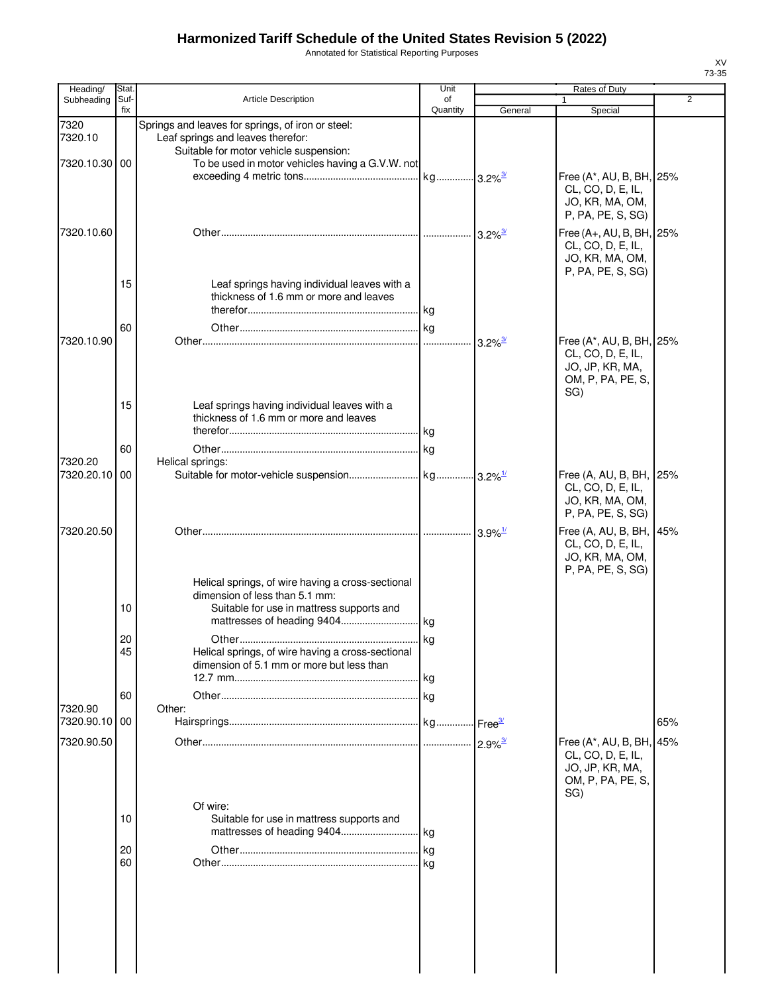Annotated for Statistical Reporting Purposes

| Heading/              | Stat.       |                                                                                                                                  | Unit           |                       | Rates of Duty                                                                                |                |
|-----------------------|-------------|----------------------------------------------------------------------------------------------------------------------------------|----------------|-----------------------|----------------------------------------------------------------------------------------------|----------------|
| Subheading            | Suf-<br>fix | <b>Article Description</b>                                                                                                       | of<br>Quantity | General               | Special                                                                                      | $\overline{2}$ |
| 7320<br>7320.10       |             | Springs and leaves for springs, of iron or steel:<br>Leaf springs and leaves therefor:<br>Suitable for motor vehicle suspension: |                |                       |                                                                                              |                |
| 7320.10.30 00         |             | To be used in motor vehicles having a G.V.W. not                                                                                 |                |                       | Free (A*, AU, B, BH, 25%<br>CL, CO, D, E, IL,                                                |                |
|                       |             |                                                                                                                                  |                |                       | JO, KR, MA, OM,<br>P, PA, PE, S, SG)                                                         |                |
| 7320.10.60            |             |                                                                                                                                  |                |                       | Free (A+, AU, B, BH, 25%<br>CL, CO, D, E, IL,<br>JO, KR, MA, OM,<br>P, PA, PE, S, SG)        |                |
|                       | 15          | Leaf springs having individual leaves with a<br>thickness of 1.6 mm or more and leaves                                           |                |                       |                                                                                              |                |
|                       | 60          |                                                                                                                                  |                |                       |                                                                                              |                |
| 7320.10.90            |             |                                                                                                                                  |                | $3.2\%$ <sup>3/</sup> | Free (A*, AU, B, BH, 25%<br>CL, CO, D, E, IL,<br>JO, JP, KR, MA,<br>OM, P, PA, PE, S,<br>SG) |                |
|                       | 15          | Leaf springs having individual leaves with a<br>thickness of 1.6 mm or more and leaves                                           |                |                       |                                                                                              |                |
| 7320.20               | 60          |                                                                                                                                  | kg             |                       |                                                                                              |                |
| 7320.20.10            | 00          | Helical springs:                                                                                                                 |                |                       | Free (A, AU, B, BH,  <br>CL, CO, D, E, IL,<br>JO, KR, MA, OM,                                | 25%            |
|                       |             |                                                                                                                                  |                |                       | P, PA, PE, S, SG)                                                                            |                |
| 7320.20.50            |             |                                                                                                                                  |                | $3.9\%$ <sup>1/</sup> | Free (A, AU, B, BH,<br>CL, CO, D, E, IL,<br>JO, KR, MA, OM,<br>P, PA, PE, S, SG)             | 45%            |
|                       | 10          | Helical springs, of wire having a cross-sectional<br>dimension of less than 5.1 mm:<br>Suitable for use in mattress supports and | . kg           |                       |                                                                                              |                |
|                       | 20          | Other                                                                                                                            | <b>kg</b>      |                       |                                                                                              |                |
|                       | 45          | Helical springs, of wire having a cross-sectional<br>dimension of 5.1 mm or more but less than                                   | kg             |                       |                                                                                              |                |
|                       | 60          |                                                                                                                                  |                |                       |                                                                                              |                |
| 7320.90<br>7320.90.10 | 00          | Other:                                                                                                                           |                |                       |                                                                                              | 65%            |
| 7320.90.50            |             |                                                                                                                                  |                |                       |                                                                                              |                |
|                       |             |                                                                                                                                  |                | $2.9\%$ <sup>3/</sup> | Free (A*, AU, B, BH,<br>CL, CO, D, E, IL,<br>JO, JP, KR, MA,<br>OM, P, PA, PE, S,<br>SG)     | 45%            |
|                       | 10          | Of wire:<br>Suitable for use in mattress supports and                                                                            | . kg           |                       |                                                                                              |                |
|                       | 20          |                                                                                                                                  |                |                       |                                                                                              |                |
|                       | 60          |                                                                                                                                  | kg             |                       |                                                                                              |                |
|                       |             |                                                                                                                                  |                |                       |                                                                                              |                |

XV 73-35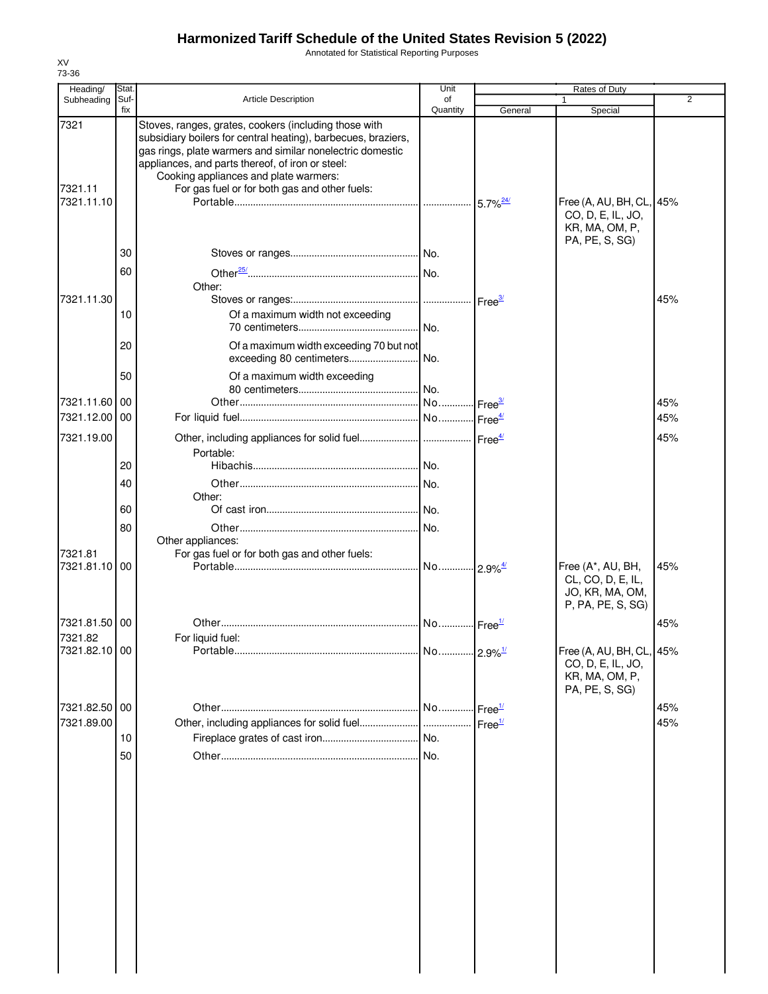Annotated for Statistical Reporting Purposes

| Heading/                      | Stat.       |                                                                                                                                                                                                                                                                                                                                   | Unit           |                        | Rates of Duty                                                                     |                |
|-------------------------------|-------------|-----------------------------------------------------------------------------------------------------------------------------------------------------------------------------------------------------------------------------------------------------------------------------------------------------------------------------------|----------------|------------------------|-----------------------------------------------------------------------------------|----------------|
| Subheading                    | Suf-<br>fix | Article Description                                                                                                                                                                                                                                                                                                               | of<br>Quantity | General                | 1<br>Special                                                                      | $\overline{2}$ |
| 7321<br>7321.11<br>7321.11.10 |             | Stoves, ranges, grates, cookers (including those with<br>subsidiary boilers for central heating), barbecues, braziers,<br>gas rings, plate warmers and similar nonelectric domestic<br>appliances, and parts thereof, of iron or steel:<br>Cooking appliances and plate warmers:<br>For gas fuel or for both gas and other fuels: |                | $5.7\%$ <sup>24/</sup> | Free (A, AU, BH, CL,<br>CO, D, E, IL, JO,<br>KR, MA, OM, P,                       | 45%            |
|                               | 30<br>60    |                                                                                                                                                                                                                                                                                                                                   |                |                        | PA, PE, S, SG)                                                                    |                |
| 7321.11.30                    |             | Other:                                                                                                                                                                                                                                                                                                                            |                |                        |                                                                                   | 45%            |
|                               | 10          | Of a maximum width not exceeding                                                                                                                                                                                                                                                                                                  |                |                        |                                                                                   |                |
|                               | 20          | Of a maximum width exceeding 70 but not                                                                                                                                                                                                                                                                                           |                |                        |                                                                                   |                |
|                               | 50          | Of a maximum width exceeding                                                                                                                                                                                                                                                                                                      |                |                        |                                                                                   |                |
| 7321.11.60                    | 00          |                                                                                                                                                                                                                                                                                                                                   |                |                        |                                                                                   | 45%            |
| 7321.12.00 00                 |             |                                                                                                                                                                                                                                                                                                                                   |                |                        |                                                                                   | 45%            |
| 7321.19.00                    |             | Portable:                                                                                                                                                                                                                                                                                                                         |                |                        |                                                                                   | 45%            |
|                               | 20          |                                                                                                                                                                                                                                                                                                                                   |                |                        |                                                                                   |                |
|                               | 40          | Other:                                                                                                                                                                                                                                                                                                                            |                |                        |                                                                                   |                |
|                               | 60          |                                                                                                                                                                                                                                                                                                                                   |                |                        |                                                                                   |                |
|                               | 80          |                                                                                                                                                                                                                                                                                                                                   |                |                        |                                                                                   |                |
| 7321.81<br>7321.81.10 00      |             | Other appliances:<br>For gas fuel or for both gas and other fuels:                                                                                                                                                                                                                                                                |                |                        | Free (A*, AU, BH,<br>CL, CO, D, E, IL,<br>JO, KR, MA, OM,                         | 45%            |
| 7321.81.50 00                 |             |                                                                                                                                                                                                                                                                                                                                   |                |                        | P, PA, PE, S, SG)                                                                 | 45%            |
| 7321.82                       |             | For liquid fuel:                                                                                                                                                                                                                                                                                                                  |                |                        |                                                                                   |                |
| 7321.82.10 00                 |             |                                                                                                                                                                                                                                                                                                                                   |                |                        | Free (A, AU, BH, CL, 45%<br>CO, D, E, IL, JO,<br>KR, MA, OM, P,<br>PA, PE, S, SG) |                |
| 7321.82.50 00                 |             |                                                                                                                                                                                                                                                                                                                                   |                | Free $\frac{1}{2}$     |                                                                                   | 45%            |
| 7321.89.00                    |             |                                                                                                                                                                                                                                                                                                                                   |                | Free $\frac{1}{2}$     |                                                                                   | 45%            |
|                               | 10          |                                                                                                                                                                                                                                                                                                                                   |                |                        |                                                                                   |                |
|                               | 50          |                                                                                                                                                                                                                                                                                                                                   |                |                        |                                                                                   |                |
|                               |             |                                                                                                                                                                                                                                                                                                                                   |                |                        |                                                                                   |                |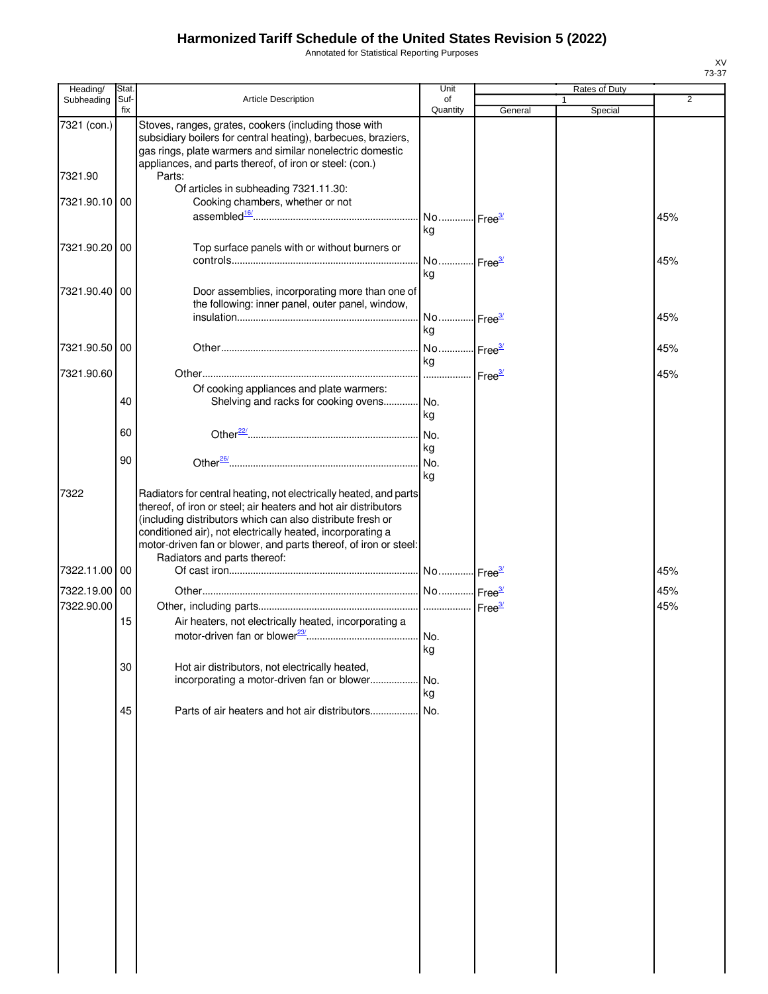Annotated for Statistical Reporting Purposes

| Heading/      | Stat.       |                                                                                                                                                                                                                                                                                                                                      | Unit                        |         | Rates of Duty |     |
|---------------|-------------|--------------------------------------------------------------------------------------------------------------------------------------------------------------------------------------------------------------------------------------------------------------------------------------------------------------------------------------|-----------------------------|---------|---------------|-----|
| Subheading    | Suf-<br>fix | Article Description                                                                                                                                                                                                                                                                                                                  | of<br>Quantity              | General | 1<br>Special  | 2   |
| 7321 (con.)   |             | Stoves, ranges, grates, cookers (including those with<br>subsidiary boilers for central heating), barbecues, braziers,<br>gas rings, plate warmers and similar nonelectric domestic<br>appliances, and parts thereof, of iron or steel: (con.)                                                                                       |                             |         |               |     |
| 7321.90       |             | Parts:<br>Of articles in subheading 7321.11.30:                                                                                                                                                                                                                                                                                      |                             |         |               |     |
| 7321.90.10 00 |             | Cooking chambers, whether or not                                                                                                                                                                                                                                                                                                     | No Free <sup>3/</sup><br>kg |         |               | 45% |
| 7321.90.20 00 |             | Top surface panels with or without burners or                                                                                                                                                                                                                                                                                        | No Free <sup>3/</sup><br>kg |         |               | 45% |
| 7321.90.40    | 00          | Door assemblies, incorporating more than one of<br>the following: inner panel, outer panel, window,                                                                                                                                                                                                                                  | No Free <sup>3/</sup>       |         |               | 45% |
|               |             |                                                                                                                                                                                                                                                                                                                                      | kg                          |         |               |     |
| 7321.90.50 00 |             |                                                                                                                                                                                                                                                                                                                                      | No Free <sup>3/</sup><br>kg |         |               | 45% |
| 7321.90.60    |             |                                                                                                                                                                                                                                                                                                                                      | Free <sup>3/</sup>          |         |               | 45% |
|               | 40          | Of cooking appliances and plate warmers:<br>Shelving and racks for cooking ovens                                                                                                                                                                                                                                                     | . No.<br>kg                 |         |               |     |
|               | 60          |                                                                                                                                                                                                                                                                                                                                      | No.<br>kg                   |         |               |     |
|               | 90          |                                                                                                                                                                                                                                                                                                                                      | No.<br>kg                   |         |               |     |
| 7322          |             | Radiators for central heating, not electrically heated, and parts<br>thereof, of iron or steel; air heaters and hot air distributors<br>(including distributors which can also distribute fresh or<br>conditioned air), not electrically heated, incorporating a<br>motor-driven fan or blower, and parts thereof, of iron or steel: |                             |         |               |     |
| 7322.11.00 00 |             | Radiators and parts thereof:                                                                                                                                                                                                                                                                                                         |                             |         |               | 45% |
| 7322.19.00 00 |             |                                                                                                                                                                                                                                                                                                                                      |                             |         |               | 45% |
| 7322.90.00    |             |                                                                                                                                                                                                                                                                                                                                      |                             |         |               | 45% |
|               | 15          | Air heaters, not electrically heated, incorporating a                                                                                                                                                                                                                                                                                | kg                          |         |               |     |
|               | 30          | Hot air distributors, not electrically heated,                                                                                                                                                                                                                                                                                       |                             |         |               |     |
|               |             | incorporating a motor-driven fan or blower                                                                                                                                                                                                                                                                                           | No.<br>kg                   |         |               |     |
|               | 45          | Parts of air heaters and hot air distributors                                                                                                                                                                                                                                                                                        | No.                         |         |               |     |
|               |             |                                                                                                                                                                                                                                                                                                                                      |                             |         |               |     |
|               |             |                                                                                                                                                                                                                                                                                                                                      |                             |         |               |     |
|               |             |                                                                                                                                                                                                                                                                                                                                      |                             |         |               |     |
|               |             |                                                                                                                                                                                                                                                                                                                                      |                             |         |               |     |
|               |             |                                                                                                                                                                                                                                                                                                                                      |                             |         |               |     |
|               |             |                                                                                                                                                                                                                                                                                                                                      |                             |         |               |     |
|               |             |                                                                                                                                                                                                                                                                                                                                      |                             |         |               |     |
|               |             |                                                                                                                                                                                                                                                                                                                                      |                             |         |               |     |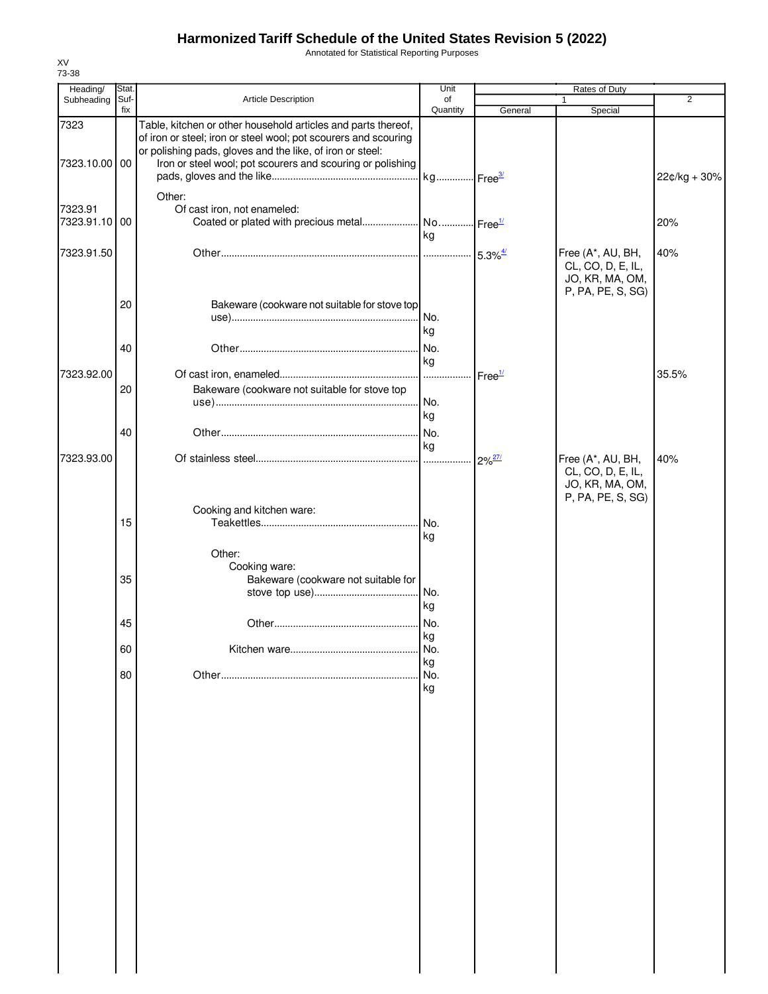Annotated for Statistical Reporting Purposes

| Heading/      | Stat. |                                                                                                                         | Unit                   |                    | Rates of Duty     |                |
|---------------|-------|-------------------------------------------------------------------------------------------------------------------------|------------------------|--------------------|-------------------|----------------|
| Subheading    | Suf-  | Article Description                                                                                                     | of                     |                    | 1                 | $\overline{2}$ |
| 7323          | fix   | Table, kitchen or other household articles and parts thereof,                                                           | Quantity               | General            | Special           |                |
|               |       | of iron or steel; iron or steel wool; pot scourers and scouring                                                         |                        |                    |                   |                |
| 7323.10.00 00 |       | or polishing pads, gloves and the like, of iron or steel:<br>Iron or steel wool; pot scourers and scouring or polishing |                        |                    |                   |                |
|               |       |                                                                                                                         | kg Free <sup>3/</sup>  |                    |                   | 22¢/kg + 30%   |
|               |       |                                                                                                                         |                        |                    |                   |                |
|               |       | Other:                                                                                                                  |                        |                    |                   |                |
| 7323.91       |       | Of cast iron, not enameled:                                                                                             |                        |                    |                   |                |
| 7323.91.10    | 00    | Coated or plated with precious metal                                                                                    | No  Free <sup>1/</sup> |                    |                   | 20%            |
|               |       |                                                                                                                         | kg                     |                    |                   |                |
| 7323.91.50    |       |                                                                                                                         |                        |                    | Free (A*, AU, BH, | 40%            |
|               |       |                                                                                                                         |                        |                    | CL, CO, D, E, IL, |                |
|               |       |                                                                                                                         |                        |                    | JO, KR, MA, OM,   |                |
|               |       |                                                                                                                         |                        |                    | P, PA, PE, S, SG) |                |
|               | 20    | Bakeware (cookware not suitable for stove top                                                                           |                        |                    |                   |                |
|               |       |                                                                                                                         |                        |                    |                   |                |
|               |       |                                                                                                                         | kg                     |                    |                   |                |
|               | 40    |                                                                                                                         | No.                    |                    |                   |                |
|               |       |                                                                                                                         | kg                     |                    |                   |                |
| 7323.92.00    |       |                                                                                                                         | .                      | Free <sup>1/</sup> |                   | 35.5%          |
|               | 20    | Bakeware (cookware not suitable for stove top                                                                           |                        |                    |                   |                |
|               |       |                                                                                                                         | No.                    |                    |                   |                |
|               |       |                                                                                                                         | kg                     |                    |                   |                |
|               | 40    |                                                                                                                         | No.                    |                    |                   |                |
|               |       |                                                                                                                         | kg                     |                    |                   |                |
| 7323.93.00    |       |                                                                                                                         | .                      | $2\%^{27/2}$       | Free (A*, AU, BH, | 40%            |
|               |       |                                                                                                                         |                        |                    | CL, CO, D, E, IL, |                |
|               |       |                                                                                                                         |                        |                    | JO, KR, MA, OM,   |                |
|               |       |                                                                                                                         |                        |                    | P, PA, PE, S, SG) |                |
|               |       | Cooking and kitchen ware:                                                                                               |                        |                    |                   |                |
|               | 15    |                                                                                                                         | I No.                  |                    |                   |                |
|               |       |                                                                                                                         | kg                     |                    |                   |                |
|               |       | Other:                                                                                                                  |                        |                    |                   |                |
|               |       | Cooking ware:                                                                                                           |                        |                    |                   |                |
|               | 35    | Bakeware (cookware not suitable for                                                                                     |                        |                    |                   |                |
|               |       |                                                                                                                         |                        |                    |                   |                |
|               |       |                                                                                                                         | kg                     |                    |                   |                |
|               | 45    |                                                                                                                         | No.                    |                    |                   |                |
|               |       |                                                                                                                         | kg                     |                    |                   |                |
|               | 60    |                                                                                                                         | No.                    |                    |                   |                |
|               |       |                                                                                                                         | kg                     |                    |                   |                |
|               | 80    |                                                                                                                         | No.                    |                    |                   |                |
|               |       |                                                                                                                         | kg                     |                    |                   |                |
|               |       |                                                                                                                         |                        |                    |                   |                |
|               |       |                                                                                                                         |                        |                    |                   |                |
|               |       |                                                                                                                         |                        |                    |                   |                |
|               |       |                                                                                                                         |                        |                    |                   |                |
|               |       |                                                                                                                         |                        |                    |                   |                |
|               |       |                                                                                                                         |                        |                    |                   |                |
|               |       |                                                                                                                         |                        |                    |                   |                |
|               |       |                                                                                                                         |                        |                    |                   |                |
|               |       |                                                                                                                         |                        |                    |                   |                |
|               |       |                                                                                                                         |                        |                    |                   |                |
|               |       |                                                                                                                         |                        |                    |                   |                |
|               |       |                                                                                                                         |                        |                    |                   |                |
|               |       |                                                                                                                         |                        |                    |                   |                |
|               |       |                                                                                                                         |                        |                    |                   |                |
|               |       |                                                                                                                         |                        |                    |                   |                |
|               |       |                                                                                                                         |                        |                    |                   |                |
|               |       |                                                                                                                         |                        |                    |                   |                |
|               |       |                                                                                                                         |                        |                    |                   |                |
|               |       |                                                                                                                         |                        |                    |                   |                |
|               |       |                                                                                                                         |                        |                    |                   |                |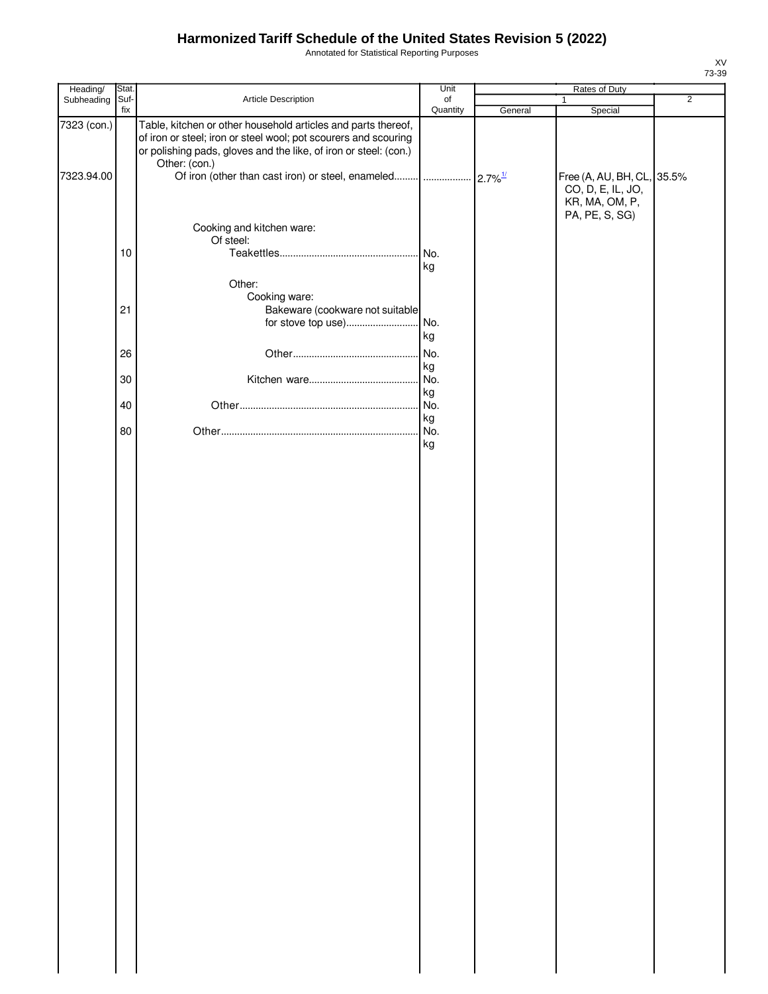Annotated for Statistical Reporting Purposes

| Heading/    | Stat. |                                                                                                                                                                                                                       | Unit     |         | Rates of Duty                                                                       |                |
|-------------|-------|-----------------------------------------------------------------------------------------------------------------------------------------------------------------------------------------------------------------------|----------|---------|-------------------------------------------------------------------------------------|----------------|
| Subheading  | Suf-  | Article Description                                                                                                                                                                                                   | of       |         | $\mathbf{1}$                                                                        | $\overline{2}$ |
|             | fix   |                                                                                                                                                                                                                       | Quantity | General | Special                                                                             |                |
| 7323 (con.) |       | Table, kitchen or other household articles and parts thereof,<br>of iron or steel; iron or steel wool; pot scourers and scouring<br>or polishing pads, gloves and the like, of iron or steel: (con.)<br>Other: (con.) |          |         |                                                                                     |                |
| 7323.94.00  |       |                                                                                                                                                                                                                       |          |         | Free (A, AU, BH, CL, 35.5%<br>CO, D, E, IL, JO,<br>KR, MA, OM, P,<br>PA, PE, S, SG) |                |
|             |       | Cooking and kitchen ware:<br>Of steel:                                                                                                                                                                                |          |         |                                                                                     |                |
|             | 10    |                                                                                                                                                                                                                       | kg       |         |                                                                                     |                |
|             | 21    | Other:<br>Cooking ware:<br>Bakeware (cookware not suitable                                                                                                                                                            | kg       |         |                                                                                     |                |
|             |       |                                                                                                                                                                                                                       |          |         |                                                                                     |                |
|             | 26    |                                                                                                                                                                                                                       | No.      |         |                                                                                     |                |
|             |       |                                                                                                                                                                                                                       | kg       |         |                                                                                     |                |
|             | 30    |                                                                                                                                                                                                                       | No.      |         |                                                                                     |                |
|             |       |                                                                                                                                                                                                                       | kg       |         |                                                                                     |                |
|             | 40    |                                                                                                                                                                                                                       | No.      |         |                                                                                     |                |
|             |       |                                                                                                                                                                                                                       | kg       |         |                                                                                     |                |
|             | 80    |                                                                                                                                                                                                                       | No.      |         |                                                                                     |                |
|             |       |                                                                                                                                                                                                                       | kg       |         |                                                                                     |                |
|             |       |                                                                                                                                                                                                                       |          |         |                                                                                     |                |
|             |       |                                                                                                                                                                                                                       |          |         |                                                                                     |                |
|             |       |                                                                                                                                                                                                                       |          |         |                                                                                     |                |
|             |       |                                                                                                                                                                                                                       |          |         |                                                                                     |                |
|             |       |                                                                                                                                                                                                                       |          |         |                                                                                     |                |
|             |       |                                                                                                                                                                                                                       |          |         |                                                                                     |                |
|             |       |                                                                                                                                                                                                                       |          |         |                                                                                     |                |
|             |       |                                                                                                                                                                                                                       |          |         |                                                                                     |                |
|             |       |                                                                                                                                                                                                                       |          |         |                                                                                     |                |
|             |       |                                                                                                                                                                                                                       |          |         |                                                                                     |                |
|             |       |                                                                                                                                                                                                                       |          |         |                                                                                     |                |
|             |       |                                                                                                                                                                                                                       |          |         |                                                                                     |                |
|             |       |                                                                                                                                                                                                                       |          |         |                                                                                     |                |
|             |       |                                                                                                                                                                                                                       |          |         |                                                                                     |                |
|             |       |                                                                                                                                                                                                                       |          |         |                                                                                     |                |
|             |       |                                                                                                                                                                                                                       |          |         |                                                                                     |                |
|             |       |                                                                                                                                                                                                                       |          |         |                                                                                     |                |
|             |       |                                                                                                                                                                                                                       |          |         |                                                                                     |                |
|             |       |                                                                                                                                                                                                                       |          |         |                                                                                     |                |
|             |       |                                                                                                                                                                                                                       |          |         |                                                                                     |                |
|             |       |                                                                                                                                                                                                                       |          |         |                                                                                     |                |
|             |       |                                                                                                                                                                                                                       |          |         |                                                                                     |                |
|             |       |                                                                                                                                                                                                                       |          |         |                                                                                     |                |
|             |       |                                                                                                                                                                                                                       |          |         |                                                                                     |                |
|             |       |                                                                                                                                                                                                                       |          |         |                                                                                     |                |
|             |       |                                                                                                                                                                                                                       |          |         |                                                                                     |                |
|             |       |                                                                                                                                                                                                                       |          |         |                                                                                     |                |
|             |       |                                                                                                                                                                                                                       |          |         |                                                                                     |                |
|             |       |                                                                                                                                                                                                                       |          |         |                                                                                     |                |
|             |       |                                                                                                                                                                                                                       |          |         |                                                                                     |                |
|             |       |                                                                                                                                                                                                                       |          |         |                                                                                     |                |
|             |       |                                                                                                                                                                                                                       |          |         |                                                                                     |                |
|             |       |                                                                                                                                                                                                                       |          |         |                                                                                     |                |
|             |       |                                                                                                                                                                                                                       |          |         |                                                                                     |                |
|             |       |                                                                                                                                                                                                                       |          |         |                                                                                     |                |
|             |       |                                                                                                                                                                                                                       |          |         |                                                                                     |                |
|             |       |                                                                                                                                                                                                                       |          |         |                                                                                     |                |
|             |       |                                                                                                                                                                                                                       |          |         |                                                                                     |                |
|             |       |                                                                                                                                                                                                                       |          |         |                                                                                     |                |
|             |       |                                                                                                                                                                                                                       |          |         |                                                                                     |                |
|             |       |                                                                                                                                                                                                                       |          |         |                                                                                     |                |
|             |       |                                                                                                                                                                                                                       |          |         |                                                                                     |                |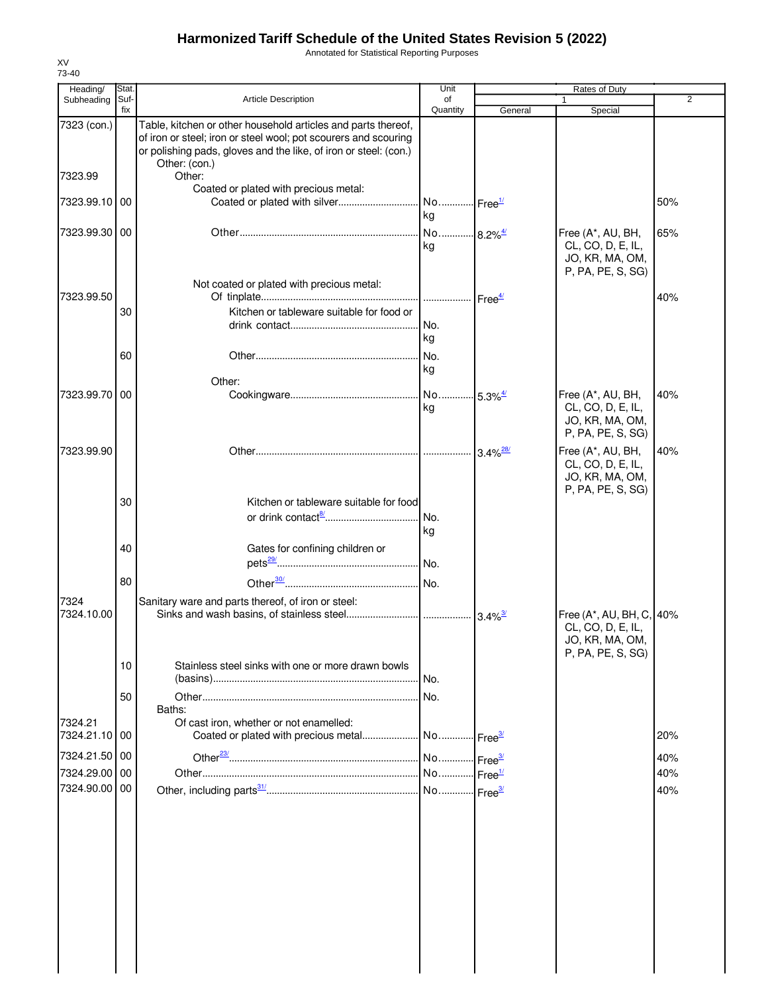Annotated for Statistical Reporting Purposes

| Heading/<br>Subheading   | Stat.<br>Suf- | <b>Article Description</b>                                                                                                                                                                                            | Unit<br>of                  |                       | Rates of Duty                                                                  | 2   |
|--------------------------|---------------|-----------------------------------------------------------------------------------------------------------------------------------------------------------------------------------------------------------------------|-----------------------------|-----------------------|--------------------------------------------------------------------------------|-----|
|                          | fix           |                                                                                                                                                                                                                       | Quantity                    | General               | Special                                                                        |     |
| 7323 (con.)              |               | Table, kitchen or other household articles and parts thereof,<br>of iron or steel; iron or steel wool; pot scourers and scouring<br>or polishing pads, gloves and the like, of iron or steel: (con.)<br>Other: (con.) |                             |                       |                                                                                |     |
| 7323.99                  |               | Other:<br>Coated or plated with precious metal:                                                                                                                                                                       |                             |                       |                                                                                |     |
| 7323.99.10 00            |               | Coated or plated with silver                                                                                                                                                                                          | No Free <sup>1/</sup><br>kg |                       |                                                                                | 50% |
| 7323.99.30 00            |               |                                                                                                                                                                                                                       | No 8.2% <sup>4/</sup><br>kg |                       | Free (A*, AU, BH,<br>CL, CO, D, E, IL,<br>JO, KR, MA, OM,<br>P, PA, PE, S, SG) | 65% |
| 7323.99.50               |               | Not coated or plated with precious metal:                                                                                                                                                                             |                             |                       |                                                                                | 40% |
|                          | 30            | Kitchen or tableware suitable for food or                                                                                                                                                                             | No.<br>kg                   |                       |                                                                                |     |
|                          | 60            |                                                                                                                                                                                                                       | No.<br>kg                   |                       |                                                                                |     |
|                          |               | Other:                                                                                                                                                                                                                |                             |                       |                                                                                |     |
| 7323.99.70 00            |               |                                                                                                                                                                                                                       | No 5.3% <sup>4/</sup><br>kg |                       | Free (A*, AU, BH,<br>CL, CO, D, E, IL,<br>JO, KR, MA, OM,<br>P, PA, PE, S, SG) | 40% |
| 7323.99.90               |               |                                                                                                                                                                                                                       |                             |                       | Free (A*, AU, BH,<br>CL, CO, D, E, IL,<br>JO, KR, MA, OM,<br>P, PA, PE, S, SG) | 40% |
|                          | 30            | Kitchen or tableware suitable for food                                                                                                                                                                                | No.<br>kg                   |                       |                                                                                |     |
|                          | 40            | Gates for confining children or                                                                                                                                                                                       |                             |                       |                                                                                |     |
|                          | 80            |                                                                                                                                                                                                                       |                             |                       |                                                                                |     |
| 7324<br>7324.10.00       |               | Sanitary ware and parts thereof, of iron or steel:                                                                                                                                                                    |                             | $3.4\%$ <sup>3/</sup> | Free (A*, AU, BH, C, 40%<br>CL, CO, D, E, IL,                                  |     |
|                          | 10            | Stainless steel sinks with one or more drawn bowls                                                                                                                                                                    |                             |                       | JO, KR, MA, OM,<br>P, PA, PE, S, SG)                                           |     |
|                          |               |                                                                                                                                                                                                                       | No.                         |                       |                                                                                |     |
|                          | 50            | Baths:                                                                                                                                                                                                                | No.                         |                       |                                                                                |     |
| 7324.21<br>7324.21.10 00 |               | Of cast iron, whether or not enamelled:<br>Coated or plated with precious metal                                                                                                                                       | No Free <sup>3/</sup>       |                       |                                                                                | 20% |
| 7324.21.50 00            |               |                                                                                                                                                                                                                       | No Free <sup>3/</sup>       |                       |                                                                                | 40% |
| 7324.29.00 00            |               |                                                                                                                                                                                                                       | No Free <sup>1/</sup>       |                       |                                                                                | 40% |
| 7324.90.00 00            |               |                                                                                                                                                                                                                       |                             |                       |                                                                                | 40% |
|                          |               |                                                                                                                                                                                                                       |                             |                       |                                                                                |     |
|                          |               |                                                                                                                                                                                                                       |                             |                       |                                                                                |     |
|                          |               |                                                                                                                                                                                                                       |                             |                       |                                                                                |     |
|                          |               |                                                                                                                                                                                                                       |                             |                       |                                                                                |     |
|                          |               |                                                                                                                                                                                                                       |                             |                       |                                                                                |     |

XV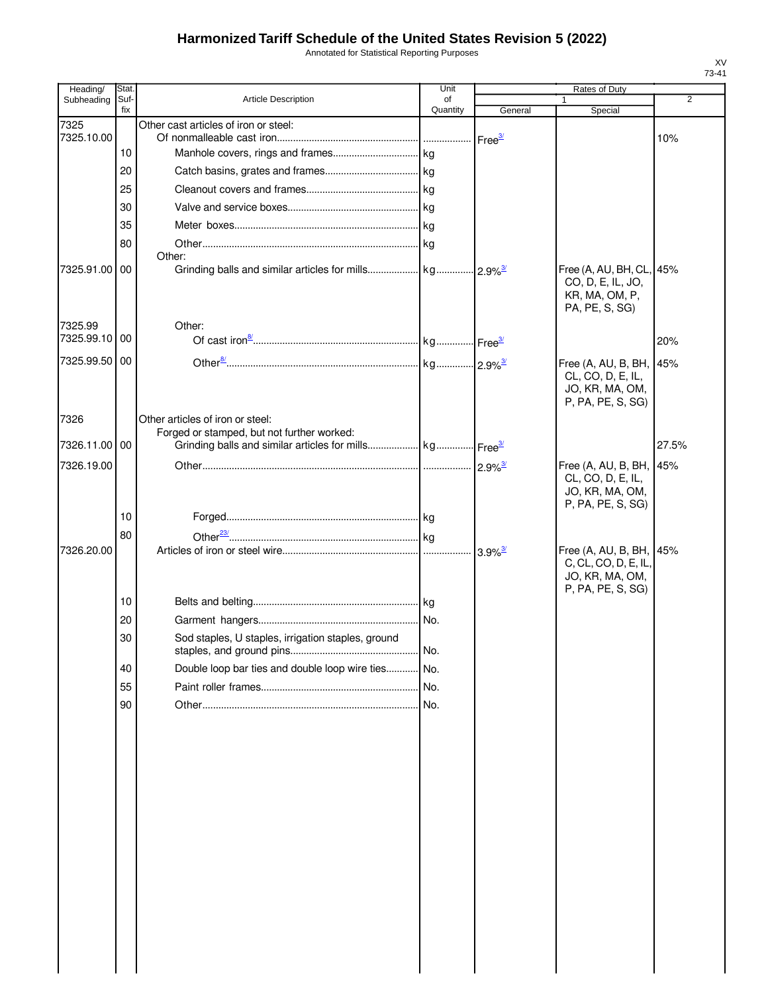Annotated for Statistical Reporting Purposes

| Heading/      | Stat.       |                                                                                | Unit           |                        | Rates of Duty                                                                           |                |
|---------------|-------------|--------------------------------------------------------------------------------|----------------|------------------------|-----------------------------------------------------------------------------------------|----------------|
| Subheading    | Suf-<br>fix | <b>Article Description</b>                                                     | of<br>Quantity | General                | Special                                                                                 | $\overline{2}$ |
| 7325          |             | Other cast articles of iron or steel:                                          |                |                        |                                                                                         |                |
| 7325.10.00    | 10          |                                                                                |                | Free <sup>3/</sup>     |                                                                                         | 10%            |
|               | 20          |                                                                                |                |                        |                                                                                         |                |
|               | 25          |                                                                                |                |                        |                                                                                         |                |
|               |             |                                                                                |                |                        |                                                                                         |                |
|               | 30          |                                                                                |                |                        |                                                                                         |                |
|               | 35          |                                                                                |                |                        |                                                                                         |                |
|               | 80          | Other:                                                                         |                |                        |                                                                                         |                |
| 7325.91.00 00 |             |                                                                                |                | $12.9\%$ <sup>3/</sup> | Free (A, AU, BH, CL, 45%<br>CO, D, E, IL, JO,<br>KR, MA, OM, P,<br>PA, PE, S, SG)       |                |
| 7325.99       |             | Other:                                                                         |                |                        |                                                                                         |                |
| 7325.99.10 00 |             |                                                                                |                |                        |                                                                                         | 20%            |
| 7325.99.50 00 |             |                                                                                |                |                        | Free (A, AU, B, BH, 45%                                                                 |                |
|               |             |                                                                                |                |                        | CL, CO, D, E, IL,<br>JO, KR, MA, OM,<br>P, PA, PE, S, SG)                               |                |
| 7326          |             | Other articles of iron or steel:<br>Forged or stamped, but not further worked: |                |                        |                                                                                         |                |
| 7326.11.00 00 |             |                                                                                |                |                        |                                                                                         | 27.5%          |
| 7326.19.00    |             |                                                                                |                |                        | Free (A, AU, B, BH, 145%                                                                |                |
|               |             |                                                                                |                |                        | CL, CO, D, E, IL,<br>JO, KR, MA, OM,<br>P, PA, PE, S, SG)                               |                |
|               | 10          |                                                                                |                |                        |                                                                                         |                |
|               | 80          |                                                                                |                |                        |                                                                                         |                |
| 7326.20.00    |             |                                                                                |                | $3.9\%$ <sup>3/</sup>  | Free (A, AU, B, BH, 45%<br>C, CL, CO, D, E, IL,<br>JO, KR, MA, OM,<br>P, PA, PE, S, SG) |                |
|               | 10          |                                                                                |                |                        |                                                                                         |                |
|               | 20          |                                                                                | No.            |                        |                                                                                         |                |
|               | 30          | Sod staples, U staples, irrigation staples, ground                             | No.            |                        |                                                                                         |                |
|               | 40          | Double loop bar ties and double loop wire ties                                 | . No.          |                        |                                                                                         |                |
|               | 55          |                                                                                | No.            |                        |                                                                                         |                |
|               | 90          |                                                                                |                |                        |                                                                                         |                |
|               |             |                                                                                |                |                        |                                                                                         |                |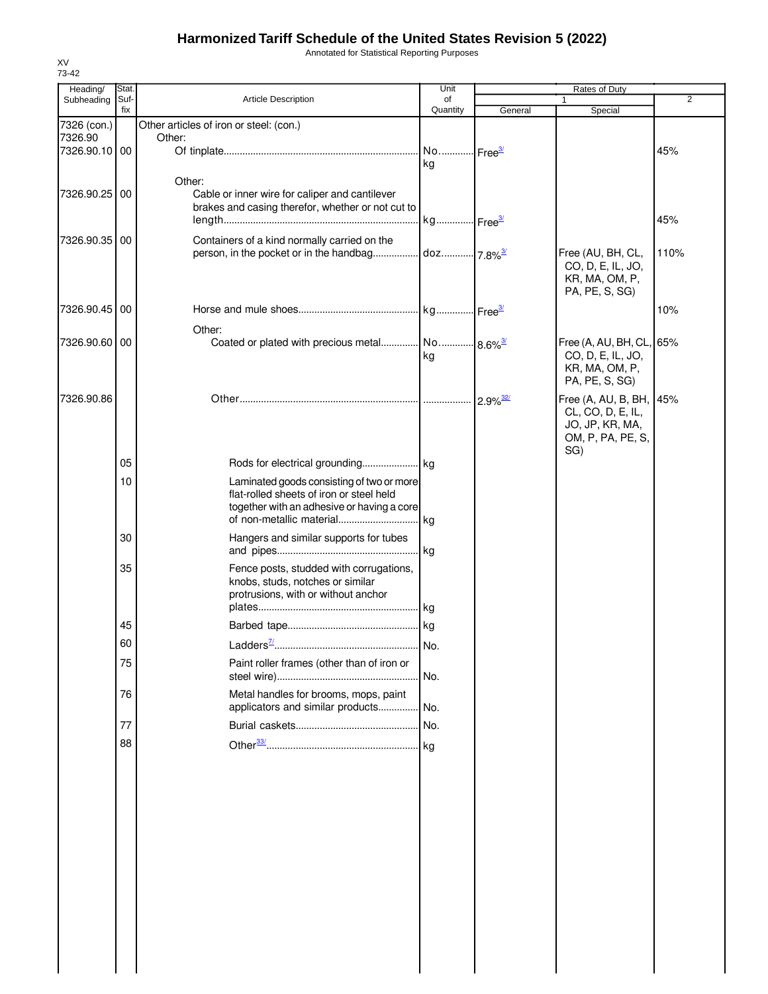Annotated for Statistical Reporting Purposes

| Heading/                 | Stat.       |                                                                                        | Unit           | Rates of Duty |                                               |      |  |
|--------------------------|-------------|----------------------------------------------------------------------------------------|----------------|---------------|-----------------------------------------------|------|--|
| Subheading               | Suf-<br>fix | <b>Article Description</b>                                                             | of<br>Quantity | General       | $\mathbf{1}$<br>Special                       | 2    |  |
| 7326 (con.)              |             | Other articles of iron or steel: (con.)                                                |                |               |                                               |      |  |
| 7326.90<br>7326.90.10 00 |             | Other:                                                                                 |                |               |                                               | 45%  |  |
|                          |             |                                                                                        | kg             |               |                                               |      |  |
|                          |             | Other:                                                                                 |                |               |                                               |      |  |
| 7326.90.25 00            |             | Cable or inner wire for caliper and cantilever                                         |                |               |                                               |      |  |
|                          |             | brakes and casing therefor, whether or not cut to                                      |                |               |                                               |      |  |
|                          |             |                                                                                        |                |               |                                               | 45%  |  |
| 7326.90.35 00            |             | Containers of a kind normally carried on the                                           |                |               | Free (AU, BH, CL,                             | 110% |  |
|                          |             |                                                                                        |                |               | CO, D, E, IL, JO,                             |      |  |
|                          |             |                                                                                        |                |               | KR, MA, OM, P,                                |      |  |
|                          |             |                                                                                        |                |               | PA, PE, S, SG)                                |      |  |
| 7326.90.45               | 00          |                                                                                        |                |               |                                               | 10%  |  |
|                          |             | Other:                                                                                 |                |               |                                               |      |  |
| 7326.90.60 00            |             | Coated or plated with precious metal No 8.6% <sup>3/</sup>                             |                |               | Free (A, AU, BH, CL, 65%<br>CO, D, E, IL, JO, |      |  |
|                          |             |                                                                                        | kg             |               | KR, MA, OM, P,                                |      |  |
|                          |             |                                                                                        |                |               | PA, PE, S, SG)                                |      |  |
| 7326.90.86               |             |                                                                                        |                |               | Free (A, AU, B, BH, 45%                       |      |  |
|                          |             |                                                                                        |                |               | CL, CO, D, E, IL,                             |      |  |
|                          |             |                                                                                        |                |               | JO, JP, KR, MA,<br>OM, P, PA, PE, S,          |      |  |
|                          |             |                                                                                        |                |               | SG)                                           |      |  |
|                          | 05          |                                                                                        |                |               |                                               |      |  |
|                          | 10          | Laminated goods consisting of two or more                                              |                |               |                                               |      |  |
|                          |             | flat-rolled sheets of iron or steel held<br>together with an adhesive or having a core |                |               |                                               |      |  |
|                          |             |                                                                                        |                |               |                                               |      |  |
|                          | 30          | Hangers and similar supports for tubes                                                 |                |               |                                               |      |  |
|                          |             |                                                                                        | kg             |               |                                               |      |  |
|                          | 35          | Fence posts, studded with corrugations,                                                |                |               |                                               |      |  |
|                          |             | knobs, studs, notches or similar<br>protrusions, with or without anchor                |                |               |                                               |      |  |
|                          |             |                                                                                        |                |               |                                               |      |  |
|                          | 45          |                                                                                        |                |               |                                               |      |  |
|                          | 60          |                                                                                        | No.            |               |                                               |      |  |
|                          | 75          | Paint roller frames (other than of iron or                                             |                |               |                                               |      |  |
|                          |             |                                                                                        | No.            |               |                                               |      |  |
|                          | 76          | Metal handles for brooms, mops, paint                                                  |                |               |                                               |      |  |
|                          |             | applicators and similar products No.                                                   |                |               |                                               |      |  |
|                          | 77          |                                                                                        |                |               |                                               |      |  |
|                          | 88          |                                                                                        |                |               |                                               |      |  |
|                          |             |                                                                                        |                |               |                                               |      |  |
|                          |             |                                                                                        |                |               |                                               |      |  |
|                          |             |                                                                                        |                |               |                                               |      |  |
|                          |             |                                                                                        |                |               |                                               |      |  |
|                          |             |                                                                                        |                |               |                                               |      |  |
|                          |             |                                                                                        |                |               |                                               |      |  |
|                          |             |                                                                                        |                |               |                                               |      |  |
|                          |             |                                                                                        |                |               |                                               |      |  |
|                          |             |                                                                                        |                |               |                                               |      |  |
|                          |             |                                                                                        |                |               |                                               |      |  |
|                          |             |                                                                                        |                |               |                                               |      |  |
|                          |             |                                                                                        |                |               |                                               |      |  |
|                          |             |                                                                                        |                |               |                                               |      |  |